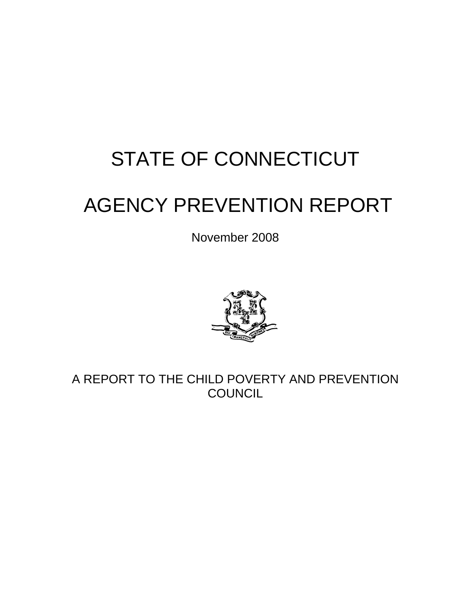# STATE OF CONNECTICUT

# AGENCY PREVENTION REPORT

November 2008



A REPORT TO THE CHILD POVERTY AND PREVENTION **COUNCIL**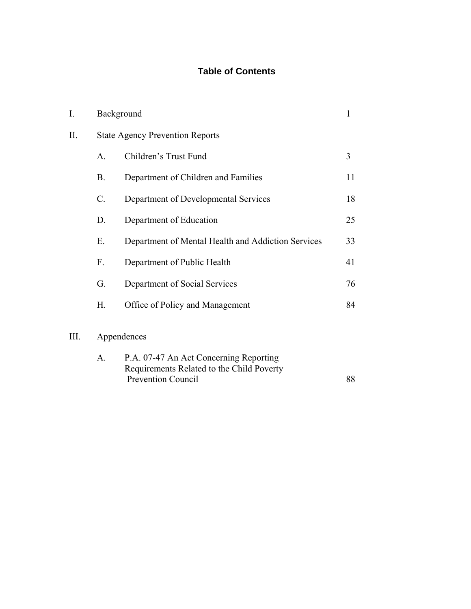# **Table of Contents**

| I.  | Background   |                                                    | 1  |
|-----|--------------|----------------------------------------------------|----|
| II. |              | <b>State Agency Prevention Reports</b>             |    |
|     | $\mathsf{A}$ | Children's Trust Fund                              | 3  |
|     | Β.           | Department of Children and Families                | 11 |
|     | C.           | Department of Developmental Services               | 18 |
|     | D.           | Department of Education                            | 25 |
|     | Е.           | Department of Mental Health and Addiction Services | 33 |
|     | F.           | Department of Public Health                        | 41 |
|     | G.           | Department of Social Services                      | 76 |
|     | Н.           | Office of Policy and Management                    | 84 |
| Ш.  | Appendences  |                                                    |    |

| A. | P.A. 07-47 An Act Concerning Reporting    |    |
|----|-------------------------------------------|----|
|    | Requirements Related to the Child Poverty |    |
|    | <b>Prevention Council</b>                 | 88 |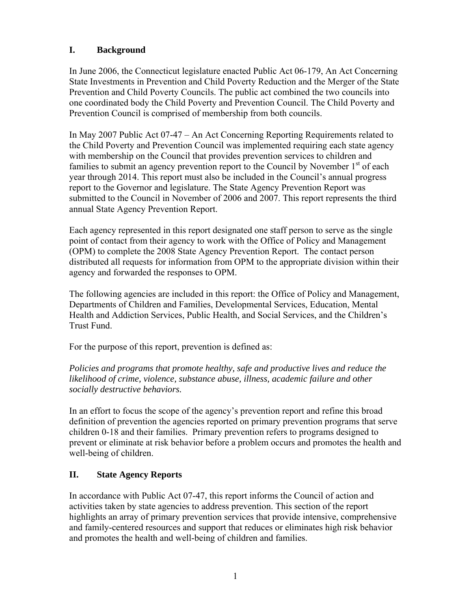# **I. Background**

In June 2006, the Connecticut legislature enacted Public Act 06-179, An Act Concerning State Investments in Prevention and Child Poverty Reduction and the Merger of the State Prevention and Child Poverty Councils. The public act combined the two councils into one coordinated body the Child Poverty and Prevention Council. The Child Poverty and Prevention Council is comprised of membership from both councils.

In May 2007 Public Act 07-47 – An Act Concerning Reporting Requirements related to the Child Poverty and Prevention Council was implemented requiring each state agency with membership on the Council that provides prevention services to children and families to submit an agency prevention report to the Council by November  $1<sup>st</sup>$  of each year through 2014. This report must also be included in the Council's annual progress report to the Governor and legislature. The State Agency Prevention Report was submitted to the Council in November of 2006 and 2007. This report represents the third annual State Agency Prevention Report.

Each agency represented in this report designated one staff person to serve as the single point of contact from their agency to work with the Office of Policy and Management (OPM) to complete the 2008 State Agency Prevention Report. The contact person distributed all requests for information from OPM to the appropriate division within their agency and forwarded the responses to OPM.

The following agencies are included in this report: the Office of Policy and Management, Departments of Children and Families, Developmental Services, Education, Mental Health and Addiction Services, Public Health, and Social Services, and the Children's Trust Fund.

For the purpose of this report, prevention is defined as:

*Policies and programs that promote healthy, safe and productive lives and reduce the likelihood of crime, violence, substance abuse, illness, academic failure and other socially destructive behaviors.* 

In an effort to focus the scope of the agency's prevention report and refine this broad definition of prevention the agencies reported on primary prevention programs that serve children 0-18 and their families. Primary prevention refers to programs designed to prevent or eliminate at risk behavior before a problem occurs and promotes the health and well-being of children.

# **II. State Agency Reports**

In accordance with Public Act 07-47, this report informs the Council of action and activities taken by state agencies to address prevention. This section of the report highlights an array of primary prevention services that provide intensive, comprehensive and family-centered resources and support that reduces or eliminates high risk behavior and promotes the health and well-being of children and families.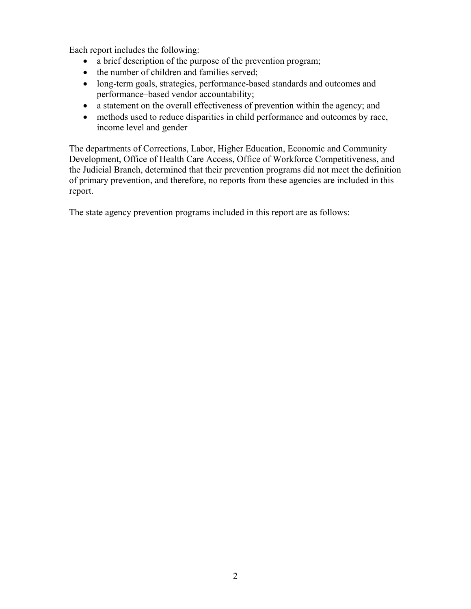Each report includes the following:

- a brief description of the purpose of the prevention program;
- the number of children and families served;
- long-term goals, strategies, performance-based standards and outcomes and performance–based vendor accountability;
- a statement on the overall effectiveness of prevention within the agency; and
- methods used to reduce disparities in child performance and outcomes by race, income level and gender

The departments of Corrections, Labor, Higher Education, Economic and Community Development, Office of Health Care Access, Office of Workforce Competitiveness, and the Judicial Branch, determined that their prevention programs did not meet the definition of primary prevention, and therefore, no reports from these agencies are included in this report.

The state agency prevention programs included in this report are as follows: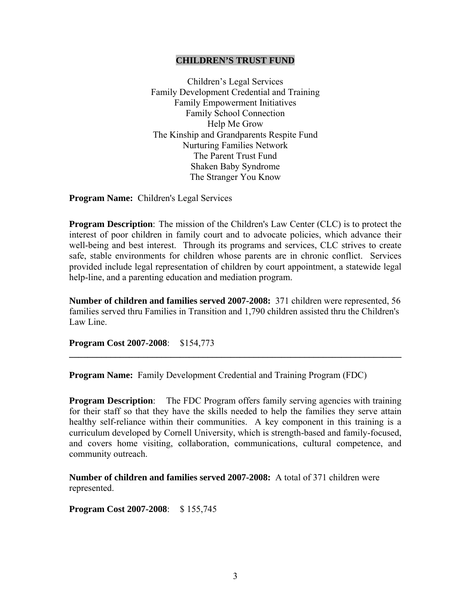#### **CHILDREN'S TRUST FUND**

Children's Legal Services Family Development Credential and Training Family Empowerment Initiatives Family School Connection Help Me Grow The Kinship and Grandparents Respite Fund Nurturing Families Network The Parent Trust Fund Shaken Baby Syndrome The Stranger You Know

**Program Name:** Children's Legal Services

**Program Description**: The mission of the Children's Law Center (CLC) is to protect the interest of poor children in family court and to advocate policies, which advance their well-being and best interest. Through its programs and services, CLC strives to create safe, stable environments for children whose parents are in chronic conflict. Services provided include legal representation of children by court appointment, a statewide legal help-line, and a parenting education and mediation program.

**Number of children and families served 2007-2008:** 371 children were represented, 56 families served thru Families in Transition and 1,790 children assisted thru the Children's Law Line.

**\_\_\_\_\_\_\_\_\_\_\_\_\_\_\_\_\_\_\_\_\_\_\_\_\_\_\_\_\_\_\_\_\_\_\_\_\_\_\_\_\_\_\_\_\_\_\_\_\_\_\_\_\_\_\_\_\_\_\_\_\_\_\_\_\_\_\_\_\_\_\_\_** 

**Program Cost 2007-2008**: \$154,773

**Program Name:** Family Development Credential and Training Program (FDC)

**Program Description:** The FDC Program offers family serving agencies with training for their staff so that they have the skills needed to help the families they serve attain healthy self-reliance within their communities. A key component in this training is a curriculum developed by Cornell University, which is strength-based and family-focused, and covers home visiting, collaboration, communications, cultural competence, and community outreach.

**Number of children and families served 2007-2008:** A total of 371 children were represented.

**Program Cost 2007-2008**: \$ 155,745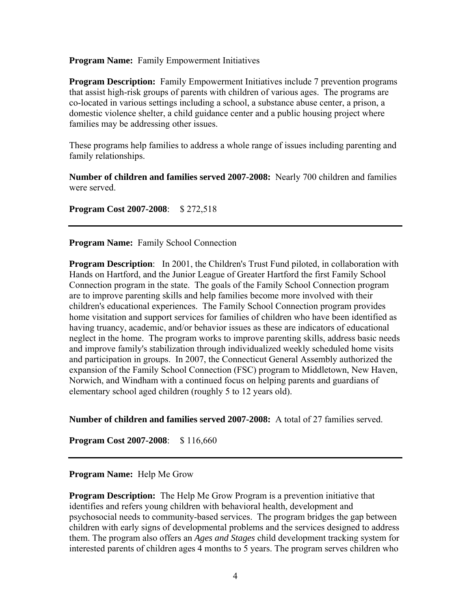**Program Name:** Family Empowerment Initiatives

**Program Description:** Family Empowerment Initiatives include 7 prevention programs that assist high-risk groups of parents with children of various ages. The programs are co-located in various settings including a school, a substance abuse center, a prison, a domestic violence shelter, a child guidance center and a public housing project where families may be addressing other issues.

These programs help families to address a whole range of issues including parenting and family relationships.

**Number of children and families served 2007-2008:** Nearly 700 children and families were served.

**Program Cost 2007-2008**: \$ 272,518

**Program Name:** Family School Connection

**Program Description**: In 2001, the Children's Trust Fund piloted, in collaboration with Hands on Hartford, and the Junior League of Greater Hartford the first Family School Connection program in the state. The goals of the Family School Connection program are to improve parenting skills and help families become more involved with their children's educational experiences. The Family School Connection program provides home visitation and support services for families of children who have been identified as having truancy, academic, and/or behavior issues as these are indicators of educational neglect in the home. The program works to improve parenting skills, address basic needs and improve family's stabilization through individualized weekly scheduled home visits and participation in groups. In 2007, the Connecticut General Assembly authorized the expansion of the Family School Connection (FSC) program to Middletown, New Haven, Norwich, and Windham with a continued focus on helping parents and guardians of elementary school aged children (roughly 5 to 12 years old).

**Number of children and families served 2007-2008:** A total of 27 families served.

**Program Cost 2007-2008**: \$ 116,660

#### **Program Name:** Help Me Grow

**Program Description:** The Help Me Grow Program is a prevention initiative that identifies and refers young children with behavioral health, development and psychosocial needs to community-based services. The program bridges the gap between children with early signs of developmental problems and the services designed to address them. The program also offers an *Ages and Stages* child development tracking system for interested parents of children ages 4 months to 5 years. The program serves children who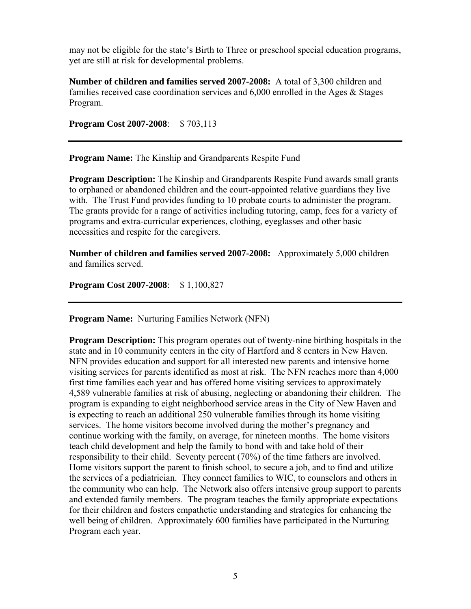may not be eligible for the state's Birth to Three or preschool special education programs, yet are still at risk for developmental problems.

**Number of children and families served 2007-2008:** A total of 3,300 children and families received case coordination services and 6,000 enrolled in the Ages & Stages Program.

**Program Cost 2007-2008**: \$ 703,113

**Program Name:** The Kinship and Grandparents Respite Fund

**Program Description:** The Kinship and Grandparents Respite Fund awards small grants to orphaned or abandoned children and the court-appointed relative guardians they live with. The Trust Fund provides funding to 10 probate courts to administer the program. The grants provide for a range of activities including tutoring, camp, fees for a variety of programs and extra-curricular experiences, clothing, eyeglasses and other basic necessities and respite for the caregivers.

**Number of children and families served 2007-2008:** Approximately 5,000 children and families served.

**Program Cost 2007-2008**: \$ 1,100,827

**Program Name:** Nurturing Families Network (NFN)

**Program Description:** This program operates out of twenty-nine birthing hospitals in the state and in 10 community centers in the city of Hartford and 8 centers in New Haven. NFN provides education and support for all interested new parents and intensive home visiting services for parents identified as most at risk. The NFN reaches more than 4,000 first time families each year and has offered home visiting services to approximately 4,589 vulnerable families at risk of abusing, neglecting or abandoning their children. The program is expanding to eight neighborhood service areas in the City of New Haven and is expecting to reach an additional 250 vulnerable families through its home visiting services. The home visitors become involved during the mother's pregnancy and continue working with the family, on average, for nineteen months. The home visitors teach child development and help the family to bond with and take hold of their responsibility to their child. Seventy percent (70%) of the time fathers are involved. Home visitors support the parent to finish school, to secure a job, and to find and utilize the services of a pediatrician. They connect families to WIC, to counselors and others in the community who can help. The Network also offers intensive group support to parents and extended family members. The program teaches the family appropriate expectations for their children and fosters empathetic understanding and strategies for enhancing the well being of children. Approximately 600 families have participated in the Nurturing Program each year.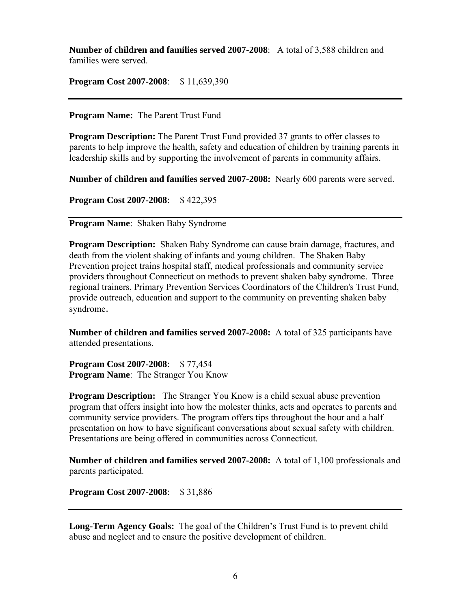**Number of children and families served 2007-2008**: A total of 3,588 children and families were served.

**Program Cost 2007-2008**: \$ 11,639,390

**Program Name:** The Parent Trust Fund

**Program Description:** The Parent Trust Fund provided 37 grants to offer classes to parents to help improve the health, safety and education of children by training parents in leadership skills and by supporting the involvement of parents in community affairs.

**Number of children and families served 2007-2008:** Nearly 600 parents were served.

**Program Cost 2007-2008**: \$ 422,395

**Program Name**: Shaken Baby Syndrome

**Program Description:** Shaken Baby Syndrome can cause brain damage, fractures, and death from the violent shaking of infants and young children. The Shaken Baby Prevention project trains hospital staff, medical professionals and community service providers throughout Connecticut on methods to prevent shaken baby syndrome. Three regional trainers, Primary Prevention Services Coordinators of the Children's Trust Fund, provide outreach, education and support to the community on preventing shaken baby syndrome.

**Number of children and families served 2007-2008:** A total of 325 participants have attended presentations.

**Program Cost 2007-2008**: \$ 77,454 **Program Name**: The Stranger You Know

**Program Description:** The Stranger You Know is a child sexual abuse prevention program that offers insight into how the molester thinks, acts and operates to parents and community service providers. The program offers tips throughout the hour and a half presentation on how to have significant conversations about sexual safety with children. Presentations are being offered in communities across Connecticut.

**Number of children and families served 2007-2008:** A total of 1,100 professionals and parents participated.

**Program Cost 2007-2008**: \$ 31,886

**Long-Term Agency Goals:** The goal of the Children's Trust Fund is to prevent child abuse and neglect and to ensure the positive development of children.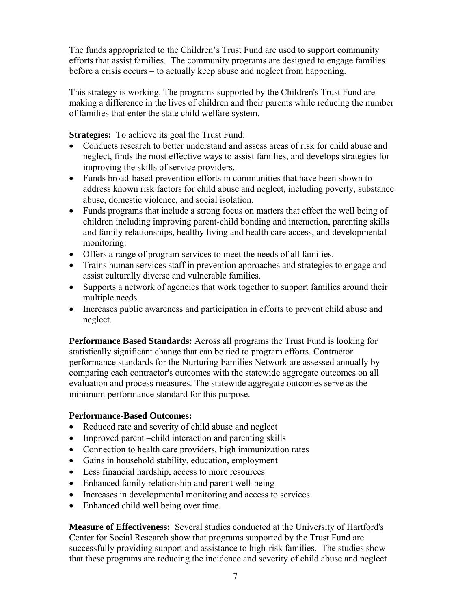The funds appropriated to the Children's Trust Fund are used to support community efforts that assist families. The community programs are designed to engage families before a crisis occurs – to actually keep abuse and neglect from happening.

This strategy is working. The programs supported by the Children's Trust Fund are making a difference in the lives of children and their parents while reducing the number of families that enter the state child welfare system.

**Strategies:** To achieve its goal the Trust Fund:

- Conducts research to better understand and assess areas of risk for child abuse and neglect, finds the most effective ways to assist families, and develops strategies for improving the skills of service providers.
- Funds broad-based prevention efforts in communities that have been shown to address known risk factors for child abuse and neglect, including poverty, substance abuse, domestic violence, and social isolation.
- Funds programs that include a strong focus on matters that effect the well being of children including improving parent-child bonding and interaction, parenting skills and family relationships, healthy living and health care access, and developmental monitoring.
- Offers a range of program services to meet the needs of all families.
- Trains human services staff in prevention approaches and strategies to engage and assist culturally diverse and vulnerable families.
- Supports a network of agencies that work together to support families around their multiple needs.
- Increases public awareness and participation in efforts to prevent child abuse and neglect.

**Performance Based Standards:** Across all programs the Trust Fund is looking for statistically significant change that can be tied to program efforts. Contractor performance standards for the Nurturing Families Network are assessed annually by comparing each contractor's outcomes with the statewide aggregate outcomes on all evaluation and process measures. The statewide aggregate outcomes serve as the minimum performance standard for this purpose.

#### **Performance-Based Outcomes:**

- Reduced rate and severity of child abuse and neglect
- Improved parent –child interaction and parenting skills
- Connection to health care providers, high immunization rates
- Gains in household stability, education, employment
- Less financial hardship, access to more resources
- Enhanced family relationship and parent well-being
- Increases in developmental monitoring and access to services
- Enhanced child well being over time.

**Measure of Effectiveness:** Several studies conducted at the University of Hartford's Center for Social Research show that programs supported by the Trust Fund are successfully providing support and assistance to high-risk families. The studies show that these programs are reducing the incidence and severity of child abuse and neglect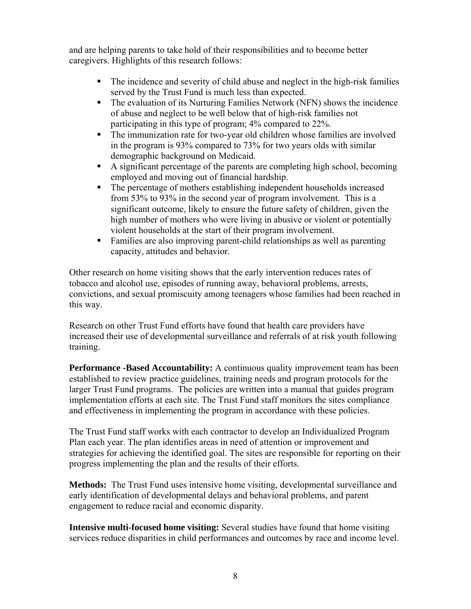and are helping parents to take hold of their responsibilities and to become better caregivers. Highlights of this research follows:

- The incidence and severity of child abuse and neglect in the high-risk families served by the Trust Fund is much less than expected.
- The evaluation of its Nurturing Families Network (NFN) shows the incidence of abuse and neglect to be well below that of high-risk families not participating in this type of program; 4% compared to 22%.
- The immunization rate for two-year old children whose families are involved in the program is 93% compared to 73% for two years olds with similar demographic background on Medicaid.
- A significant percentage of the parents are completing high school, becoming employed and moving out of financial hardship.
- The percentage of mothers establishing independent households increased from 53% to 93% in the second year of program involvement. This is a significant outcome, likely to ensure the future safety of children, given the high number of mothers who were living in abusive or violent or potentially violent households at the start of their program involvement.
- Families are also improving parent-child relationships as well as parenting capacity, attitudes and behavior.

Other research on home visiting shows that the early intervention reduces rates of tobacco and alcohol use, episodes of running away, behavioral problems, arrests, convictions, and sexual promiscuity among teenagers whose families had been reached in this way.

Research on other Trust Fund efforts have found that health care providers have increased their use of developmental surveillance and referrals of at risk youth following training.

**Performance -Based Accountability:** A continuous quality improvement team has been established to review practice guidelines, training needs and program protocols for the larger Trust Fund programs. The policies are written into a manual that guides program implementation efforts at each site. The Trust Fund staff monitors the sites compliance and effectiveness in implementing the program in accordance with these policies.

The Trust Fund staff works with each contractor to develop an Individualized Program Plan each year. The plan identifies areas in need of attention or improvement and strategies for achieving the identified goal. The sites are responsible for reporting on their progress implementing the plan and the results of their efforts.

**Methods:** The Trust Fund uses intensive home visiting, developmental surveillance and early identification of developmental delays and behavioral problems, and parent engagement to reduce racial and economic disparity.

**Intensive multi-focused home visiting:** Several studies have found that home visiting services reduce disparities in child performances and outcomes by race and income level.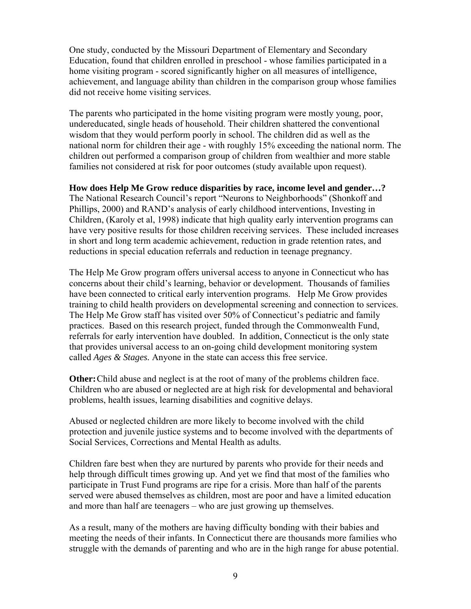One study, conducted by the Missouri Department of Elementary and Secondary Education, found that children enrolled in preschool - whose families participated in a home visiting program - scored significantly higher on all measures of intelligence, achievement, and language ability than children in the comparison group whose families did not receive home visiting services.

The parents who participated in the home visiting program were mostly young, poor, undereducated, single heads of household. Their children shattered the conventional wisdom that they would perform poorly in school. The children did as well as the national norm for children their age - with roughly 15% exceeding the national norm. The children out performed a comparison group of children from wealthier and more stable families not considered at risk for poor outcomes (study available upon request).

#### **How does Help Me Grow reduce disparities by race, income level and gender…?**

The National Research Council's report "Neurons to Neighborhoods" (Shonkoff and Phillips, 2000) and RAND's analysis of early childhood interventions, Investing in Children, (Karoly et al, 1998) indicate that high quality early intervention programs can have very positive results for those children receiving services. These included increases in short and long term academic achievement, reduction in grade retention rates, and reductions in special education referrals and reduction in teenage pregnancy.

The Help Me Grow program offers universal access to anyone in Connecticut who has concerns about their child's learning, behavior or development. Thousands of families have been connected to critical early intervention programs. Help Me Grow provides training to child health providers on developmental screening and connection to services. The Help Me Grow staff has visited over 50% of Connecticut's pediatric and family practices. Based on this research project, funded through the Commonwealth Fund, referrals for early intervention have doubled. In addition, Connecticut is the only state that provides universal access to an on-going child development monitoring system called *Ages & Stages.* Anyone in the state can access this free service.

**Other:** Child abuse and neglect is at the root of many of the problems children face. Children who are abused or neglected are at high risk for developmental and behavioral problems, health issues, learning disabilities and cognitive delays.

Abused or neglected children are more likely to become involved with the child protection and juvenile justice systems and to become involved with the departments of Social Services, Corrections and Mental Health as adults.

Children fare best when they are nurtured by parents who provide for their needs and help through difficult times growing up. And yet we find that most of the families who participate in Trust Fund programs are ripe for a crisis. More than half of the parents served were abused themselves as children, most are poor and have a limited education and more than half are teenagers – who are just growing up themselves.

As a result, many of the mothers are having difficulty bonding with their babies and meeting the needs of their infants. In Connecticut there are thousands more families who struggle with the demands of parenting and who are in the high range for abuse potential.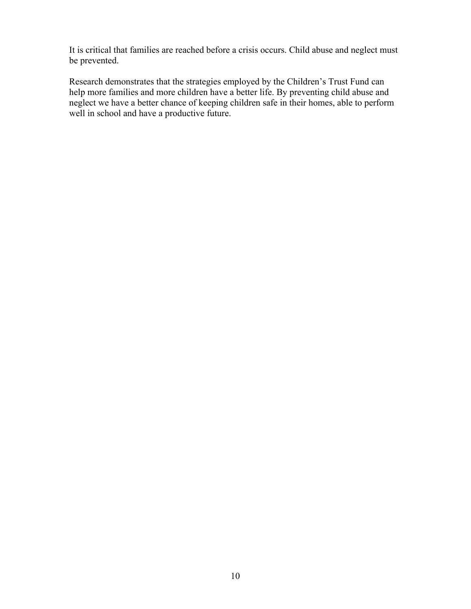It is critical that families are reached before a crisis occurs. Child abuse and neglect must be prevented.

Research demonstrates that the strategies employed by the Children's Trust Fund can help more families and more children have a better life. By preventing child abuse and neglect we have a better chance of keeping children safe in their homes, able to perform well in school and have a productive future.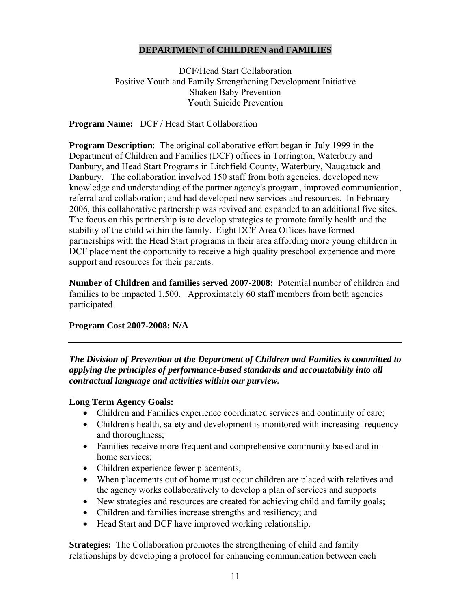### **DEPARTMENT of CHILDREN and FAMILIES**

DCF/Head Start Collaboration Positive Youth and Family Strengthening Development Initiative Shaken Baby Prevention Youth Suicide Prevention

**Program Name:** DCF / Head Start Collaboration

**Program Description**: The original collaborative effort began in July 1999 in the Department of Children and Families (DCF) offices in Torrington, Waterbury and Danbury, and Head Start Programs in Litchfield County, Waterbury, Naugatuck and Danbury. The collaboration involved 150 staff from both agencies, developed new knowledge and understanding of the partner agency's program, improved communication, referral and collaboration; and had developed new services and resources. In February 2006, this collaborative partnership was revived and expanded to an additional five sites. The focus on this partnership is to develop strategies to promote family health and the stability of the child within the family. Eight DCF Area Offices have formed partnerships with the Head Start programs in their area affording more young children in DCF placement the opportunity to receive a high quality preschool experience and more support and resources for their parents.

**Number of Children and families served 2007-2008:** Potential number of children and families to be impacted 1,500. Approximately 60 staff members from both agencies participated.

#### **Program Cost 2007-2008: N/A**

*The Division of Prevention at the Department of Children and Families is committed to applying the principles of performance-based standards and accountability into all contractual language and activities within our purview.* 

#### **Long Term Agency Goals:**

- Children and Families experience coordinated services and continuity of care;
- Children's health, safety and development is monitored with increasing frequency and thoroughness;
- Families receive more frequent and comprehensive community based and inhome services;
- Children experience fewer placements;
- When placements out of home must occur children are placed with relatives and the agency works collaboratively to develop a plan of services and supports
- New strategies and resources are created for achieving child and family goals;
- Children and families increase strengths and resiliency; and
- Head Start and DCF have improved working relationship.

**Strategies:** The Collaboration promotes the strengthening of child and family relationships by developing a protocol for enhancing communication between each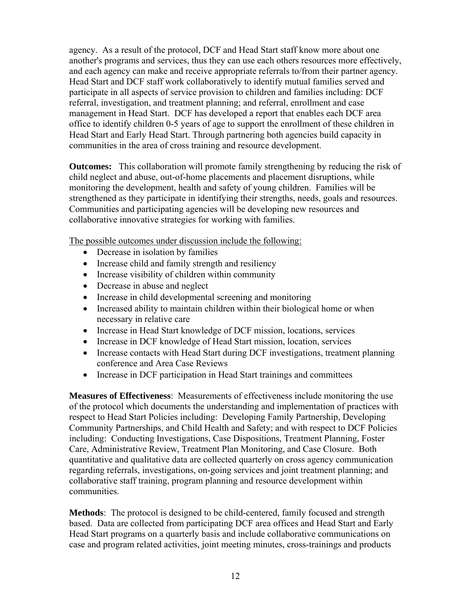agency. As a result of the protocol, DCF and Head Start staff know more about one another's programs and services, thus they can use each others resources more effectively, and each agency can make and receive appropriate referrals to/from their partner agency. Head Start and DCF staff work collaboratively to identify mutual families served and participate in all aspects of service provision to children and families including: DCF referral, investigation, and treatment planning; and referral, enrollment and case management in Head Start. DCF has developed a report that enables each DCF area office to identify children 0-5 years of age to support the enrollment of these children in Head Start and Early Head Start. Through partnering both agencies build capacity in communities in the area of cross training and resource development.

**Outcomes:** This collaboration will promote family strengthening by reducing the risk of child neglect and abuse, out-of-home placements and placement disruptions, while monitoring the development, health and safety of young children. Families will be strengthened as they participate in identifying their strengths, needs, goals and resources. Communities and participating agencies will be developing new resources and collaborative innovative strategies for working with families.

The possible outcomes under discussion include the following:

- Decrease in isolation by families
- Increase child and family strength and resiliency
- Increase visibility of children within community
- Decrease in abuse and neglect
- Increase in child developmental screening and monitoring
- Increased ability to maintain children within their biological home or when necessary in relative care
- Increase in Head Start knowledge of DCF mission, locations, services
- Increase in DCF knowledge of Head Start mission, location, services
- Increase contacts with Head Start during DCF investigations, treatment planning conference and Area Case Reviews
- Increase in DCF participation in Head Start trainings and committees

**Measures of Effectiveness**: Measurements of effectiveness include monitoring the use of the protocol which documents the understanding and implementation of practices with respect to Head Start Policies including: Developing Family Partnership, Developing Community Partnerships, and Child Health and Safety; and with respect to DCF Policies including: Conducting Investigations, Case Dispositions, Treatment Planning, Foster Care, Administrative Review, Treatment Plan Monitoring, and Case Closure. Both quantitative and qualitative data are collected quarterly on cross agency communication regarding referrals, investigations, on-going services and joint treatment planning; and collaborative staff training, program planning and resource development within communities.

**Methods**: The protocol is designed to be child-centered, family focused and strength based. Data are collected from participating DCF area offices and Head Start and Early Head Start programs on a quarterly basis and include collaborative communications on case and program related activities, joint meeting minutes, cross-trainings and products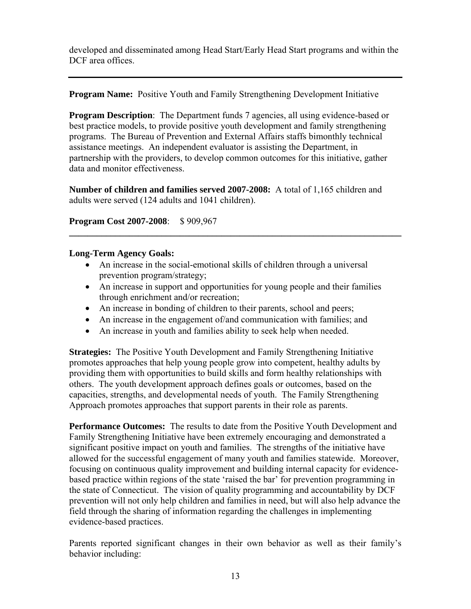developed and disseminated among Head Start/Early Head Start programs and within the DCF area offices.

**Program Name:** Positive Youth and Family Strengthening Development Initiative

**Program Description**: The Department funds 7 agencies, all using evidence-based or best practice models, to provide positive youth development and family strengthening programs. The Bureau of Prevention and External Affairs staffs bimonthly technical assistance meetings. An independent evaluator is assisting the Department, in partnership with the providers, to develop common outcomes for this initiative, gather data and monitor effectiveness.

**Number of children and families served 2007-2008:** A total of 1,165 children and adults were served (124 adults and 1041 children).

**Program Cost 2007-2008**: \$ 909,967

# **Long-Term Agency Goals:**

- An increase in the social-emotional skills of children through a universal prevention program/strategy;
- An increase in support and opportunities for young people and their families through enrichment and/or recreation;

**\_\_\_\_\_\_\_\_\_\_\_\_\_\_\_\_\_\_\_\_\_\_\_\_\_\_\_\_\_\_\_\_\_\_\_\_\_\_\_\_\_\_\_\_\_\_\_\_\_\_\_\_\_\_\_\_\_\_\_\_\_\_\_\_\_\_\_\_\_\_\_\_** 

- An increase in bonding of children to their parents, school and peers;
- An increase in the engagement of/and communication with families; and
- An increase in youth and families ability to seek help when needed.

**Strategies:** The Positive Youth Development and Family Strengthening Initiative promotes approaches that help young people grow into competent, healthy adults by providing them with opportunities to build skills and form healthy relationships with others. The youth development approach defines goals or outcomes, based on the capacities, strengths, and developmental needs of youth. The Family Strengthening Approach promotes approaches that support parents in their role as parents.

**Performance Outcomes:** The results to date from the Positive Youth Development and Family Strengthening Initiative have been extremely encouraging and demonstrated a significant positive impact on youth and families. The strengths of the initiative have allowed for the successful engagement of many youth and families statewide. Moreover, focusing on continuous quality improvement and building internal capacity for evidencebased practice within regions of the state 'raised the bar' for prevention programming in the state of Connecticut. The vision of quality programming and accountability by DCF prevention will not only help children and families in need, but will also help advance the field through the sharing of information regarding the challenges in implementing evidence-based practices.

Parents reported significant changes in their own behavior as well as their family's behavior including: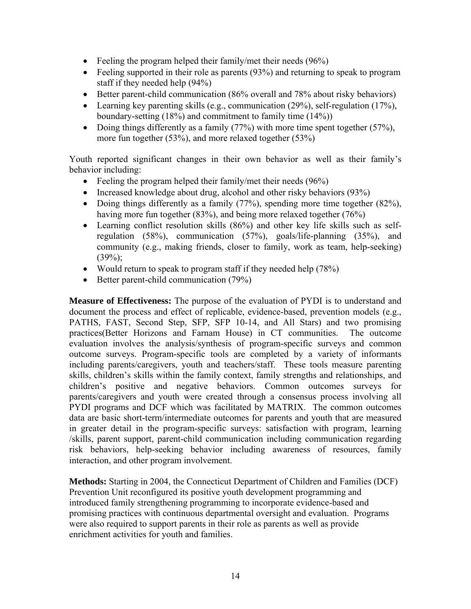- Feeling the program helped their family/met their needs (96%)
- Feeling supported in their role as parents (93%) and returning to speak to program staff if they needed help (94%)
- Better parent-child communication (86% overall and 78% about risky behaviors)
- Learning key parenting skills (e.g., communication (29%), self-regulation (17%), boundary-setting (18%) and commitment to family time (14%))
- Doing things differently as a family  $(77%)$  with more time spent together  $(57%)$ , more fun together (53%), and more relaxed together (53%)

Youth reported significant changes in their own behavior as well as their family's behavior including:

- Feeling the program helped their family/met their needs (96%)
- Increased knowledge about drug, alcohol and other risky behaviors (93%)
- Doing things differently as a family  $(77%)$ , spending more time together  $(82%)$ , having more fun together (83%), and being more relaxed together (76%)
- Learning conflict resolution skills (86%) and other key life skills such as selfregulation (58%), communication (57%), goals/life-planning (35%), and community (e.g., making friends, closer to family, work as team, help-seeking)  $(39\%)$ ;
- Would return to speak to program staff if they needed help (78%)
- Better parent-child communication (79%)

**Measure of Effectiveness:** The purpose of the evaluation of PYDI is to understand and document the process and effect of replicable, evidence-based, prevention models (e.g., PATHS, FAST, Second Step, SFP, SFP 10-14, and All Stars) and two promising practices(Better Horizons and Farnam House) in CT communities. The outcome evaluation involves the analysis/synthesis of program-specific surveys and common outcome surveys. Program-specific tools are completed by a variety of informants including parents/caregivers, youth and teachers/staff. These tools measure parenting skills, children's skills within the family context, family strengths and relationships, and children's positive and negative behaviors. Common outcomes surveys for parents/caregivers and youth were created through a consensus process involving all PYDI programs and DCF which was facilitated by MATRIX. The common outcomes data are basic short-term/intermediate outcomes for parents and youth that are measured in greater detail in the program-specific surveys: satisfaction with program, learning /skills, parent support, parent-child communication including communication regarding risk behaviors, help-seeking behavior including awareness of resources, family interaction, and other program involvement.

**Methods:** Starting in 2004, the Connecticut Department of Children and Families (DCF) Prevention Unit reconfigured its positive youth development programming and introduced family strengthening programming to incorporate evidence-based and promising practices with continuous departmental oversight and evaluation. Programs were also required to support parents in their role as parents as well as provide enrichment activities for youth and families.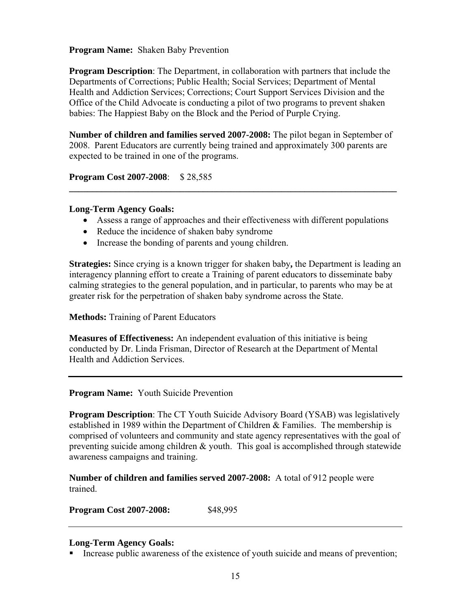#### **Program Name:** Shaken Baby Prevention

**Program Description**: The Department, in collaboration with partners that include the Departments of Corrections; Public Health; Social Services; Department of Mental Health and Addiction Services; Corrections; Court Support Services Division and the Office of the Child Advocate is conducting a pilot of two programs to prevent shaken babies: The Happiest Baby on the Block and the Period of Purple Crying.

**Number of children and families served 2007-2008:** The pilot began in September of 2008. Parent Educators are currently being trained and approximately 300 parents are expected to be trained in one of the programs.

**Program Cost 2007-2008**: \$ 28,585

#### **Long-Term Agency Goals:**

• Assess a range of approaches and their effectiveness with different populations

**\_\_\_\_\_\_\_\_\_\_\_\_\_\_\_\_\_\_\_\_\_\_\_\_\_\_\_\_\_\_\_\_\_\_\_\_\_\_\_\_\_\_\_\_\_\_\_\_\_\_\_\_\_\_\_\_\_\_\_\_\_\_\_\_\_\_\_\_\_\_\_** 

- Reduce the incidence of shaken baby syndrome
- Increase the bonding of parents and young children.

**Strategies:** Since crying is a known trigger for shaken baby**,** the Department is leading an interagency planning effort to create a Training of parent educators to disseminate baby calming strategies to the general population, and in particular, to parents who may be at greater risk for the perpetration of shaken baby syndrome across the State.

**Methods:** Training of Parent Educators

**Measures of Effectiveness:** An independent evaluation of this initiative is being conducted by Dr. Linda Frisman, Director of Research at the Department of Mental Health and Addiction Services.

# **Program Name:** Youth Suicide Prevention

**Program Description**: The CT Youth Suicide Advisory Board (YSAB) was legislatively established in 1989 within the Department of Children & Families. The membership is comprised of volunteers and community and state agency representatives with the goal of preventing suicide among children & youth. This goal is accomplished through statewide awareness campaigns and training.

**Number of children and families served 2007-2008:** A total of 912 people were trained.

**Program Cost 2007-2008:** \$48,995

# **Long-Term Agency Goals:**

Increase public awareness of the existence of youth suicide and means of prevention;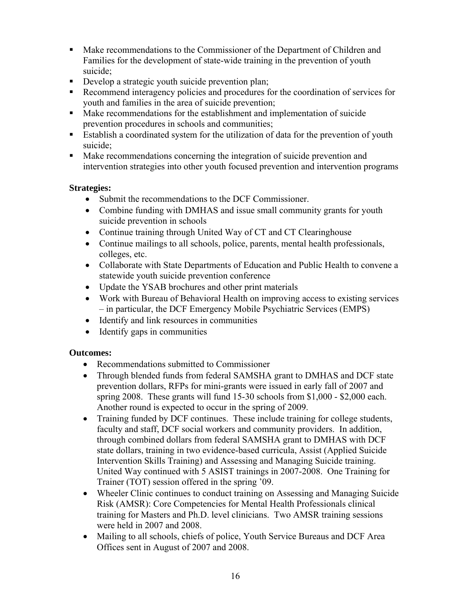- Make recommendations to the Commissioner of the Department of Children and Families for the development of state-wide training in the prevention of youth suicide;
- Develop a strategic youth suicide prevention plan;
- Recommend interagency policies and procedures for the coordination of services for youth and families in the area of suicide prevention;
- Make recommendations for the establishment and implementation of suicide prevention procedures in schools and communities;
- Establish a coordinated system for the utilization of data for the prevention of youth suicide;
- Make recommendations concerning the integration of suicide prevention and intervention strategies into other youth focused prevention and intervention programs

# **Strategies:**

- Submit the recommendations to the DCF Commissioner.
- Combine funding with DMHAS and issue small community grants for youth suicide prevention in schools
- Continue training through United Way of CT and CT Clearinghouse
- Continue mailings to all schools, police, parents, mental health professionals, colleges, etc.
- Collaborate with State Departments of Education and Public Health to convene a statewide youth suicide prevention conference
- Update the YSAB brochures and other print materials
- Work with Bureau of Behavioral Health on improving access to existing services – in particular, the DCF Emergency Mobile Psychiatric Services (EMPS)
- Identify and link resources in communities
- Identify gaps in communities

# **Outcomes:**

- Recommendations submitted to Commissioner
- Through blended funds from federal SAMSHA grant to DMHAS and DCF state prevention dollars, RFPs for mini-grants were issued in early fall of 2007 and spring 2008. These grants will fund 15-30 schools from \$1,000 - \$2,000 each. Another round is expected to occur in the spring of 2009.
- Training funded by DCF continues. These include training for college students, faculty and staff, DCF social workers and community providers. In addition, through combined dollars from federal SAMSHA grant to DMHAS with DCF state dollars, training in two evidence-based curricula, Assist (Applied Suicide Intervention Skills Training) and Assessing and Managing Suicide training. United Way continued with 5 ASIST trainings in 2007-2008. One Training for Trainer (TOT) session offered in the spring '09.
- Wheeler Clinic continues to conduct training on Assessing and Managing Suicide Risk (AMSR): Core Competencies for Mental Health Professionals clinical training for Masters and Ph.D. level clinicians. Two AMSR training sessions were held in 2007 and 2008.
- Mailing to all schools, chiefs of police, Youth Service Bureaus and DCF Area Offices sent in August of 2007 and 2008.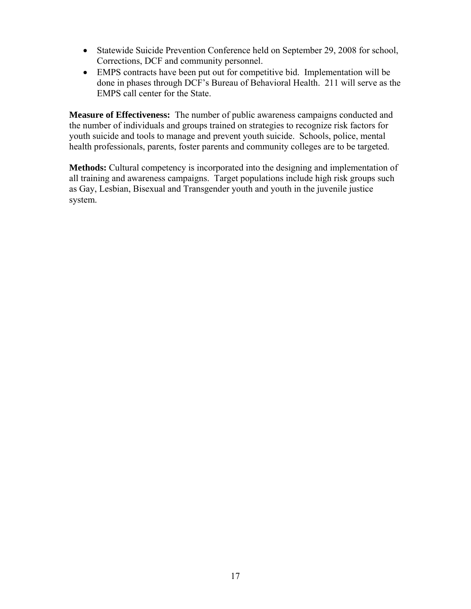- Statewide Suicide Prevention Conference held on September 29, 2008 for school, Corrections, DCF and community personnel.
- EMPS contracts have been put out for competitive bid. Implementation will be done in phases through DCF's Bureau of Behavioral Health. 211 will serve as the EMPS call center for the State.

**Measure of Effectiveness:** The number of public awareness campaigns conducted and the number of individuals and groups trained on strategies to recognize risk factors for youth suicide and tools to manage and prevent youth suicide. Schools, police, mental health professionals, parents, foster parents and community colleges are to be targeted.

**Methods:** Cultural competency is incorporated into the designing and implementation of all training and awareness campaigns. Target populations include high risk groups such as Gay, Lesbian, Bisexual and Transgender youth and youth in the juvenile justice system.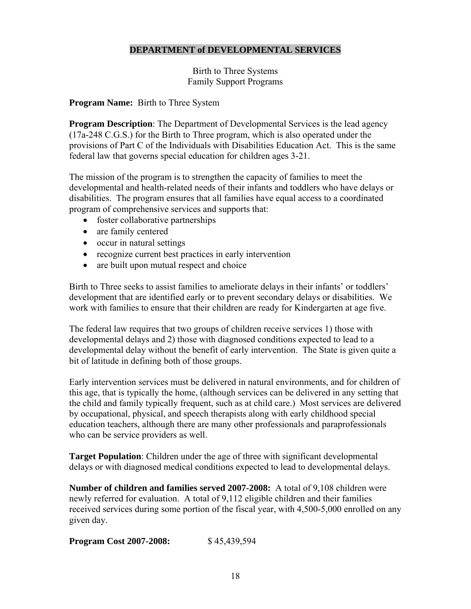# **DEPARTMENT of DEVELOPMENTAL SERVICES**

Birth to Three Systems Family Support Programs

# **Program Name:** Birth to Three System

**Program Description**: The Department of Developmental Services is the lead agency (17a-248 C.G.S.) for the Birth to Three program, which is also operated under the provisions of Part C of the Individuals with Disabilities Education Act. This is the same federal law that governs special education for children ages 3-21.

The mission of the program is to strengthen the capacity of families to meet the developmental and health-related needs of their infants and toddlers who have delays or disabilities. The program ensures that all families have equal access to a coordinated program of comprehensive services and supports that:

- foster collaborative partnerships
- are family centered
- occur in natural settings
- recognize current best practices in early intervention
- are built upon mutual respect and choice

Birth to Three seeks to assist families to ameliorate delays in their infants' or toddlers' development that are identified early or to prevent secondary delays or disabilities. We work with families to ensure that their children are ready for Kindergarten at age five.

The federal law requires that two groups of children receive services 1) those with developmental delays and 2) those with diagnosed conditions expected to lead to a developmental delay without the benefit of early intervention. The State is given quite a bit of latitude in defining both of those groups.

Early intervention services must be delivered in natural environments, and for children of this age, that is typically the home, (although services can be delivered in any setting that the child and family typically frequent, such as at child care.) Most services are delivered by occupational, physical, and speech therapists along with early childhood special education teachers, although there are many other professionals and paraprofessionals who can be service providers as well.

**Target Population**: Children under the age of three with significant developmental delays or with diagnosed medical conditions expected to lead to developmental delays.

**Number of children and families served 2007-2008:** A total of 9,108 children were newly referred for evaluation. A total of 9,112 eligible children and their families received services during some portion of the fiscal year, with 4,500-5,000 enrolled on any given day.

**Program Cost 2007-2008:** \$45,439,594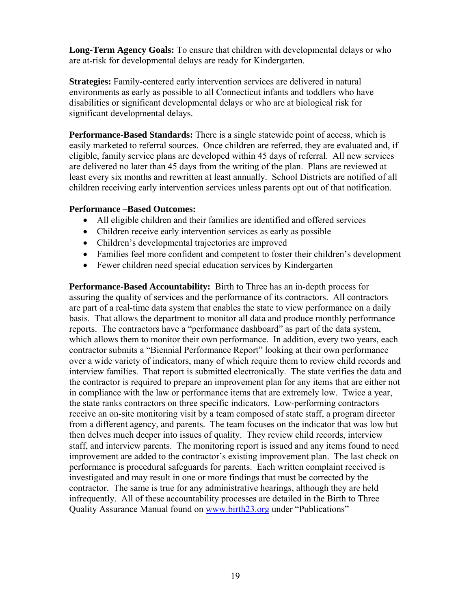**Long-Term Agency Goals:** To ensure that children with developmental delays or who are at-risk for developmental delays are ready for Kindergarten.

**Strategies:** Family-centered early intervention services are delivered in natural environments as early as possible to all Connecticut infants and toddlers who have disabilities or significant developmental delays or who are at biological risk for significant developmental delays.

**Performance-Based Standards:** There is a single statewide point of access, which is easily marketed to referral sources. Once children are referred, they are evaluated and, if eligible, family service plans are developed within 45 days of referral. All new services are delivered no later than 45 days from the writing of the plan. Plans are reviewed at least every six months and rewritten at least annually. School Districts are notified of all children receiving early intervention services unless parents opt out of that notification.

#### **Performance –Based Outcomes:**

- All eligible children and their families are identified and offered services
- Children receive early intervention services as early as possible
- Children's developmental trajectories are improved
- Families feel more confident and competent to foster their children's development
- Fewer children need special education services by Kindergarten

**Performance-Based Accountability:** Birth to Three has an in-depth process for assuring the quality of services and the performance of its contractors. All contractors are part of a real-time data system that enables the state to view performance on a daily basis. That allows the department to monitor all data and produce monthly performance reports. The contractors have a "performance dashboard" as part of the data system, which allows them to monitor their own performance. In addition, every two years, each contractor submits a "Biennial Performance Report" looking at their own performance over a wide variety of indicators, many of which require them to review child records and interview families. That report is submitted electronically. The state verifies the data and the contractor is required to prepare an improvement plan for any items that are either not in compliance with the law or performance items that are extremely low. Twice a year, the state ranks contractors on three specific indicators. Low-performing contractors receive an on-site monitoring visit by a team composed of state staff, a program director from a different agency, and parents. The team focuses on the indicator that was low but then delves much deeper into issues of quality. They review child records, interview staff, and interview parents. The monitoring report is issued and any items found to need improvement are added to the contractor's existing improvement plan. The last check on performance is procedural safeguards for parents. Each written complaint received is investigated and may result in one or more findings that must be corrected by the contractor. The same is true for any administrative hearings, although they are held infrequently. All of these accountability processes are detailed in the Birth to Three Quality Assurance Manual found on [www.birth23.org](http://www.birth23.org/) under "Publications"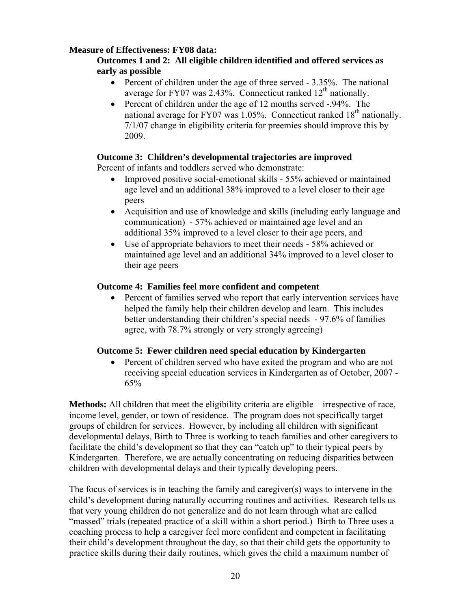# **Measure of Effectiveness: FY08 data:**

#### **Outcomes 1 and 2: All eligible children identified and offered services as early as possible**

- Percent of children under the age of three served 3.35%. The national average for FY07 was 2.43%. Connecticut ranked  $12<sup>th</sup>$  nationally.
- Percent of children under the age of 12 months served -.94%. The national average for FY07 was  $1.05\%$ . Connecticut ranked  $18<sup>th</sup>$  nationally. 7/1/07 change in eligibility criteria for preemies should improve this by 2009.

#### **Outcome 3: Children's developmental trajectories are improved**

Percent of infants and toddlers served who demonstrate:

- Improved positive social-emotional skills 55% achieved or maintained age level and an additional 38% improved to a level closer to their age peers
- Acquisition and use of knowledge and skills (including early language and communication) - 57% achieved or maintained age level and an additional 35% improved to a level closer to their age peers, and
- Use of appropriate behaviors to meet their needs 58% achieved or maintained age level and an additional 34% improved to a level closer to their age peers

#### **Outcome 4: Families feel more confident and competent**

• Percent of families served who report that early intervention services have helped the family help their children develop and learn. This includes better understanding their children's special needs - 97.6% of families agree, with 78.7% strongly or very strongly agreeing)

#### **Outcome 5: Fewer children need special education by Kindergarten**

• Percent of children served who have exited the program and who are not receiving special education services in Kindergarten as of October, 2007 - 65%

**Methods:** All children that meet the eligibility criteria are eligible – irrespective of race, income level, gender, or town of residence. The program does not specifically target groups of children for services. However, by including all children with significant developmental delays, Birth to Three is working to teach families and other caregivers to facilitate the child's development so that they can "catch up" to their typical peers by Kindergarten. Therefore, we are actually concentrating on reducing disparities between children with developmental delays and their typically developing peers.

The focus of services is in teaching the family and caregiver(s) ways to intervene in the child's development during naturally occurring routines and activities. Research tells us that very young children do not generalize and do not learn through what are called "massed" trials (repeated practice of a skill within a short period.) Birth to Three uses a coaching process to help a caregiver feel more confident and competent in facilitating their child's development throughout the day, so that their child gets the opportunity to practice skills during their daily routines, which gives the child a maximum number of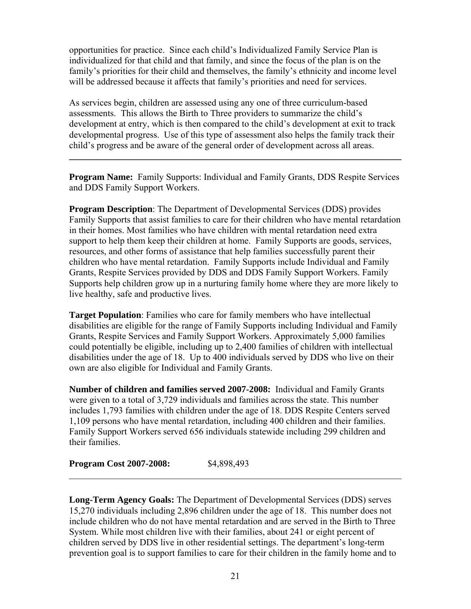opportunities for practice. Since each child's Individualized Family Service Plan is individualized for that child and that family, and since the focus of the plan is on the family's priorities for their child and themselves, the family's ethnicity and income level will be addressed because it affects that family's priorities and need for services.

As services begin, children are assessed using any one of three curriculum-based assessments. This allows the Birth to Three providers to summarize the child's development at entry, which is then compared to the child's development at exit to track developmental progress. Use of this type of assessment also helps the family track their child's progress and be aware of the general order of development across all areas.

**Program Name:** Family Supports: Individual and Family Grants, DDS Respite Services and DDS Family Support Workers.

**\_\_\_\_\_\_\_\_\_\_\_\_\_\_\_\_\_\_\_\_\_\_\_\_\_\_\_\_\_\_\_\_\_\_\_\_\_\_\_\_\_\_\_\_\_\_\_\_\_\_\_\_\_\_\_\_\_\_\_\_\_\_\_\_\_\_\_\_\_\_\_\_** 

**Program Description**: The Department of Developmental Services (DDS) provides Family Supports that assist families to care for their children who have mental retardation in their homes. Most families who have children with mental retardation need extra support to help them keep their children at home. Family Supports are goods, services, resources, and other forms of assistance that help families successfully parent their children who have mental retardation. Family Supports include Individual and Family Grants, Respite Services provided by DDS and DDS Family Support Workers. Family Supports help children grow up in a nurturing family home where they are more likely to live healthy, safe and productive lives.

**Target Population**: Families who care for family members who have intellectual disabilities are eligible for the range of Family Supports including Individual and Family Grants, Respite Services and Family Support Workers. Approximately 5,000 families could potentially be eligible, including up to 2,400 families of children with intellectual disabilities under the age of 18. Up to 400 individuals served by DDS who live on their own are also eligible for Individual and Family Grants.

**Number of children and families served 2007-2008:** Individual and Family Grants were given to a total of 3,729 individuals and families across the state. This number includes 1,793 families with children under the age of 18. DDS Respite Centers served 1,109 persons who have mental retardation, including 400 children and their families. Family Support Workers served 656 individuals statewide including 299 children and their families.

**Program Cost 2007-2008:** \$4,898,493

**Long-Term Agency Goals:** The Department of Developmental Services (DDS) serves 15,270 individuals including 2,896 children under the age of 18. This number does not include children who do not have mental retardation and are served in the Birth to Three System. While most children live with their families, about 241 or eight percent of children served by DDS live in other residential settings. The department's long-term prevention goal is to support families to care for their children in the family home and to

 $\mathcal{L}_\text{max}$  , and the contribution of the contribution of the contribution of the contribution of the contribution of the contribution of the contribution of the contribution of the contribution of the contribution of t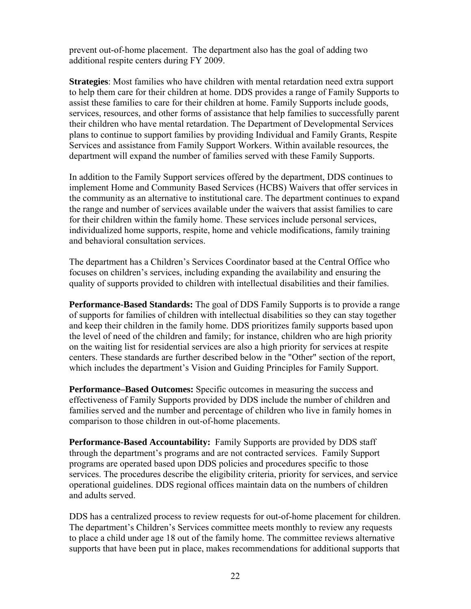prevent out-of-home placement. The department also has the goal of adding two additional respite centers during FY 2009.

**Strategies**: Most families who have children with mental retardation need extra support to help them care for their children at home. DDS provides a range of Family Supports to assist these families to care for their children at home. Family Supports include goods, services, resources, and other forms of assistance that help families to successfully parent their children who have mental retardation. The Department of Developmental Services plans to continue to support families by providing Individual and Family Grants, Respite Services and assistance from Family Support Workers. Within available resources, the department will expand the number of families served with these Family Supports.

In addition to the Family Support services offered by the department, DDS continues to implement Home and Community Based Services (HCBS) Waivers that offer services in the community as an alternative to institutional care. The department continues to expand the range and number of services available under the waivers that assist families to care for their children within the family home. These services include personal services, individualized home supports, respite, home and vehicle modifications, family training and behavioral consultation services.

The department has a Children's Services Coordinator based at the Central Office who focuses on children's services, including expanding the availability and ensuring the quality of supports provided to children with intellectual disabilities and their families.

**Performance-Based Standards:** The goal of DDS Family Supports is to provide a range of supports for families of children with intellectual disabilities so they can stay together and keep their children in the family home. DDS prioritizes family supports based upon the level of need of the children and family; for instance, children who are high priority on the waiting list for residential services are also a high priority for services at respite centers. These standards are further described below in the "Other" section of the report, which includes the department's Vision and Guiding Principles for Family Support.

**Performance–Based Outcomes:** Specific outcomes in measuring the success and effectiveness of Family Supports provided by DDS include the number of children and families served and the number and percentage of children who live in family homes in comparison to those children in out-of-home placements.

**Performance-Based Accountability:** Family Supports are provided by DDS staff through the department's programs and are not contracted services. Family Support programs are operated based upon DDS policies and procedures specific to those services. The procedures describe the eligibility criteria, priority for services, and service operational guidelines. DDS regional offices maintain data on the numbers of children and adults served.

DDS has a centralized process to review requests for out-of-home placement for children. The department's Children's Services committee meets monthly to review any requests to place a child under age 18 out of the family home. The committee reviews alternative supports that have been put in place, makes recommendations for additional supports that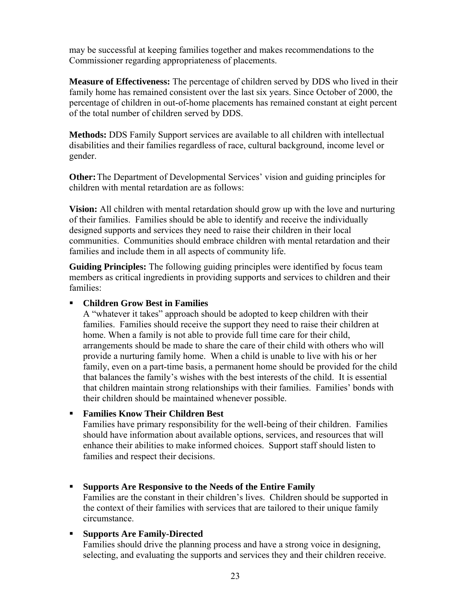may be successful at keeping families together and makes recommendations to the Commissioner regarding appropriateness of placements.

**Measure of Effectiveness:** The percentage of children served by DDS who lived in their family home has remained consistent over the last six years. Since October of 2000, the percentage of children in out-of-home placements has remained constant at eight percent of the total number of children served by DDS.

**Methods:** DDS Family Support services are available to all children with intellectual disabilities and their families regardless of race, cultural background, income level or gender.

**Other:** The Department of Developmental Services' vision and guiding principles for children with mental retardation are as follows:

**Vision:** All children with mental retardation should grow up with the love and nurturing of their families. Families should be able to identify and receive the individually designed supports and services they need to raise their children in their local communities. Communities should embrace children with mental retardation and their families and include them in all aspects of community life.

**Guiding Principles:** The following guiding principles were identified by focus team members as critical ingredients in providing supports and services to children and their families:

#### **Children Grow Best in Families**

A "whatever it takes" approach should be adopted to keep children with their families. Families should receive the support they need to raise their children at home. When a family is not able to provide full time care for their child, arrangements should be made to share the care of their child with others who will provide a nurturing family home. When a child is unable to live with his or her family, even on a part-time basis, a permanent home should be provided for the child that balances the family's wishes with the best interests of the child. It is essential that children maintain strong relationships with their families. Families' bonds with their children should be maintained whenever possible.

#### **Families Know Their Children Best**

Families have primary responsibility for the well-being of their children. Families should have information about available options, services, and resources that will enhance their abilities to make informed choices. Support staff should listen to families and respect their decisions.

 **Supports Are Responsive to the Needs of the Entire Family**  Families are the constant in their children's lives. Children should be supported in the context of their families with services that are tailored to their unique family

# **Supports Are Family-Directed**

circumstance.

Families should drive the planning process and have a strong voice in designing, selecting, and evaluating the supports and services they and their children receive.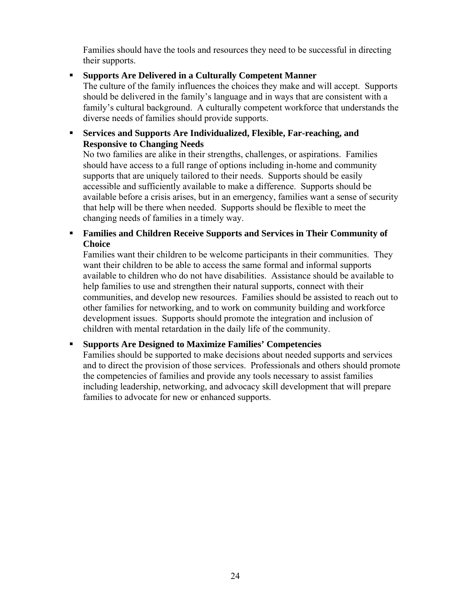Families should have the tools and resources they need to be successful in directing their supports.

# **Supports Are Delivered in a Culturally Competent Manner**

The culture of the family influences the choices they make and will accept. Supports should be delivered in the family's language and in ways that are consistent with a family's cultural background. A culturally competent workforce that understands the diverse needs of families should provide supports.

### **Services and Supports Are Individualized, Flexible, Far-reaching, and Responsive to Changing Needs**

No two families are alike in their strengths, challenges, or aspirations. Families should have access to a full range of options including in-home and community supports that are uniquely tailored to their needs. Supports should be easily accessible and sufficiently available to make a difference. Supports should be available before a crisis arises, but in an emergency, families want a sense of security that help will be there when needed. Supports should be flexible to meet the changing needs of families in a timely way.

 **Families and Children Receive Supports and Services in Their Community of Choice** 

Families want their children to be welcome participants in their communities. They want their children to be able to access the same formal and informal supports available to children who do not have disabilities. Assistance should be available to help families to use and strengthen their natural supports, connect with their communities, and develop new resources. Families should be assisted to reach out to other families for networking, and to work on community building and workforce development issues. Supports should promote the integration and inclusion of children with mental retardation in the daily life of the community.

# **Supports Are Designed to Maximize Families' Competencies**

Families should be supported to make decisions about needed supports and services and to direct the provision of those services. Professionals and others should promote the competencies of families and provide any tools necessary to assist families including leadership, networking, and advocacy skill development that will prepare families to advocate for new or enhanced supports.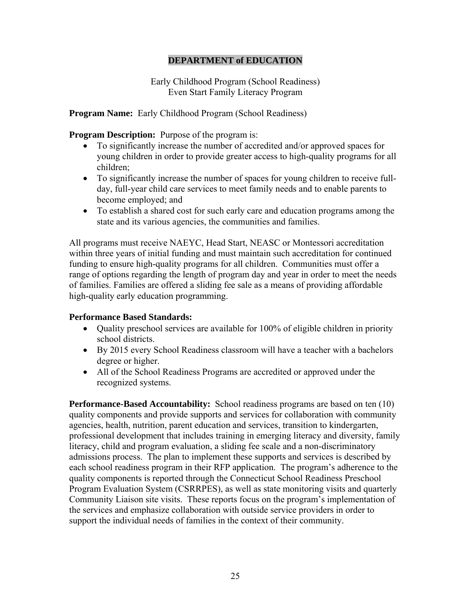# **DEPARTMENT of EDUCATION**

Early Childhood Program (School Readiness) Even Start Family Literacy Program

**Program Name:** Early Childhood Program (School Readiness)

**Program Description:** Purpose of the program is:

- To significantly increase the number of accredited and/or approved spaces for young children in order to provide greater access to high-quality programs for all children;
- To significantly increase the number of spaces for young children to receive fullday, full-year child care services to meet family needs and to enable parents to become employed; and
- To establish a shared cost for such early care and education programs among the state and its various agencies, the communities and families.

All programs must receive NAEYC, Head Start, NEASC or Montessori accreditation within three years of initial funding and must maintain such accreditation for continued funding to ensure high-quality programs for all children. Communities must offer a range of options regarding the length of program day and year in order to meet the needs of families. Families are offered a sliding fee sale as a means of providing affordable high-quality early education programming.

#### **Performance Based Standards:**

- Quality preschool services are available for 100% of eligible children in priority school districts.
- By 2015 every School Readiness classroom will have a teacher with a bachelors degree or higher.
- All of the School Readiness Programs are accredited or approved under the recognized systems.

**Performance-Based Accountability:** School readiness programs are based on ten (10) quality components and provide supports and services for collaboration with community agencies, health, nutrition, parent education and services, transition to kindergarten, professional development that includes training in emerging literacy and diversity, family literacy, child and program evaluation, a sliding fee scale and a non-discriminatory admissions process. The plan to implement these supports and services is described by each school readiness program in their RFP application. The program's adherence to the quality components is reported through the Connecticut School Readiness Preschool Program Evaluation System (CSRRPES), as well as state monitoring visits and quarterly Community Liaison site visits. These reports focus on the program's implementation of the services and emphasize collaboration with outside service providers in order to support the individual needs of families in the context of their community.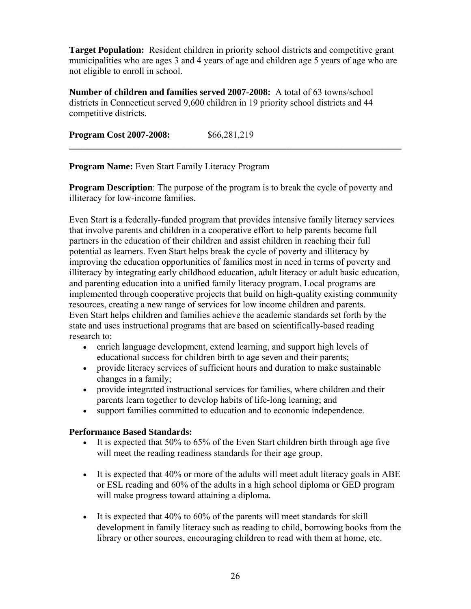**Target Population:** Resident children in priority school districts and competitive grant municipalities who are ages 3 and 4 years of age and children age 5 years of age who are not eligible to enroll in school.

**Number of children and families served 2007-2008:** A total of 63 towns/school districts in Connecticut served 9,600 children in 19 priority school districts and 44 competitive districts.

**Program Cost 2007-2008:** \$66,281,219

**Program Name:** Even Start Family Literacy Program

**Program Description**: The purpose of the program is to break the cycle of poverty and illiteracy for low-income families.

**\_\_\_\_\_\_\_\_\_\_\_\_\_\_\_\_\_\_\_\_\_\_\_\_\_\_\_\_\_\_\_\_\_\_\_\_\_\_\_\_\_\_\_\_\_\_\_\_\_\_\_\_\_\_\_\_\_\_\_\_\_\_\_\_\_\_\_\_\_\_\_\_** 

Even Start is a federally-funded program that provides intensive family literacy services that involve parents and children in a cooperative effort to help parents become full partners in the education of their children and assist children in reaching their full potential as learners. Even Start helps break the cycle of poverty and illiteracy by improving the education opportunities of families most in need in terms of poverty and illiteracy by integrating early childhood education, adult literacy or adult basic education, and parenting education into a unified family literacy program. Local programs are implemented through cooperative projects that build on high-quality existing community resources, creating a new range of services for low income children and parents. Even Start helps children and families achieve the academic standards set forth by the state and uses instructional programs that are based on scientifically-based reading research to:

- enrich language development, extend learning, and support high levels of educational success for children birth to age seven and their parents;
- provide literacy services of sufficient hours and duration to make sustainable changes in a family;
- provide integrated instructional services for families, where children and their parents learn together to develop habits of life-long learning; and
- support families committed to education and to economic independence.

#### **Performance Based Standards:**

- It is expected that 50% to 65% of the Even Start children birth through age five will meet the reading readiness standards for their age group.
- It is expected that 40% or more of the adults will meet adult literacy goals in ABE or ESL reading and 60% of the adults in a high school diploma or GED program will make progress toward attaining a diploma.
- It is expected that 40% to 60% of the parents will meet standards for skill development in family literacy such as reading to child, borrowing books from the library or other sources, encouraging children to read with them at home, etc.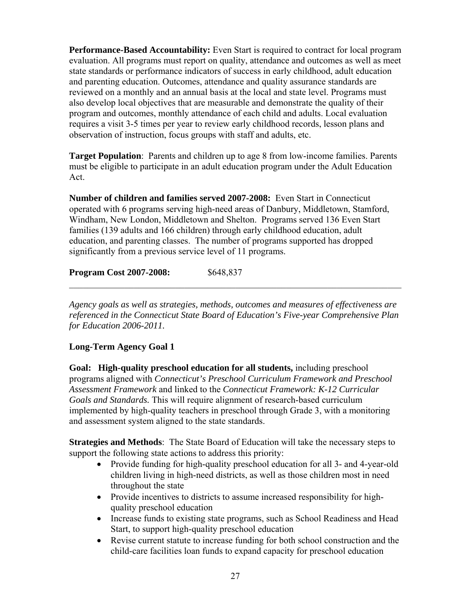**Performance-Based Accountability:** Even Start is required to contract for local program evaluation. All programs must report on quality, attendance and outcomes as well as meet state standards or performance indicators of success in early childhood, adult education and parenting education. Outcomes, attendance and quality assurance standards are reviewed on a monthly and an annual basis at the local and state level. Programs must also develop local objectives that are measurable and demonstrate the quality of their program and outcomes, monthly attendance of each child and adults. Local evaluation requires a visit 3-5 times per year to review early childhood records, lesson plans and observation of instruction, focus groups with staff and adults, etc.

**Target Population**: Parents and children up to age 8 from low-income families. Parents must be eligible to participate in an adult education program under the Adult Education Act.

**Number of children and families served 2007-2008:** Even Start in Connecticut operated with 6 programs serving high-need areas of Danbury, Middletown, Stamford, Windham, New London, Middletown and Shelton. Programs served 136 Even Start families (139 adults and 166 children) through early childhood education, adult education, and parenting classes. The number of programs supported has dropped significantly from a previous service level of 11 programs.

# **Program Cost 2007-2008:** \$648,837

*Agency goals as well as strategies, methods, outcomes and measures of effectiveness are referenced in the Connecticut State Board of Education's Five-year Comprehensive Plan for Education 2006-2011.* 

 $\mathcal{L}_\text{max} = \mathcal{L}_\text{max} = \mathcal{L}_\text{max} = \mathcal{L}_\text{max} = \mathcal{L}_\text{max} = \mathcal{L}_\text{max} = \mathcal{L}_\text{max} = \mathcal{L}_\text{max} = \mathcal{L}_\text{max} = \mathcal{L}_\text{max} = \mathcal{L}_\text{max} = \mathcal{L}_\text{max} = \mathcal{L}_\text{max} = \mathcal{L}_\text{max} = \mathcal{L}_\text{max} = \mathcal{L}_\text{max} = \mathcal{L}_\text{max} = \mathcal{L}_\text{max} = \mathcal{$ 

# **Long-Term Agency Goal 1**

**Goal: High-quality preschool education for all students,** including preschool programs aligned with *Connecticut's Preschool Curriculum Framework and Preschool Assessment Framework* and linked to the *Connecticut Framework: K-12 Curricular Goals and Standards.* This will require alignment of research-based curriculum implemented by high-quality teachers in preschool through Grade 3, with a monitoring and assessment system aligned to the state standards.

**Strategies and Methods**: The State Board of Education will take the necessary steps to support the following state actions to address this priority:

- Provide funding for high-quality preschool education for all 3- and 4-year-old children living in high-need districts, as well as those children most in need throughout the state
- Provide incentives to districts to assume increased responsibility for highquality preschool education
- Increase funds to existing state programs, such as School Readiness and Head Start, to support high-quality preschool education
- Revise current statute to increase funding for both school construction and the child-care facilities loan funds to expand capacity for preschool education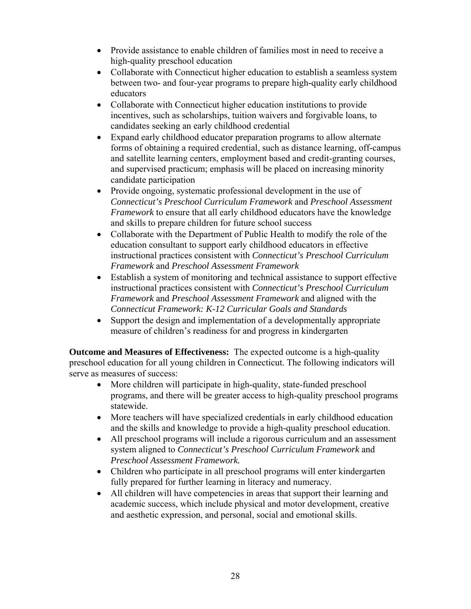- Provide assistance to enable children of families most in need to receive a high-quality preschool education
- Collaborate with Connecticut higher education to establish a seamless system between two- and four-year programs to prepare high-quality early childhood educators
- Collaborate with Connecticut higher education institutions to provide incentives, such as scholarships, tuition waivers and forgivable loans, to candidates seeking an early childhood credential
- Expand early childhood educator preparation programs to allow alternate forms of obtaining a required credential, such as distance learning, off-campus and satellite learning centers, employment based and credit-granting courses, and supervised practicum; emphasis will be placed on increasing minority candidate participation
- Provide ongoing, systematic professional development in the use of *Connecticut's Preschool Curriculum Framework* and *Preschool Assessment Framework* to ensure that all early childhood educators have the knowledge and skills to prepare children for future school success
- Collaborate with the Department of Public Health to modify the role of the education consultant to support early childhood educators in effective instructional practices consistent with *Connecticut's Preschool Curriculum Framework* and *Preschool Assessment Framework*
- Establish a system of monitoring and technical assistance to support effective instructional practices consistent with *Connecticut's Preschool Curriculum Framework* and *Preschool Assessment Framework* and aligned with the *Connecticut Framework: K-12 Curricular Goals and Standards*
- Support the design and implementation of a developmentally appropriate measure of children's readiness for and progress in kindergarten

**Outcome and Measures of Effectiveness:** The expected outcome is a high-quality preschool education for all young children in Connecticut. The following indicators will serve as measures of success:

- More children will participate in high-quality, state-funded preschool programs, and there will be greater access to high-quality preschool programs statewide.
- More teachers will have specialized credentials in early childhood education and the skills and knowledge to provide a high-quality preschool education.
- All preschool programs will include a rigorous curriculum and an assessment system aligned to *Connecticut's Preschool Curriculum Framework* and *Preschool Assessment Framework.*
- Children who participate in all preschool programs will enter kindergarten fully prepared for further learning in literacy and numeracy.
- All children will have competencies in areas that support their learning and academic success, which include physical and motor development, creative and aesthetic expression, and personal, social and emotional skills.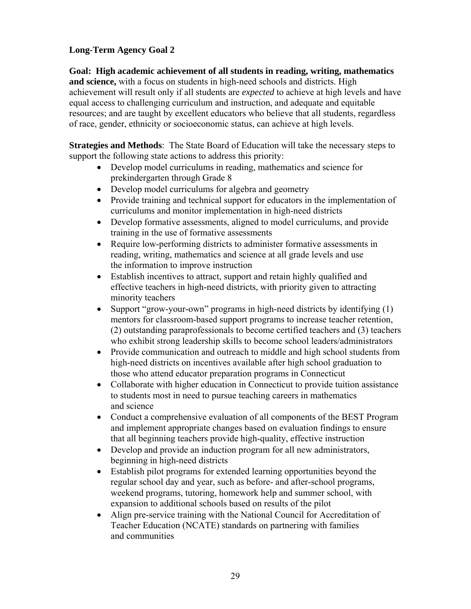# **Long-Term Agency Goal 2**

**Goal: High academic achievement of all students in reading, writing, mathematics and science,** with a focus on students in high-need schools and districts. High achievement will result only if all students are *expected* to achieve at high levels and have equal access to challenging curriculum and instruction, and adequate and equitable resources; and are taught by excellent educators who believe that all students, regardless of race, gender, ethnicity or socioeconomic status, can achieve at high levels.

**Strategies and Methods**: The State Board of Education will take the necessary steps to support the following state actions to address this priority:

- Develop model curriculums in reading, mathematics and science for prekindergarten through Grade 8
- Develop model curriculums for algebra and geometry
- Provide training and technical support for educators in the implementation of curriculums and monitor implementation in high-need districts
- Develop formative assessments, aligned to model curriculums, and provide training in the use of formative assessments
- Require low-performing districts to administer formative assessments in reading, writing, mathematics and science at all grade levels and use the information to improve instruction
- Establish incentives to attract, support and retain highly qualified and effective teachers in high-need districts, with priority given to attracting minority teachers
- Support "grow-your-own" programs in high-need districts by identifying (1) mentors for classroom-based support programs to increase teacher retention, (2) outstanding paraprofessionals to become certified teachers and (3) teachers who exhibit strong leadership skills to become school leaders/administrators
- Provide communication and outreach to middle and high school students from high-need districts on incentives available after high school graduation to those who attend educator preparation programs in Connecticut
- Collaborate with higher education in Connecticut to provide tuition assistance to students most in need to pursue teaching careers in mathematics and science
- Conduct a comprehensive evaluation of all components of the BEST Program and implement appropriate changes based on evaluation findings to ensure that all beginning teachers provide high-quality, effective instruction
- Develop and provide an induction program for all new administrators, beginning in high-need districts
- Establish pilot programs for extended learning opportunities beyond the regular school day and year, such as before- and after-school programs, weekend programs, tutoring, homework help and summer school, with expansion to additional schools based on results of the pilot
- Align pre-service training with the National Council for Accreditation of Teacher Education (NCATE) standards on partnering with families and communities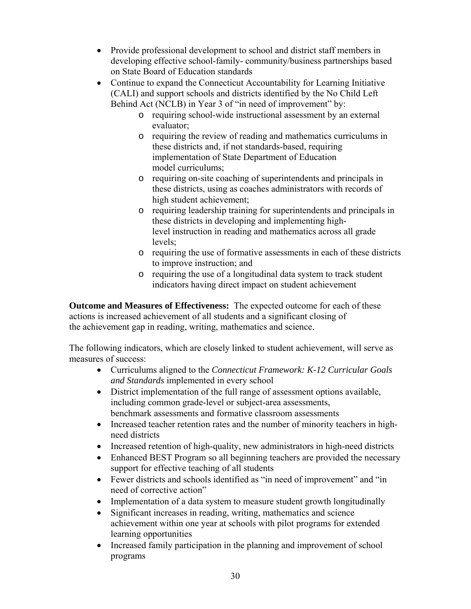- Provide professional development to school and district staff members in developing effective school-family- community/business partnerships based on State Board of Education standards
- Continue to expand the Connecticut Accountability for Learning Initiative (CALI) and support schools and districts identified by the No Child Left Behind Act (NCLB) in Year 3 of "in need of improvement" by:
	- o requiring school-wide instructional assessment by an external evaluator;
	- o requiring the review of reading and mathematics curriculums in these districts and, if not standards-based, requiring implementation of State Department of Education model curriculums;
	- o requiring on-site coaching of superintendents and principals in these districts, using as coaches administrators with records of high student achievement;
	- o requiring leadership training for superintendents and principals in these districts in developing and implementing highlevel instruction in reading and mathematics across all grade levels;
	- o requiring the use of formative assessments in each of these districts to improve instruction; and
	- o requiring the use of a longitudinal data system to track student indicators having direct impact on student achievement

**Outcome and Measures of Effectiveness:** The expected outcome for each of these actions is increased achievement of all students and a significant closing of the achievement gap in reading, writing, mathematics and science.

The following indicators, which are closely linked to student achievement, will serve as measures of success:

- Curriculums aligned to the *Connecticut Framework: K-12 Curricular Goals and Standards* implemented in every school
- District implementation of the full range of assessment options available, including common grade-level or subject-area assessments, benchmark assessments and formative classroom assessments
- Increased teacher retention rates and the number of minority teachers in highneed districts
- Increased retention of high-quality, new administrators in high-need districts
- Enhanced BEST Program so all beginning teachers are provided the necessary support for effective teaching of all students
- Fewer districts and schools identified as "in need of improvement" and "in need of corrective action"
- Implementation of a data system to measure student growth longitudinally
- Significant increases in reading, writing, mathematics and science achievement within one year at schools with pilot programs for extended learning opportunities
- Increased family participation in the planning and improvement of school programs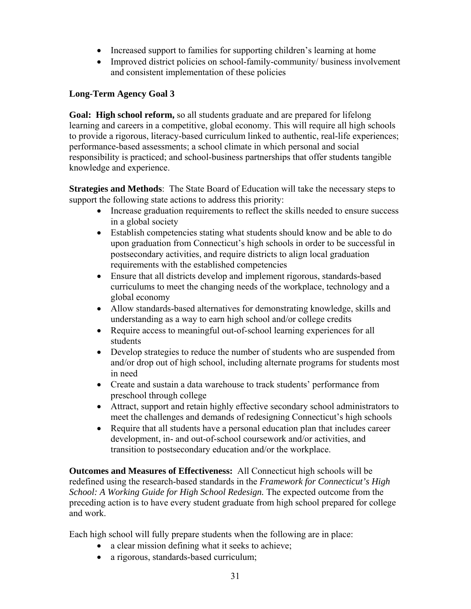- Increased support to families for supporting children's learning at home
- Improved district policies on school-family-community/ business involvement and consistent implementation of these policies

# **Long-Term Agency Goal 3**

**Goal: High school reform,** so all students graduate and are prepared for lifelong learning and careers in a competitive, global economy. This will require all high schools to provide a rigorous, literacy-based curriculum linked to authentic, real-life experiences; performance-based assessments; a school climate in which personal and social responsibility is practiced; and school-business partnerships that offer students tangible knowledge and experience.

**Strategies and Methods**: The State Board of Education will take the necessary steps to support the following state actions to address this priority:

- Increase graduation requirements to reflect the skills needed to ensure success in a global society
- Establish competencies stating what students should know and be able to do upon graduation from Connecticut's high schools in order to be successful in postsecondary activities, and require districts to align local graduation requirements with the established competencies
- Ensure that all districts develop and implement rigorous, standards-based curriculums to meet the changing needs of the workplace, technology and a global economy
- Allow standards-based alternatives for demonstrating knowledge, skills and understanding as a way to earn high school and/or college credits
- Require access to meaningful out-of-school learning experiences for all students
- Develop strategies to reduce the number of students who are suspended from and/or drop out of high school, including alternate programs for students most in need
- Create and sustain a data warehouse to track students' performance from preschool through college
- Attract, support and retain highly effective secondary school administrators to meet the challenges and demands of redesigning Connecticut's high schools
- Require that all students have a personal education plan that includes career development, in- and out-of-school coursework and/or activities, and transition to postsecondary education and/or the workplace.

**Outcomes and Measures of Effectiveness:** All Connecticut high schools will be redefined using the research-based standards in the *Framework for Connecticut's High School: A Working Guide for High School Redesign.* The expected outcome from the preceding action is to have every student graduate from high school prepared for college and work.

Each high school will fully prepare students when the following are in place:

- a clear mission defining what it seeks to achieve;
- a rigorous, standards-based curriculum;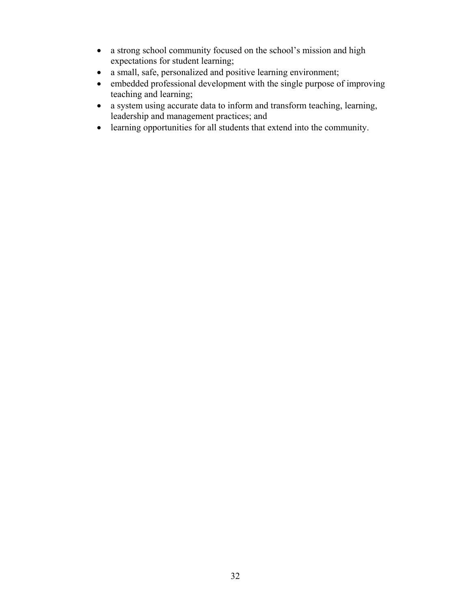- a strong school community focused on the school's mission and high expectations for student learning;
- a small, safe, personalized and positive learning environment;
- embedded professional development with the single purpose of improving teaching and learning;
- a system using accurate data to inform and transform teaching, learning, leadership and management practices; and
- learning opportunities for all students that extend into the community.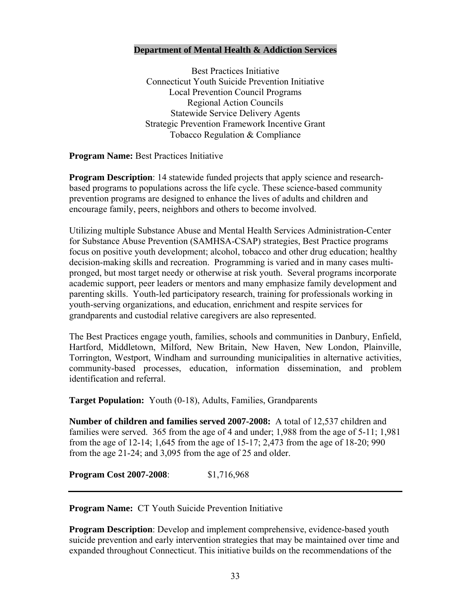#### **Department of Mental Health & Addiction Services**

Best Practices Initiative Connecticut Youth Suicide Prevention Initiative Local Prevention Council Programs Regional Action Councils Statewide Service Delivery Agents Strategic Prevention Framework Incentive Grant Tobacco Regulation & Compliance

**Program Name:** Best Practices Initiative

**Program Description**: 14 statewide funded projects that apply science and researchbased programs to populations across the life cycle. These science-based community prevention programs are designed to enhance the lives of adults and children and encourage family, peers, neighbors and others to become involved.

Utilizing multiple Substance Abuse and Mental Health Services Administration-Center for Substance Abuse Prevention (SAMHSA-CSAP) strategies, Best Practice programs focus on positive youth development; alcohol, tobacco and other drug education; healthy decision-making skills and recreation. Programming is varied and in many cases multipronged, but most target needy or otherwise at risk youth. Several programs incorporate academic support, peer leaders or mentors and many emphasize family development and parenting skills. Youth-led participatory research, training for professionals working in youth-serving organizations, and education, enrichment and respite services for grandparents and custodial relative caregivers are also represented.

The Best Practices engage youth, families, schools and communities in Danbury, Enfield, Hartford, Middletown, Milford, New Britain, New Haven, New London, Plainville, Torrington, Westport, Windham and surrounding municipalities in alternative activities, community-based processes, education, information dissemination, and problem identification and referral.

**Target Population:** Youth (0-18), Adults, Families, Grandparents

**Number of children and families served 2007-2008:** A total of 12,537 children and families were served. 365 from the age of 4 and under; 1,988 from the age of 5-11; 1,981 from the age of 12-14; 1,645 from the age of 15-17; 2,473 from the age of 18-20; 990 from the age 21-24; and 3,095 from the age of 25 and older.

**Program Cost 2007-2008**: \$1,716,968

**Program Name:** CT Youth Suicide Prevention Initiative

**Program Description**: Develop and implement comprehensive, evidence-based youth suicide prevention and early intervention strategies that may be maintained over time and expanded throughout Connecticut. This initiative builds on the recommendations of the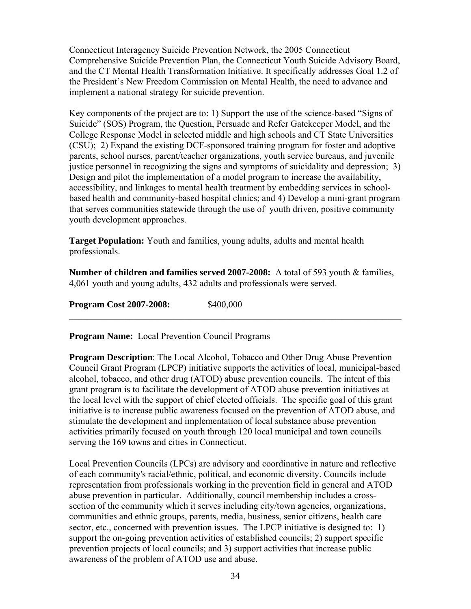Connecticut Interagency Suicide Prevention Network, the 2005 Connecticut Comprehensive Suicide Prevention Plan, the Connecticut Youth Suicide Advisory Board, and the CT Mental Health Transformation Initiative. It specifically addresses Goal 1.2 of the President's New Freedom Commission on Mental Health, the need to advance and implement a national strategy for suicide prevention.

Key components of the project are to: 1) Support the use of the science-based "Signs of Suicide" (SOS) Program, the Question, Persuade and Refer Gatekeeper Model, and the College Response Model in selected middle and high schools and CT State Universities (CSU); 2) Expand the existing DCF-sponsored training program for foster and adoptive parents, school nurses, parent/teacher organizations, youth service bureaus, and juvenile justice personnel in recognizing the signs and symptoms of suicidality and depression; 3) Design and pilot the implementation of a model program to increase the availability, accessibility, and linkages to mental health treatment by embedding services in schoolbased health and community-based hospital clinics; and 4) Develop a mini-grant program that serves communities statewide through the use of youth driven, positive community youth development approaches.

**Target Population:** Youth and families, young adults, adults and mental health professionals.

**Number of children and families served 2007-2008:** A total of 593 youth & families, 4,061 youth and young adults, 432 adults and professionals were served.

 $\mathcal{L}_\text{max}$  , and the contribution of the contribution of the contribution of the contribution of the contribution of the contribution of the contribution of the contribution of the contribution of the contribution of t

**Program Cost 2007-2008:** \$400,000

**Program Name:** Local Prevention Council Programs

**Program Description**: The Local Alcohol, Tobacco and Other Drug Abuse Prevention Council Grant Program (LPCP) initiative supports the activities of local, municipal-based alcohol, tobacco, and other drug (ATOD) abuse prevention councils. The intent of this grant program is to facilitate the development of ATOD abuse prevention initiatives at the local level with the support of chief elected officials. The specific goal of this grant initiative is to increase public awareness focused on the prevention of ATOD abuse, and stimulate the development and implementation of local substance abuse prevention activities primarily focused on youth through 120 local municipal and town councils serving the 169 towns and cities in Connecticut.

Local Prevention Councils (LPCs) are advisory and coordinative in nature and reflective of each community's racial/ethnic, political, and economic diversity. Councils include representation from professionals working in the prevention field in general and ATOD abuse prevention in particular. Additionally, council membership includes a crosssection of the community which it serves including city/town agencies, organizations, communities and ethnic groups, parents, media, business, senior citizens, health care sector, etc., concerned with prevention issues. The LPCP initiative is designed to: 1) support the on-going prevention activities of established councils; 2) support specific prevention projects of local councils; and 3) support activities that increase public awareness of the problem of ATOD use and abuse.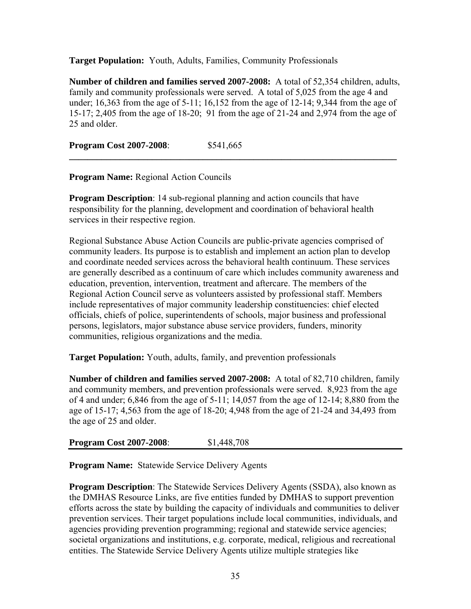**Target Population:** Youth, Adults, Families, Community Professionals

**Number of children and families served 2007-2008:** A total of 52,354 children, adults, family and community professionals were served. A total of 5,025 from the age 4 and under; 16,363 from the age of 5-11; 16,152 from the age of 12-14; 9,344 from the age of 15-17; 2,405 from the age of 18-20; 91 from the age of 21-24 and 2,974 from the age of 25 and older.

**\_\_\_\_\_\_\_\_\_\_\_\_\_\_\_\_\_\_\_\_\_\_\_\_\_\_\_\_\_\_\_\_\_\_\_\_\_\_\_\_\_\_\_\_\_\_\_\_\_\_\_\_\_\_\_\_\_\_\_\_\_\_\_\_\_\_\_\_\_\_\_** 

**Program Cost 2007-2008**: \$541,665

**Program Name:** Regional Action Councils

**Program Description**: 14 sub-regional planning and action councils that have responsibility for the planning, development and coordination of behavioral health services in their respective region.

Regional Substance Abuse Action Councils are public-private agencies comprised of community leaders. Its purpose is to establish and implement an action plan to develop and coordinate needed services across the behavioral health continuum. These services are generally described as a continuum of care which includes community awareness and education, prevention, intervention, treatment and aftercare. The members of the Regional Action Council serve as volunteers assisted by professional staff. Members include representatives of major community leadership constituencies: chief elected officials, chiefs of police, superintendents of schools, major business and professional persons, legislators, major substance abuse service providers, funders, minority communities, religious organizations and the media.

**Target Population:** Youth, adults, family, and prevention professionals

**Number of children and families served 2007-2008:** A total of 82,710 children, family and community members, and prevention professionals were served. 8,923 from the age of 4 and under; 6,846 from the age of 5-11; 14,057 from the age of 12-14; 8,880 from the age of 15-17; 4,563 from the age of 18-20; 4,948 from the age of 21-24 and 34,493 from the age of 25 and older.

|  | <b>Program Cost 2007-2008:</b> | \$1,448,708 |
|--|--------------------------------|-------------|
|--|--------------------------------|-------------|

**Program Name:** Statewide Service Delivery Agents

**Program Description**: The Statewide Services Delivery Agents (SSDA), also known as the DMHAS Resource Links, are five entities funded by DMHAS to support prevention efforts across the state by building the capacity of individuals and communities to deliver prevention services. Their target populations include local communities, individuals, and agencies providing prevention programming; regional and statewide service agencies; societal organizations and institutions, e.g. corporate, medical, religious and recreational entities. The Statewide Service Delivery Agents utilize multiple strategies like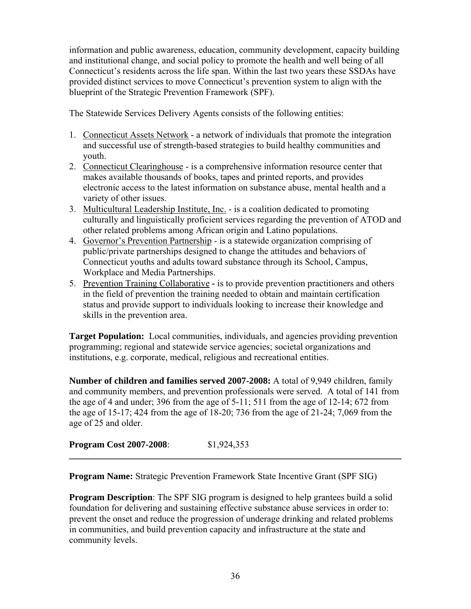information and public awareness, education, community development, capacity building and institutional change, and social policy to promote the health and well being of all Connecticut's residents across the life span. Within the last two years these SSDAs have provided distinct services to move Connecticut's prevention system to align with the blueprint of the Strategic Prevention Framework (SPF).

The Statewide Services Delivery Agents consists of the following entities:

- 1. Connecticut Assets Network a network of individuals that promote the integration and successful use of strength-based strategies to build healthy communities and youth.
- 2. Connecticut Clearinghouse is a comprehensive information resource center that makes available thousands of books, tapes and printed reports, and provides electronic access to the latest information on substance abuse, mental health and a variety of other issues.
- 3. Multicultural Leadership Institute, Inc. is a coalition dedicated to promoting culturally and linguistically proficient services regarding the prevention of ATOD and other related problems among African origin and Latino populations.
- 4. Governor's Prevention Partnership is a statewide organization comprising of public/private partnerships designed to change the attitudes and behaviors of Connecticut youths and adults toward substance through its School, Campus, Workplace and Media Partnerships.
- 5. Prevention Training Collaborativeis to provide prevention practitioners and others in the field of prevention the training needed to obtain and maintain certification status and provide support to individuals looking to increase their knowledge and skills in the prevention area.

**Target Population:** Local communities, individuals, and agencies providing prevention programming; regional and statewide service agencies; societal organizations and institutions, e.g. corporate, medical, religious and recreational entities.

**Number of children and families served 2007-2008:** A total of 9,949 children, family and community members, and prevention professionals were served. A total of 141 from the age of 4 and under; 396 from the age of 5-11; 511 from the age of 12-14; 672 from the age of 15-17; 424 from the age of 18-20; 736 from the age of 21-24; 7,069 from the age of 25 and older.

**\_\_\_\_\_\_\_\_\_\_\_\_\_\_\_\_\_\_\_\_\_\_\_\_\_\_\_\_\_\_\_\_\_\_\_\_\_\_\_\_\_\_\_\_\_\_\_\_\_\_\_\_\_\_\_\_\_\_\_\_\_\_\_\_\_\_\_\_\_\_\_\_** 

|  | <b>Program Cost 2007-2008:</b> | \$1,924,353 |
|--|--------------------------------|-------------|
|--|--------------------------------|-------------|

**Program Name:** Strategic Prevention Framework State Incentive Grant (SPF SIG)

**Program Description**: The SPF SIG program is designed to help grantees build a solid foundation for delivering and sustaining effective substance abuse services in order to: prevent the onset and reduce the progression of underage drinking and related problems in communities, and build prevention capacity and infrastructure at the state and community levels.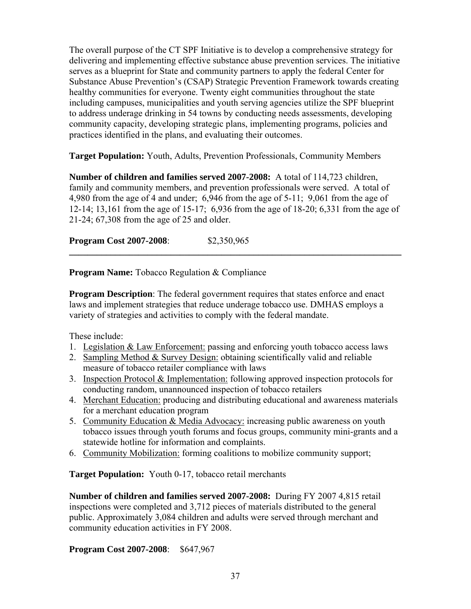The overall purpose of the CT SPF Initiative is to develop a comprehensive strategy for delivering and implementing effective substance abuse prevention services. The initiative serves as a blueprint for State and community partners to apply the federal Center for Substance Abuse Prevention's (CSAP) Strategic Prevention Framework towards creating healthy communities for everyone. Twenty eight communities throughout the state including campuses, municipalities and youth serving agencies utilize the SPF blueprint to address underage drinking in 54 towns by conducting needs assessments, developing community capacity, developing strategic plans, implementing programs, policies and practices identified in the plans, and evaluating their outcomes.

**Target Population:** Youth, Adults, Prevention Professionals, Community Members

**Number of children and families served 2007-2008:** A total of 114,723 children, family and community members, and prevention professionals were served. A total of 4,980 from the age of 4 and under; 6,946 from the age of 5-11; 9,061 from the age of 12-14; 13,161 from the age of 15-17; 6,936 from the age of 18-20; 6,331 from the age of 21-24; 67,308 from the age of 25 and older.

**\_\_\_\_\_\_\_\_\_\_\_\_\_\_\_\_\_\_\_\_\_\_\_\_\_\_\_\_\_\_\_\_\_\_\_\_\_\_\_\_\_\_\_\_\_\_\_\_\_\_\_\_\_\_\_\_\_\_\_\_\_\_\_\_\_\_\_\_\_\_\_\_** 

**Program Cost 2007-2008**: \$2,350,965

**Program Name:** Tobacco Regulation & Compliance

**Program Description**: The federal government requires that states enforce and enact laws and implement strategies that reduce underage tobacco use. DMHAS employs a variety of strategies and activities to comply with the federal mandate.

These include:

- 1. Legislation & Law Enforcement: passing and enforcing youth tobacco access laws
- 2. Sampling Method & Survey Design: obtaining scientifically valid and reliable measure of tobacco retailer compliance with laws
- 3. Inspection Protocol & Implementation: following approved inspection protocols for conducting random, unannounced inspection of tobacco retailers
- 4. Merchant Education: producing and distributing educational and awareness materials for a merchant education program
- 5. Community Education & Media Advocacy: increasing public awareness on youth tobacco issues through youth forums and focus groups, community mini-grants and a statewide hotline for information and complaints.
- 6. Community Mobilization: forming coalitions to mobilize community support;

**Target Population:** Youth 0-17, tobacco retail merchants

**Number of children and families served 2007-2008:** During FY 2007 4,815 retail inspections were completed and 3,712 pieces of materials distributed to the general public. Approximately 3,084 children and adults were served through merchant and community education activities in FY 2008.

**Program Cost 2007-2008**: \$647,967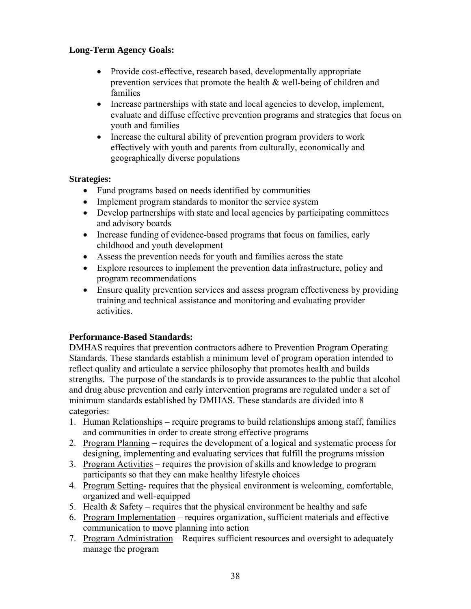# **Long-Term Agency Goals:**

- Provide cost-effective, research based, developmentally appropriate prevention services that promote the health & well-being of children and families
- Increase partnerships with state and local agencies to develop, implement, evaluate and diffuse effective prevention programs and strategies that focus on youth and families
- Increase the cultural ability of prevention program providers to work effectively with youth and parents from culturally, economically and geographically diverse populations

### **Strategies:**

- Fund programs based on needs identified by communities
- Implement program standards to monitor the service system
- Develop partnerships with state and local agencies by participating committees and advisory boards
- Increase funding of evidence-based programs that focus on families, early childhood and youth development
- Assess the prevention needs for youth and families across the state
- Explore resources to implement the prevention data infrastructure, policy and program recommendations
- Ensure quality prevention services and assess program effectiveness by providing training and technical assistance and monitoring and evaluating provider activities.

### **Performance-Based Standards:**

DMHAS requires that prevention contractors adhere to Prevention Program Operating Standards. These standards establish a minimum level of program operation intended to reflect quality and articulate a service philosophy that promotes health and builds strengths. The purpose of the standards is to provide assurances to the public that alcohol and drug abuse prevention and early intervention programs are regulated under a set of minimum standards established by DMHAS. These standards are divided into 8 categories:

- 1. Human Relationships require programs to build relationships among staff, families and communities in order to create strong effective programs
- 2. Program Planning requires the development of a logical and systematic process for designing, implementing and evaluating services that fulfill the programs mission
- 3. Program Activities requires the provision of skills and knowledge to program participants so that they can make healthy lifestyle choices
- 4. Program Setting- requires that the physical environment is welcoming, comfortable, organized and well-equipped
- 5. Health  $\&$  Safety requires that the physical environment be healthy and safe
- 6. Program Implementation requires organization, sufficient materials and effective communication to move planning into action
- 7. Program Administration Requires sufficient resources and oversight to adequately manage the program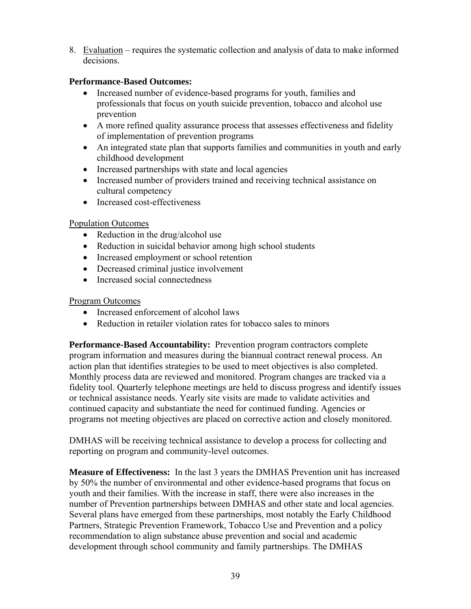8. Evaluation – requires the systematic collection and analysis of data to make informed decisions.

### **Performance-Based Outcomes:**

- Increased number of evidence-based programs for youth, families and professionals that focus on youth suicide prevention, tobacco and alcohol use prevention
- A more refined quality assurance process that assesses effectiveness and fidelity of implementation of prevention programs
- An integrated state plan that supports families and communities in youth and early childhood development
- Increased partnerships with state and local agencies
- Increased number of providers trained and receiving technical assistance on cultural competency
- Increased cost-effectiveness

# Population Outcomes

- Reduction in the drug/alcohol use
- Reduction in suicidal behavior among high school students
- Increased employment or school retention
- Decreased criminal justice involvement
- Increased social connectedness

## Program Outcomes

- Increased enforcement of alcohol laws
- Reduction in retailer violation rates for tobacco sales to minors

**Performance-Based Accountability:** Prevention program contractors complete program information and measures during the biannual contract renewal process. An action plan that identifies strategies to be used to meet objectives is also completed. Monthly process data are reviewed and monitored. Program changes are tracked via a fidelity tool. Quarterly telephone meetings are held to discuss progress and identify issues or technical assistance needs. Yearly site visits are made to validate activities and continued capacity and substantiate the need for continued funding. Agencies or programs not meeting objectives are placed on corrective action and closely monitored.

DMHAS will be receiving technical assistance to develop a process for collecting and reporting on program and community-level outcomes.

**Measure of Effectiveness:** In the last 3 years the DMHAS Prevention unit has increased by 50% the number of environmental and other evidence-based programs that focus on youth and their families. With the increase in staff, there were also increases in the number of Prevention partnerships between DMHAS and other state and local agencies. Several plans have emerged from these partnerships, most notably the Early Childhood Partners, Strategic Prevention Framework, Tobacco Use and Prevention and a policy recommendation to align substance abuse prevention and social and academic development through school community and family partnerships. The DMHAS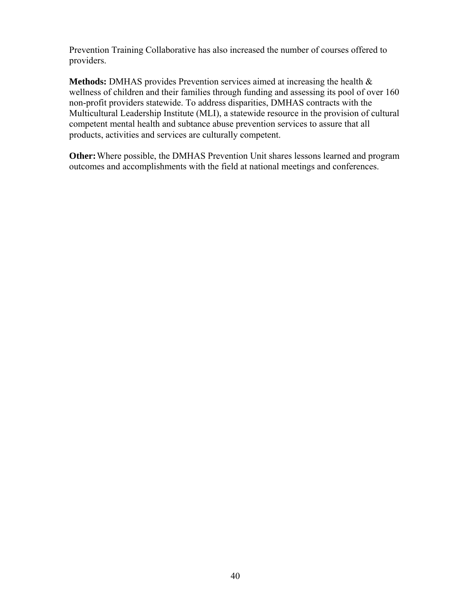Prevention Training Collaborative has also increased the number of courses offered to providers.

**Methods:** DMHAS provides Prevention services aimed at increasing the health & wellness of children and their families through funding and assessing its pool of over 160 non-profit providers statewide. To address disparities, DMHAS contracts with the Multicultural Leadership Institute (MLI), a statewide resource in the provision of cultural competent mental health and subtance abuse prevention services to assure that all products, activities and services are culturally competent.

**Other:** Where possible, the DMHAS Prevention Unit shares lessons learned and program outcomes and accomplishments with the field at national meetings and conferences.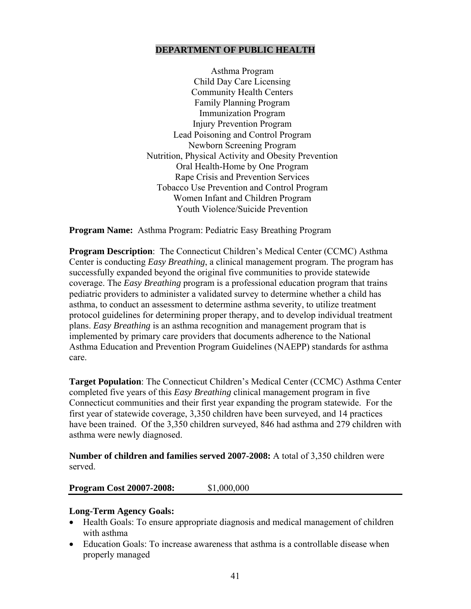#### **DEPARTMENT OF PUBLIC HEALTH**

Asthma Program Child Day Care Licensing Community Health Centers Family Planning Program Immunization Program Injury Prevention Program Lead Poisoning and Control Program Newborn Screening Program Nutrition, Physical Activity and Obesity Prevention Oral Health-Home by One Program Rape Crisis and Prevention Services Tobacco Use Prevention and Control Program Women Infant and Children Program Youth Violence/Suicide Prevention

**Program Name:** Asthma Program: Pediatric Easy Breathing Program

**Program Description**: The Connecticut Children's Medical Center (CCMC) Asthma Center is conducting *Easy Breathing*, a clinical management program. The program has successfully expanded beyond the original five communities to provide statewide coverage. The *Easy Breathing* program is a professional education program that trains pediatric providers to administer a validated survey to determine whether a child has asthma, to conduct an assessment to determine asthma severity, to utilize treatment protocol guidelines for determining proper therapy, and to develop individual treatment plans. *Easy Breathing* is an asthma recognition and management program that is implemented by primary care providers that documents adherence to the National Asthma Education and Prevention Program Guidelines (NAEPP) standards for asthma care.

**Target Population**: The Connecticut Children's Medical Center (CCMC) Asthma Center completed five years of this *Easy Breathing* clinical management program in five Connecticut communities and their first year expanding the program statewide. For the first year of statewide coverage, 3,350 children have been surveyed, and 14 practices have been trained. Of the 3,350 children surveyed, 846 had asthma and 279 children with asthma were newly diagnosed.

**Number of children and families served 2007-2008:** A total of 3,350 children were served.

#### **Program Cost 20007-2008:** \$1,000,000

#### **Long-Term Agency Goals:**

- Health Goals: To ensure appropriate diagnosis and medical management of children with asthma
- Education Goals: To increase awareness that asthma is a controllable disease when properly managed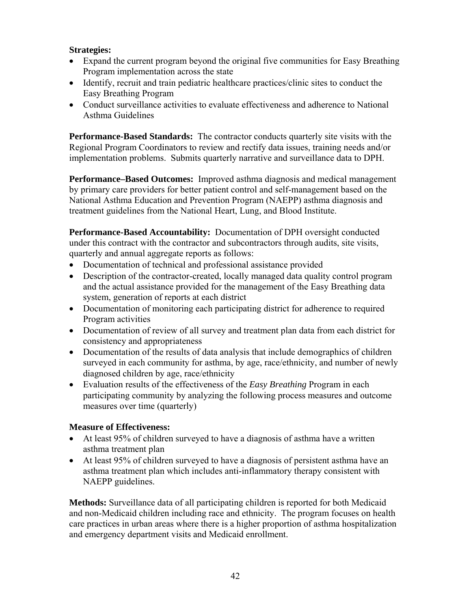### **Strategies:**

- Expand the current program beyond the original five communities for Easy Breathing Program implementation across the state
- Identify, recruit and train pediatric healthcare practices/clinic sites to conduct the Easy Breathing Program
- Conduct surveillance activities to evaluate effectiveness and adherence to National Asthma Guidelines

**Performance-Based Standards:** The contractor conducts quarterly site visits with the Regional Program Coordinators to review and rectify data issues, training needs and/or implementation problems. Submits quarterly narrative and surveillance data to DPH.

**Performance–Based Outcomes:** Improved asthma diagnosis and medical management by primary care providers for better patient control and self-management based on the National Asthma Education and Prevention Program (NAEPP) asthma diagnosis and treatment guidelines from the National Heart, Lung, and Blood Institute.

**Performance-Based Accountability:** Documentation of DPH oversight conducted under this contract with the contractor and subcontractors through audits, site visits, quarterly and annual aggregate reports as follows:

- Documentation of technical and professional assistance provided
- Description of the contractor-created, locally managed data quality control program and the actual assistance provided for the management of the Easy Breathing data system, generation of reports at each district
- Documentation of monitoring each participating district for adherence to required Program activities
- Documentation of review of all survey and treatment plan data from each district for consistency and appropriateness
- Documentation of the results of data analysis that include demographics of children surveyed in each community for asthma, by age, race/ethnicity, and number of newly diagnosed children by age, race/ethnicity
- Evaluation results of the effectiveness of the *Easy Breathing* Program in each participating community by analyzing the following process measures and outcome measures over time (quarterly)

### **Measure of Effectiveness:**

- At least 95% of children surveyed to have a diagnosis of asthma have a written asthma treatment plan
- At least 95% of children surveyed to have a diagnosis of persistent asthma have an asthma treatment plan which includes anti-inflammatory therapy consistent with NAEPP guidelines.

**Methods:** Surveillance data of all participating children is reported for both Medicaid and non-Medicaid children including race and ethnicity. The program focuses on health care practices in urban areas where there is a higher proportion of asthma hospitalization and emergency department visits and Medicaid enrollment.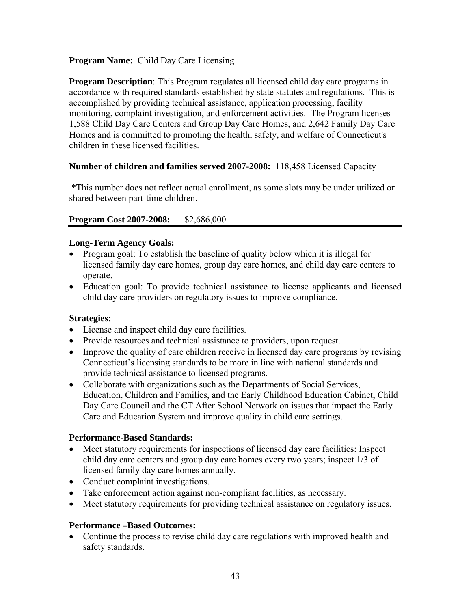### **Program Name:** Child Day Care Licensing

**Program Description**: This Program regulates all licensed child day care programs in accordance with required standards established by state statutes and regulations. This is accomplished by providing technical assistance, application processing, facility monitoring, complaint investigation, and enforcement activities. The Program licenses 1,588 Child Day Care Centers and Group Day Care Homes, and 2,642 Family Day Care Homes and is committed to promoting the health, safety, and welfare of Connecticut's children in these licensed facilities.

### **Number of children and families served 2007-2008:** 118,458 Licensed Capacity

 \*This number does not reflect actual enrollment, as some slots may be under utilized or shared between part-time children.

## **Program Cost 2007-2008:** \$2,686,000

## **Long-Term Agency Goals:**

- Program goal: To establish the baseline of quality below which it is illegal for licensed family day care homes, group day care homes, and child day care centers to operate.
- Education goal: To provide technical assistance to license applicants and licensed child day care providers on regulatory issues to improve compliance.

### **Strategies:**

- License and inspect child day care facilities.
- Provide resources and technical assistance to providers, upon request.
- Improve the quality of care children receive in licensed day care programs by revising Connecticut's licensing standards to be more in line with national standards and provide technical assistance to licensed programs.
- Collaborate with organizations such as the Departments of Social Services, Education, Children and Families, and the Early Childhood Education Cabinet, Child Day Care Council and the CT After School Network on issues that impact the Early Care and Education System and improve quality in child care settings.

### **Performance-Based Standards:**

- Meet statutory requirements for inspections of licensed day care facilities: Inspect child day care centers and group day care homes every two years; inspect 1/3 of licensed family day care homes annually.
- Conduct complaint investigations.
- Take enforcement action against non-compliant facilities, as necessary.
- Meet statutory requirements for providing technical assistance on regulatory issues.

### **Performance –Based Outcomes:**

• Continue the process to revise child day care regulations with improved health and safety standards.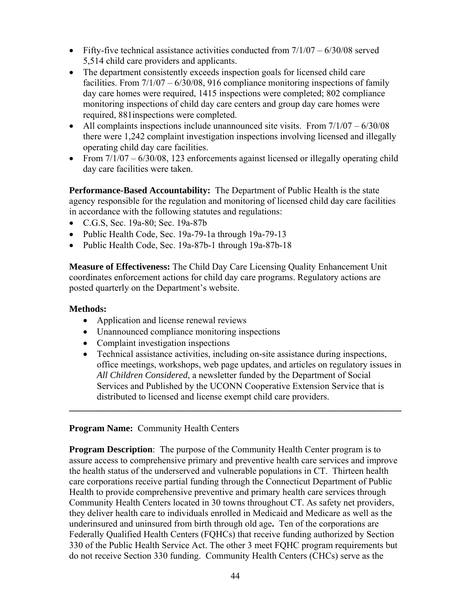- Fifty-five technical assistance activities conducted from  $7/1/07 6/30/08$  served 5,514 child care providers and applicants.
- The department consistently exceeds inspection goals for licensed child care facilities. From 7/1/07 – 6/30/08, 916 compliance monitoring inspections of family day care homes were required, 1415 inspections were completed; 802 compliance monitoring inspections of child day care centers and group day care homes were required, 881inspections were completed.
- All complaints inspections include unannounced site visits. From  $7/1/07 6/30/08$ there were 1,242 complaint investigation inspections involving licensed and illegally operating child day care facilities.
- From  $7/1/07 6/30/08$ , 123 enforcements against licensed or illegally operating child day care facilities were taken.

**Performance-Based Accountability:** The Department of Public Health is the state agency responsible for the regulation and monitoring of licensed child day care facilities in accordance with the following statutes and regulations:

- C.G.S, Sec. 19a-80; Sec. 19a-87b
- Public Health Code, Sec. 19a-79-1a through 19a-79-13
- Public Health Code, Sec. 19a-87b-1 through 19a-87b-18

**Measure of Effectiveness:** The Child Day Care Licensing Quality Enhancement Unit coordinates enforcement actions for child day care programs. Regulatory actions are posted quarterly on the Department's website.

#### **Methods:**

- Application and license renewal reviews
- Unannounced compliance monitoring inspections
- Complaint investigation inspections
- Technical assistance activities, including on-site assistance during inspections, office meetings, workshops, web page updates, and articles on regulatory issues in *All Children Considered*, a newsletter funded by the Department of Social Services and Published by the UCONN Cooperative Extension Service that is distributed to licensed and license exempt child care providers.

**\_\_\_\_\_\_\_\_\_\_\_\_\_\_\_\_\_\_\_\_\_\_\_\_\_\_\_\_\_\_\_\_\_\_\_\_\_\_\_\_\_\_\_\_\_\_\_\_\_\_\_\_\_\_\_\_\_\_\_\_\_\_\_\_\_\_\_\_\_\_\_\_** 

### **Program Name:** Community Health Centers

**Program Description**: The purpose of the Community Health Center program is to assure access to comprehensive primary and preventive health care services and improve the health status of the underserved and vulnerable populations in CT. Thirteen health care corporations receive partial funding through the Connecticut Department of Public Health to provide comprehensive preventive and primary health care services through Community Health Centers located in 30 towns throughout CT. As safety net providers, they deliver health care to individuals enrolled in Medicaid and Medicare as well as the underinsured and uninsured from birth through old age**.** Ten of the corporations are Federally Qualified Health Centers (FQHCs) that receive funding authorized by Section 330 of the Public Health Service Act. The other 3 meet FQHC program requirements but do not receive Section 330 funding. Community Health Centers (CHCs) serve as the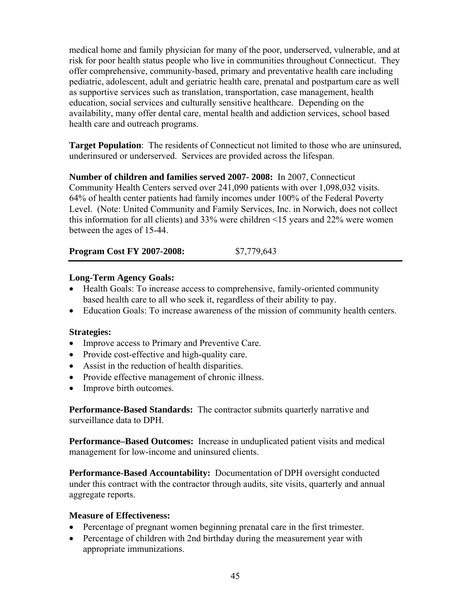medical home and family physician for many of the poor, underserved, vulnerable, and at risk for poor health status people who live in communities throughout Connecticut. They offer comprehensive, community-based, primary and preventative health care including pediatric, adolescent, adult and geriatric health care, prenatal and postpartum care as well as supportive services such as translation, transportation, case management, health education, social services and culturally sensitive healthcare. Depending on the availability, many offer dental care, mental health and addiction services, school based health care and outreach programs.

**Target Population**: The residents of Connecticut not limited to those who are uninsured, underinsured or underserved. Services are provided across the lifespan.

**Number of children and families served 2007- 2008:** In 2007, Connecticut Community Health Centers served over 241,090 patients with over 1,098,032 visits. 64% of health center patients had family incomes under 100% of the Federal Poverty Level. (Note: United Community and Family Services, Inc. in Norwich, does not collect this information for all clients) and 33% were children <15 years and 22% were women between the ages of 15-44.

**Program Cost FY 2007-2008:** \$7,779,643

## **Long-Term Agency Goals:**

- Health Goals: To increase access to comprehensive, family-oriented community based health care to all who seek it, regardless of their ability to pay.
- Education Goals: To increase awareness of the mission of community health centers.

### **Strategies:**

- Improve access to Primary and Preventive Care.
- Provide cost-effective and high-quality care.
- Assist in the reduction of health disparities.
- Provide effective management of chronic illness.
- Improve birth outcomes.

**Performance-Based Standards:** The contractor submits quarterly narrative and surveillance data to DPH.

**Performance–Based Outcomes:** Increase in unduplicated patient visits and medical management for low-income and uninsured clients.

**Performance-Based Accountability:** Documentation of DPH oversight conducted under this contract with the contractor through audits, site visits, quarterly and annual aggregate reports.

### **Measure of Effectiveness:**

- Percentage of pregnant women beginning prenatal care in the first trimester.
- Percentage of children with 2nd birthday during the measurement year with appropriate immunizations.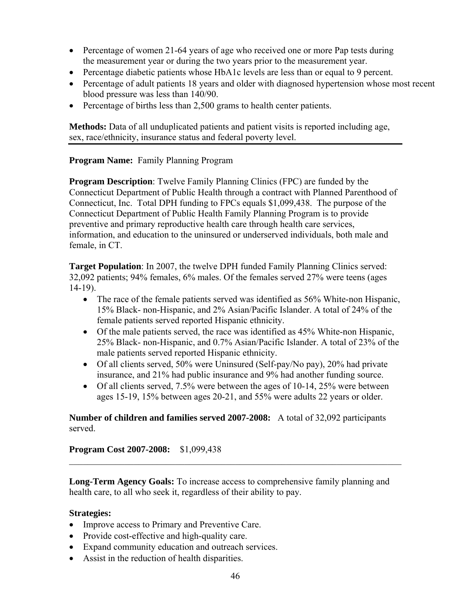- Percentage of women 21-64 years of age who received one or more Pap tests during the measurement year or during the two years prior to the measurement year.
- Percentage diabetic patients whose HbA1c levels are less than or equal to 9 percent.
- Percentage of adult patients 18 years and older with diagnosed hypertension whose most recent blood pressure was less than 140/90.
- Percentage of births less than 2,500 grams to health center patients.

**Methods:** Data of all unduplicated patients and patient visits is reported including age, sex, race/ethnicity, insurance status and federal poverty level.

## **Program Name:** Family Planning Program

**Program Description**: Twelve Family Planning Clinics (FPC) are funded by the Connecticut Department of Public Health through a contract with Planned Parenthood of Connecticut, Inc. Total DPH funding to FPCs equals \$1,099,438. The purpose of the Connecticut Department of Public Health Family Planning Program is to provide preventive and primary reproductive health care through health care services, information, and education to the uninsured or underserved individuals, both male and female, in CT.

**Target Population**: In 2007, the twelve DPH funded Family Planning Clinics served: 32,092 patients; 94% females, 6% males. Of the females served 27% were teens (ages 14-19).

- The race of the female patients served was identified as 56% White-non Hispanic, 15% Black- non-Hispanic, and 2% Asian/Pacific Islander. A total of 24% of the female patients served reported Hispanic ethnicity.
- Of the male patients served, the race was identified as 45% White-non Hispanic, 25% Black- non-Hispanic, and 0.7% Asian/Pacific Islander. A total of 23% of the male patients served reported Hispanic ethnicity.
- Of all clients served, 50% were Uninsured (Self-pay/No pay), 20% had private insurance, and 21% had public insurance and 9% had another funding source.
- Of all clients served,  $7.5\%$  were between the ages of 10-14, 25% were between ages 15-19, 15% between ages 20-21, and 55% were adults 22 years or older.

**Number of children and families served 2007-2008:** A total of 32,092 participants served.

### **Program Cost 2007-2008:** \$1,099,438

**Long-Term Agency Goals:** To increase access to comprehensive family planning and health care, to all who seek it, regardless of their ability to pay.

 $\_$  , and the contribution of the contribution of  $\mathcal{L}_\mathcal{A}$  , and the contribution of  $\mathcal{L}_\mathcal{A}$ 

### **Strategies:**

- Improve access to Primary and Preventive Care.
- Provide cost-effective and high-quality care.
- Expand community education and outreach services.
- Assist in the reduction of health disparities.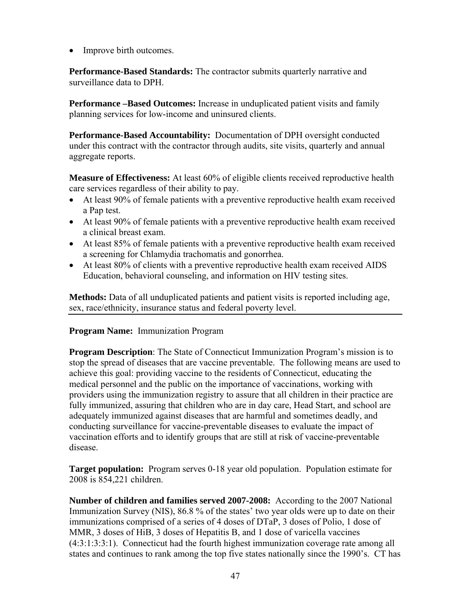• Improve birth outcomes.

**Performance-Based Standards:** The contractor submits quarterly narrative and surveillance data to DPH.

**Performance –Based Outcomes:** Increase in unduplicated patient visits and family planning services for low-income and uninsured clients.

**Performance-Based Accountability:** Documentation of DPH oversight conducted under this contract with the contractor through audits, site visits, quarterly and annual aggregate reports.

**Measure of Effectiveness:** At least 60% of eligible clients received reproductive health care services regardless of their ability to pay.

- At least 90% of female patients with a preventive reproductive health exam received a Pap test.
- At least 90% of female patients with a preventive reproductive health exam received a clinical breast exam.
- At least 85% of female patients with a preventive reproductive health exam received a screening for Chlamydia trachomatis and gonorrhea.
- At least 80% of clients with a preventive reproductive health exam received AIDS Education, behavioral counseling, and information on HIV testing sites.

**Methods:** Data of all unduplicated patients and patient visits is reported including age, sex, race/ethnicity, insurance status and federal poverty level.

### **Program Name:** Immunization Program

**Program Description**: The State of Connecticut Immunization Program's mission is to stop the spread of diseases that are vaccine preventable. The following means are used to achieve this goal: providing vaccine to the residents of Connecticut, educating the medical personnel and the public on the importance of vaccinations, working with providers using the immunization registry to assure that all children in their practice are fully immunized, assuring that children who are in day care, Head Start, and school are adequately immunized against diseases that are harmful and sometimes deadly, and conducting surveillance for vaccine-preventable diseases to evaluate the impact of vaccination efforts and to identify groups that are still at risk of vaccine-preventable disease.

**Target population:** Program serves 0-18 year old population. Population estimate for 2008 is 854,221 children.

**Number of children and families served 2007-2008:** According to the 2007 National Immunization Survey (NIS), 86.8 % of the states' two year olds were up to date on their immunizations comprised of a series of 4 doses of DTaP, 3 doses of Polio, 1 dose of MMR, 3 doses of HiB, 3 doses of Hepatitis B, and 1 dose of varicella vaccines (4:3:1:3:3:1). Connecticut had the fourth highest immunization coverage rate among all states and continues to rank among the top five states nationally since the 1990's. CT has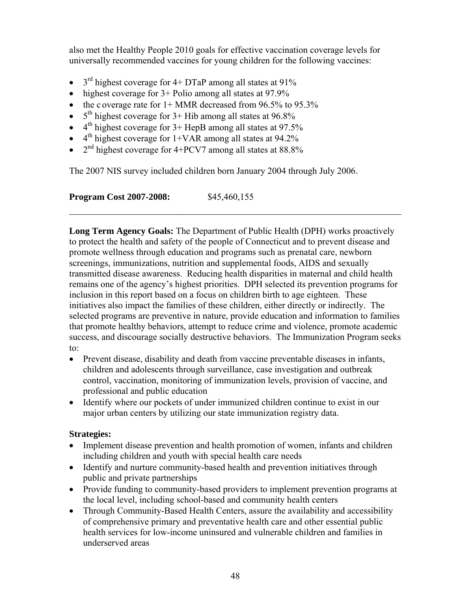also met the Healthy People 2010 goals for effective vaccination coverage levels for universally recommended vaccines for young children for the following vaccines:

- $3<sup>rd</sup>$  highest coverage for 4+ DTaP among all states at 91%
- highest coverage for  $3+$  Polio among all states at 97.9%
- the c overage rate for  $1+$  MMR decreased from 96.5% to 95.3%
- $5<sup>th</sup>$  highest coverage for 3+ Hib among all states at 96.8%
- $\bullet$  4<sup>th</sup> highest coverage for 3+ HepB among all states at 97.5%
- $\bullet$  4<sup>th</sup> highest coverage for 1+VAR among all states at 94.2%
- $2<sup>nd</sup>$  highest coverage for 4+PCV7 among all states at 88.8%

The 2007 NIS survey included children born January 2004 through July 2006.

**Program Cost 2007-2008:** \$45,460,155

**Long Term Agency Goals:** The Department of Public Health (DPH) works proactively to protect the health and safety of the people of Connecticut and to prevent disease and promote wellness through education and programs such as prenatal care, newborn screenings, immunizations, nutrition and supplemental foods, AIDS and sexually transmitted disease awareness. Reducing health disparities in maternal and child health remains one of the agency's highest priorities. DPH selected its prevention programs for inclusion in this report based on a focus on children birth to age eighteen. These initiatives also impact the families of these children, either directly or indirectly. The selected programs are preventive in nature, provide education and information to families that promote healthy behaviors, attempt to reduce crime and violence, promote academic success, and discourage socially destructive behaviors. The Immunization Program seeks to:

 $\_$  , and the contribution of the contribution of  $\mathcal{L}_\mathcal{A}$  , and the contribution of  $\mathcal{L}_\mathcal{A}$ 

- Prevent disease, disability and death from vaccine preventable diseases in infants, children and adolescents through surveillance, case investigation and outbreak control, vaccination, monitoring of immunization levels, provision of vaccine, and professional and public education
- Identify where our pockets of under immunized children continue to exist in our major urban centers by utilizing our state immunization registry data.

### **Strategies:**

- Implement disease prevention and health promotion of women, infants and children including children and youth with special health care needs
- Identify and nurture community-based health and prevention initiatives through public and private partnerships
- Provide funding to community-based providers to implement prevention programs at the local level, including school-based and community health centers
- Through Community-Based Health Centers, assure the availability and accessibility of comprehensive primary and preventative health care and other essential public health services for low-income uninsured and vulnerable children and families in underserved areas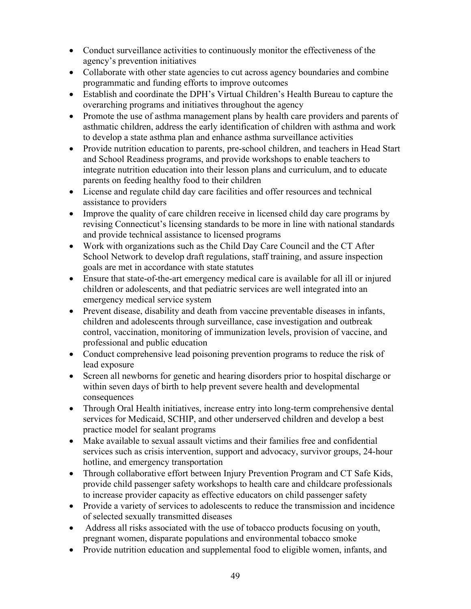- Conduct surveillance activities to continuously monitor the effectiveness of the agency's prevention initiatives
- Collaborate with other state agencies to cut across agency boundaries and combine programmatic and funding efforts to improve outcomes
- Establish and coordinate the DPH's Virtual Children's Health Bureau to capture the overarching programs and initiatives throughout the agency
- Promote the use of asthma management plans by health care providers and parents of asthmatic children, address the early identification of children with asthma and work to develop a state asthma plan and enhance asthma surveillance activities
- Provide nutrition education to parents, pre-school children, and teachers in Head Start and School Readiness programs, and provide workshops to enable teachers to integrate nutrition education into their lesson plans and curriculum, and to educate parents on feeding healthy food to their children
- License and regulate child day care facilities and offer resources and technical assistance to providers
- Improve the quality of care children receive in licensed child day care programs by revising Connecticut's licensing standards to be more in line with national standards and provide technical assistance to licensed programs
- Work with organizations such as the Child Day Care Council and the CT After School Network to develop draft regulations, staff training, and assure inspection goals are met in accordance with state statutes
- Ensure that state-of-the-art emergency medical care is available for all ill or injured children or adolescents, and that pediatric services are well integrated into an emergency medical service system
- Prevent disease, disability and death from vaccine preventable diseases in infants, children and adolescents through surveillance, case investigation and outbreak control, vaccination, monitoring of immunization levels, provision of vaccine, and professional and public education
- Conduct comprehensive lead poisoning prevention programs to reduce the risk of lead exposure
- Screen all newborns for genetic and hearing disorders prior to hospital discharge or within seven days of birth to help prevent severe health and developmental consequences
- Through Oral Health initiatives, increase entry into long-term comprehensive dental services for Medicaid, SCHIP, and other underserved children and develop a best practice model for sealant programs
- Make available to sexual assault victims and their families free and confidential services such as crisis intervention, support and advocacy, survivor groups, 24-hour hotline, and emergency transportation
- Through collaborative effort between Injury Prevention Program and CT Safe Kids, provide child passenger safety workshops to health care and childcare professionals to increase provider capacity as effective educators on child passenger safety
- Provide a variety of services to adolescents to reduce the transmission and incidence of selected sexually transmitted diseases
- Address all risks associated with the use of tobacco products focusing on youth, pregnant women, disparate populations and environmental tobacco smoke
- Provide nutrition education and supplemental food to eligible women, infants, and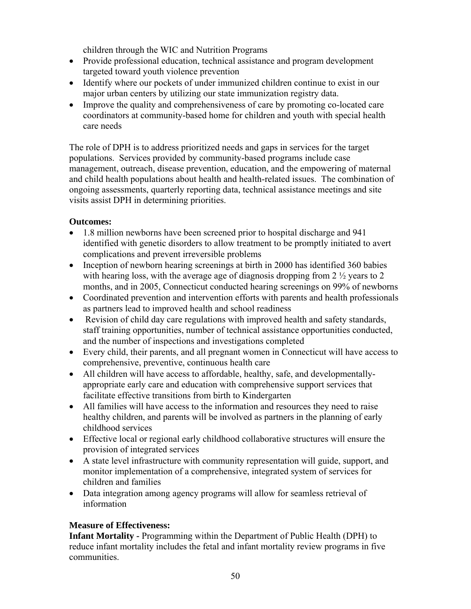children through the WIC and Nutrition Programs

- Provide professional education, technical assistance and program development targeted toward youth violence prevention
- Identify where our pockets of under immunized children continue to exist in our major urban centers by utilizing our state immunization registry data.
- Improve the quality and comprehensiveness of care by promoting co-located care coordinators at community-based home for children and youth with special health care needs

The role of DPH is to address prioritized needs and gaps in services for the target populations. Services provided by community-based programs include case management, outreach, disease prevention, education, and the empowering of maternal and child health populations about health and health-related issues. The combination of ongoing assessments, quarterly reporting data, technical assistance meetings and site visits assist DPH in determining priorities.

# **Outcomes:**

- 1.8 million newborns have been screened prior to hospital discharge and 941 identified with genetic disorders to allow treatment to be promptly initiated to avert complications and prevent irreversible problems
- Inception of newborn hearing screenings at birth in 2000 has identified 360 babies with hearing loss, with the average age of diagnosis dropping from  $2\frac{1}{2}$  years to 2 months, and in 2005, Connecticut conducted hearing screenings on 99% of newborns
- Coordinated prevention and intervention efforts with parents and health professionals as partners lead to improved health and school readiness
- Revision of child day care regulations with improved health and safety standards, staff training opportunities, number of technical assistance opportunities conducted, and the number of inspections and investigations completed
- Every child, their parents, and all pregnant women in Connecticut will have access to comprehensive, preventive, continuous health care
- All children will have access to affordable, healthy, safe, and developmentallyappropriate early care and education with comprehensive support services that facilitate effective transitions from birth to Kindergarten
- All families will have access to the information and resources they need to raise healthy children, and parents will be involved as partners in the planning of early childhood services
- Effective local or regional early childhood collaborative structures will ensure the provision of integrated services
- A state level infrastructure with community representation will guide, support, and monitor implementation of a comprehensive, integrated system of services for children and families
- Data integration among agency programs will allow for seamless retrieval of information

# **Measure of Effectiveness:**

**Infant Mortality -** Programming within the Department of Public Health (DPH) to reduce infant mortality includes the fetal and infant mortality review programs in five communities.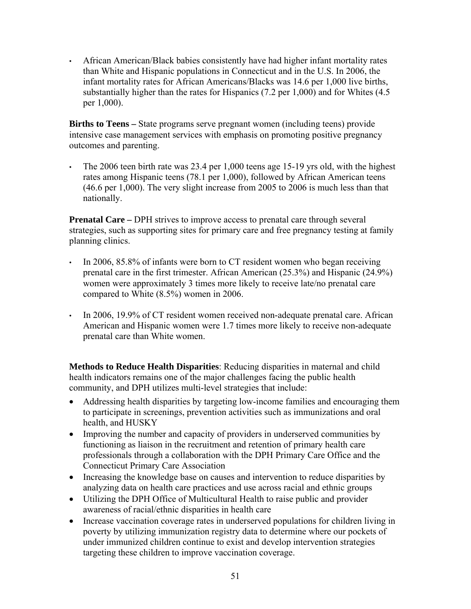• African American/Black babies consistently have had higher infant mortality rates than White and Hispanic populations in Connecticut and in the U.S. In 2006, the infant mortality rates for African Americans/Blacks was 14.6 per 1,000 live births, substantially higher than the rates for Hispanics (7.2 per 1,000) and for Whites (4.5 per 1,000).

**Births to Teens –** State programs serve pregnant women (including teens) provide intensive case management services with emphasis on promoting positive pregnancy outcomes and parenting.

• The 2006 teen birth rate was  $23.4$  per 1,000 teens age 15-19 yrs old, with the highest rates among Hispanic teens (78.1 per 1,000), followed by African American teens (46.6 per 1,000). The very slight increase from 2005 to 2006 is much less than that nationally.

**Prenatal Care** – DPH strives to improve access to prenatal care through several strategies, such as supporting sites for primary care and free pregnancy testing at family planning clinics.

- In 2006, 85.8% of infants were born to CT resident women who began receiving prenatal care in the first trimester. African American (25.3%) and Hispanic (24.9%) women were approximately 3 times more likely to receive late/no prenatal care compared to White (8.5%) women in 2006.
- In 2006, 19.9% of CT resident women received non-adequate prenatal care. African American and Hispanic women were 1.7 times more likely to receive non-adequate prenatal care than White women.

**Methods to Reduce Health Disparities**: Reducing disparities in maternal and child health indicators remains one of the major challenges facing the public health community, and DPH utilizes multi-level strategies that include:

- Addressing health disparities by targeting low-income families and encouraging them to participate in screenings, prevention activities such as immunizations and oral health, and HUSKY
- Improving the number and capacity of providers in underserved communities by functioning as liaison in the recruitment and retention of primary health care professionals through a collaboration with the DPH Primary Care Office and the Connecticut Primary Care Association
- Increasing the knowledge base on causes and intervention to reduce disparities by analyzing data on health care practices and use across racial and ethnic groups
- Utilizing the DPH Office of Multicultural Health to raise public and provider awareness of racial/ethnic disparities in health care
- Increase vaccination coverage rates in underserved populations for children living in poverty by utilizing immunization registry data to determine where our pockets of under immunized children continue to exist and develop intervention strategies targeting these children to improve vaccination coverage.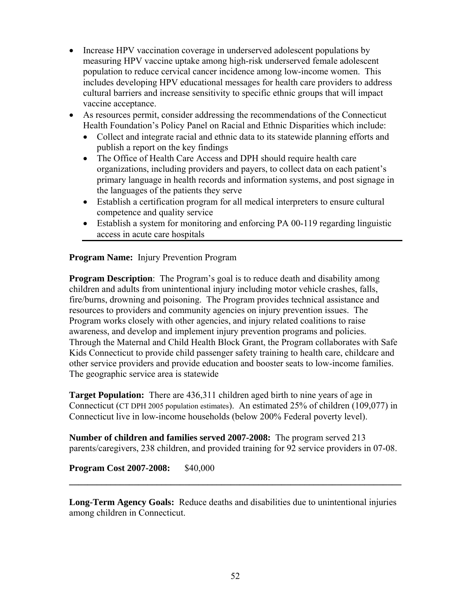- Increase HPV vaccination coverage in underserved adolescent populations by measuring HPV vaccine uptake among high-risk underserved female adolescent population to reduce cervical cancer incidence among low-income women. This includes developing HPV educational messages for health care providers to address cultural barriers and increase sensitivity to specific ethnic groups that will impact vaccine acceptance.
- As resources permit, consider addressing the recommendations of the Connecticut Health Foundation's Policy Panel on Racial and Ethnic Disparities which include:
	- Collect and integrate racial and ethnic data to its statewide planning efforts and publish a report on the key findings
	- The Office of Health Care Access and DPH should require health care organizations, including providers and payers, to collect data on each patient's primary language in health records and information systems, and post signage in the languages of the patients they serve
	- Establish a certification program for all medical interpreters to ensure cultural competence and quality service
	- Establish a system for monitoring and enforcing PA 00-119 regarding linguistic access in acute care hospitals

**Program Name:** Injury Prevention Program

**Program Description**: The Program's goal is to reduce death and disability among children and adults from unintentional injury including motor vehicle crashes, falls, fire/burns, drowning and poisoning. The Program provides technical assistance and resources to providers and community agencies on injury prevention issues. The Program works closely with other agencies, and injury related coalitions to raise awareness, and develop and implement injury prevention programs and policies. Through the Maternal and Child Health Block Grant, the Program collaborates with Safe Kids Connecticut to provide child passenger safety training to health care, childcare and other service providers and provide education and booster seats to low-income families. The geographic service area is statewide

**Target Population:** There are 436,311 children aged birth to nine years of age in Connecticut (CT DPH 2005 population estimates). An estimated 25% of children (109,077) in Connecticut live in low-income households (below 200% Federal poverty level).

**Number of children and families served 2007-2008:** The program served 213 parents/caregivers, 238 children, and provided training for 92 service providers in 07-08.

**Program Cost 2007-2008:** \$40,000

**Long-Term Agency Goals:** Reduce deaths and disabilities due to unintentional injuries among children in Connecticut.

**\_\_\_\_\_\_\_\_\_\_\_\_\_\_\_\_\_\_\_\_\_\_\_\_\_\_\_\_\_\_\_\_\_\_\_\_\_\_\_\_\_\_\_\_\_\_\_\_\_\_\_\_\_\_\_\_\_\_\_\_\_\_\_\_\_\_\_\_\_\_\_\_**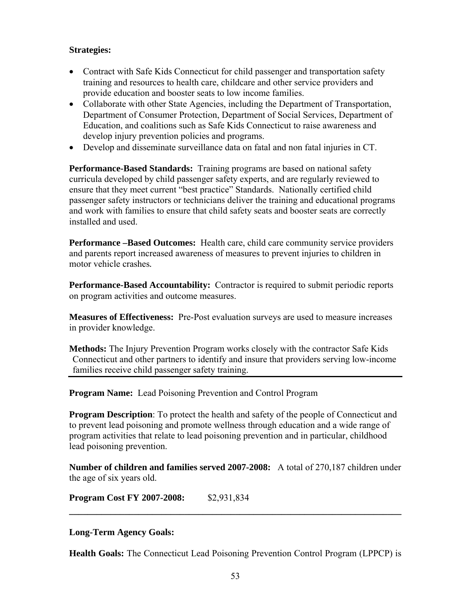#### **Strategies:**

- Contract with Safe Kids Connecticut for child passenger and transportation safety training and resources to health care, childcare and other service providers and provide education and booster seats to low income families.
- Collaborate with other State Agencies, including the Department of Transportation, Department of Consumer Protection, Department of Social Services, Department of Education, and coalitions such as Safe Kids Connecticut to raise awareness and develop injury prevention policies and programs.
- Develop and disseminate surveillance data on fatal and non fatal injuries in CT.

**Performance-Based Standards:** Training programs are based on national safety curricula developed by child passenger safety experts, and are regularly reviewed to ensure that they meet current "best practice" Standards. Nationally certified child passenger safety instructors or technicians deliver the training and educational programs and work with families to ensure that child safety seats and booster seats are correctly installed and used.

**Performance –Based Outcomes:** Health care, child care community service providers and parents report increased awareness of measures to prevent injuries to children in motor vehicle crashes*.*

**Performance-Based Accountability:** Contractor is required to submit periodic reports on program activities and outcome measures.

**Measures of Effectiveness:** Pre-Post evaluation surveys are used to measure increases in provider knowledge.

**Methods:** The Injury Prevention Program works closely with the contractor Safe Kids Connecticut and other partners to identify and insure that providers serving low-income families receive child passenger safety training.

**Program Name:** Lead Poisoning Prevention and Control Program

**Program Description**: To protect the health and safety of the people of Connecticut and to prevent lead poisoning and promote wellness through education and a wide range of program activities that relate to lead poisoning prevention and in particular, childhood lead poisoning prevention.

**Number of children and families served 2007-2008:** A total of 270,187 children under the age of six years old.

**\_\_\_\_\_\_\_\_\_\_\_\_\_\_\_\_\_\_\_\_\_\_\_\_\_\_\_\_\_\_\_\_\_\_\_\_\_\_\_\_\_\_\_\_\_\_\_\_\_\_\_\_\_\_\_\_\_\_\_\_\_\_\_\_\_\_\_\_\_\_\_\_** 

**Program Cost FY 2007-2008:** \$2,931,834

#### **Long-Term Agency Goals:**

**Health Goals:** The Connecticut Lead Poisoning Prevention Control Program (LPPCP) is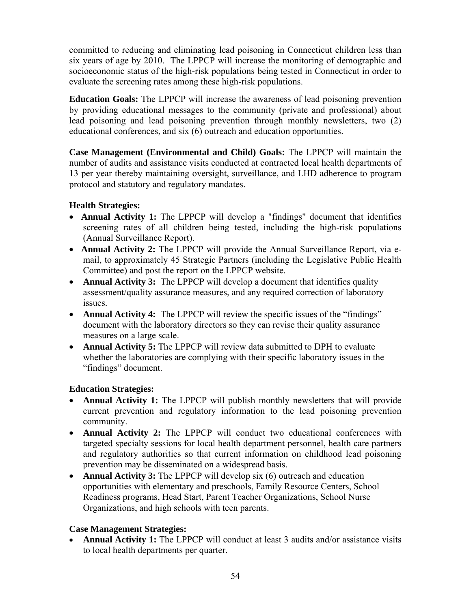committed to reducing and eliminating lead poisoning in Connecticut children less than six years of age by 2010. The LPPCP will increase the monitoring of demographic and socioeconomic status of the high-risk populations being tested in Connecticut in order to evaluate the screening rates among these high-risk populations.

**Education Goals:** The LPPCP will increase the awareness of lead poisoning prevention by providing educational messages to the community (private and professional) about lead poisoning and lead poisoning prevention through monthly newsletters, two (2) educational conferences, and six (6) outreach and education opportunities.

**Case Management (Environmental and Child) Goals:** The LPPCP will maintain the number of audits and assistance visits conducted at contracted local health departments of 13 per year thereby maintaining oversight, surveillance, and LHD adherence to program protocol and statutory and regulatory mandates.

# **Health Strategies:**

- **Annual Activity 1:** The LPPCP will develop a "findings" document that identifies screening rates of all children being tested, including the high-risk populations (Annual Surveillance Report).
- **Annual Activity 2:** The LPPCP will provide the Annual Surveillance Report, via email, to approximately 45 Strategic Partners (including the Legislative Public Health Committee) and post the report on the LPPCP website.
- **Annual Activity 3:** The LPPCP will develop a document that identifies quality assessment/quality assurance measures, and any required correction of laboratory issues.
- **Annual Activity 4:** The LPPCP will review the specific issues of the "findings" document with the laboratory directors so they can revise their quality assurance measures on a large scale.
- **Annual Activity 5:** The LPPCP will review data submitted to DPH to evaluate whether the laboratories are complying with their specific laboratory issues in the "findings" document.

### **Education Strategies:**

- **Annual Activity 1:** The LPPCP will publish monthly newsletters that will provide current prevention and regulatory information to the lead poisoning prevention community.
- **Annual Activity 2:** The LPPCP will conduct two educational conferences with targeted specialty sessions for local health department personnel, health care partners and regulatory authorities so that current information on childhood lead poisoning prevention may be disseminated on a widespread basis.
- **Annual Activity 3:** The LPPCP will develop six (6) outreach and education opportunities with elementary and preschools, Family Resource Centers, School Readiness programs, Head Start, Parent Teacher Organizations, School Nurse Organizations, and high schools with teen parents.

### **Case Management Strategies:**

• **Annual Activity 1:** The LPPCP will conduct at least 3 audits and/or assistance visits to local health departments per quarter.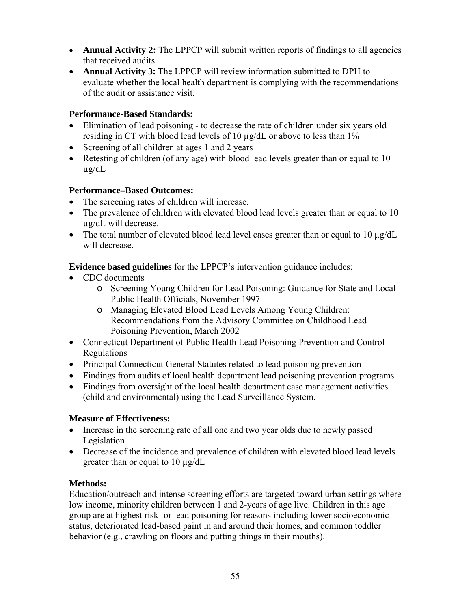- **Annual Activity 2:** The LPPCP will submit written reports of findings to all agencies that received audits.
- **Annual Activity 3:** The LPPCP will review information submitted to DPH to evaluate whether the local health department is complying with the recommendations of the audit or assistance visit.

# **Performance-Based Standards:**

- Elimination of lead poisoning to decrease the rate of children under six years old residing in CT with blood lead levels of 10 µg/dL or above to less than 1%
- Screening of all children at ages 1 and 2 years
- Retesting of children (of any age) with blood lead levels greater than or equal to 10 µg/dL

# **Performance–Based Outcomes:**

- The screening rates of children will increase.
- The prevalence of children with elevated blood lead levels greater than or equal to 10 µg/dL will decrease.
- The total number of elevated blood lead level cases greater than or equal to 10  $\mu$ g/dL will decrease.

**Evidence based guidelines** for the LPPCP's intervention guidance includes:

- CDC documents
	- o Screening Young Children for Lead Poisoning: Guidance for State and Local Public Health Officials, November 1997
	- o Managing Elevated Blood Lead Levels Among Young Children: Recommendations from the Advisory Committee on Childhood Lead Poisoning Prevention, March 2002
- Connecticut Department of Public Health Lead Poisoning Prevention and Control Regulations
- Principal Connecticut General Statutes related to lead poisoning prevention
- Findings from audits of local health department lead poisoning prevention programs.
- Findings from oversight of the local health department case management activities (child and environmental) using the Lead Surveillance System.

### **Measure of Effectiveness:**

- Increase in the screening rate of all one and two year olds due to newly passed Legislation
- Decrease of the incidence and prevalence of children with elevated blood lead levels greater than or equal to 10 µg/dL

### **Methods:**

Education/outreach and intense screening efforts are targeted toward urban settings where low income, minority children between 1 and 2-years of age live. Children in this age group are at highest risk for lead poisoning for reasons including lower socioeconomic status, deteriorated lead-based paint in and around their homes, and common toddler behavior (e.g., crawling on floors and putting things in their mouths).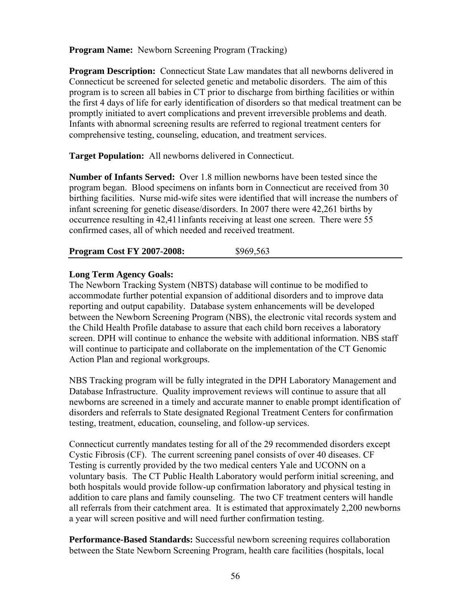**Program Name:** Newborn Screening Program (Tracking)

**Program Description:** Connecticut State Law mandates that all newborns delivered in Connecticut be screened for selected genetic and metabolic disorders. The aim of this program is to screen all babies in CT prior to discharge from birthing facilities or within the first 4 days of life for early identification of disorders so that medical treatment can be promptly initiated to avert complications and prevent irreversible problems and death. Infants with abnormal screening results are referred to regional treatment centers for comprehensive testing, counseling, education, and treatment services.

**Target Population:** All newborns delivered in Connecticut.

**Number of Infants Served:** Over 1.8 million newborns have been tested since the program began. Blood specimens on infants born in Connecticut are received from 30 birthing facilities. Nurse mid-wife sites were identified that will increase the numbers of infant screening for genetic disease/disorders. In 2007 there were 42,261 births by occurrence resulting in 42,411infants receiving at least one screen. There were 55 confirmed cases, all of which needed and received treatment.

**Program Cost FY 2007-2008:** \$969,563

### **Long Term Agency Goals:**

The Newborn Tracking System (NBTS) database will continue to be modified to accommodate further potential expansion of additional disorders and to improve data reporting and output capability. Database system enhancements will be developed between the Newborn Screening Program (NBS), the electronic vital records system and the Child Health Profile database to assure that each child born receives a laboratory screen. DPH will continue to enhance the website with additional information. NBS staff will continue to participate and collaborate on the implementation of the CT Genomic Action Plan and regional workgroups.

NBS Tracking program will be fully integrated in the DPH Laboratory Management and Database Infrastructure. Quality improvement reviews will continue to assure that all newborns are screened in a timely and accurate manner to enable prompt identification of disorders and referrals to State designated Regional Treatment Centers for confirmation testing, treatment, education, counseling, and follow-up services.

Connecticut currently mandates testing for all of the 29 recommended disorders except Cystic Fibrosis (CF). The current screening panel consists of over 40 diseases. CF Testing is currently provided by the two medical centers Yale and UCONN on a voluntary basis. The CT Public Health Laboratory would perform initial screening, and both hospitals would provide follow-up confirmation laboratory and physical testing in addition to care plans and family counseling. The two CF treatment centers will handle all referrals from their catchment area. It is estimated that approximately 2,200 newborns a year will screen positive and will need further confirmation testing.

**Performance-Based Standards:** Successful newborn screening requires collaboration between the State Newborn Screening Program, health care facilities (hospitals, local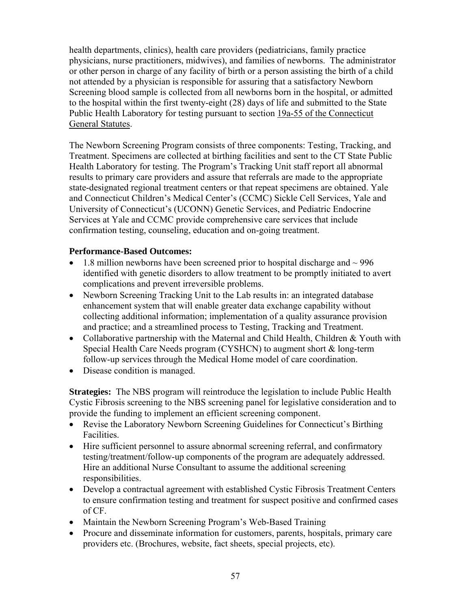health departments, clinics), health care providers (pediatricians, family practice physicians, nurse practitioners, midwives), and families of newborns. The administrator or other person in charge of any facility of birth or a person assisting the birth of a child not attended by a physician is responsible for assuring that a satisfactory Newborn Screening blood sample is collected from all newborns born in the hospital, or admitted to the hospital within the first twenty-eight (28) days of life and submitted to the State Public Health Laboratory for testing pursuant to section [19a-55 of the Connecticut](http://www.westlaw.com/Find/Default.wl?rs=dfa1.0&vr=2.0&DB=1000264&DocName=CTSTS19A-55&FindType=L)  [General Statutes.](http://www.westlaw.com/Find/Default.wl?rs=dfa1.0&vr=2.0&DB=1000264&DocName=CTSTS19A-55&FindType=L)

The Newborn Screening Program consists of three components: Testing, Tracking, and Treatment. Specimens are collected at birthing facilities and sent to the CT State Public Health Laboratory for testing. The Program's Tracking Unit staff report all abnormal results to primary care providers and assure that referrals are made to the appropriate state-designated regional treatment centers or that repeat specimens are obtained. Yale and Connecticut Children's Medical Center's (CCMC) Sickle Cell Services, Yale and University of Connecticut's (UCONN) Genetic Services, and Pediatric Endocrine Services at Yale and CCMC provide comprehensive care services that include confirmation testing, counseling, education and on-going treatment.

### **Performance-Based Outcomes:**

- 1.8 million newborns have been screened prior to hospital discharge and  $\sim$  996 identified with genetic disorders to allow treatment to be promptly initiated to avert complications and prevent irreversible problems.
- Newborn Screening Tracking Unit to the Lab results in: an integrated database enhancement system that will enable greater data exchange capability without collecting additional information; implementation of a quality assurance provision and practice; and a streamlined process to Testing, Tracking and Treatment.
- Collaborative partnership with the Maternal and Child Health, Children & Youth with Special Health Care Needs program (CYSHCN) to augment short & long-term follow-up services through the Medical Home model of care coordination.
- Disease condition is managed.

**Strategies:** The NBS program will reintroduce the legislation to include Public Health Cystic Fibrosis screening to the NBS screening panel for legislative consideration and to provide the funding to implement an efficient screening component.

- Revise the Laboratory Newborn Screening Guidelines for Connecticut's Birthing Facilities.
- Hire sufficient personnel to assure abnormal screening referral, and confirmatory testing/treatment/follow-up components of the program are adequately addressed. Hire an additional Nurse Consultant to assume the additional screening responsibilities.
- Develop a contractual agreement with established Cystic Fibrosis Treatment Centers to ensure confirmation testing and treatment for suspect positive and confirmed cases of CF.
- Maintain the Newborn Screening Program's Web-Based Training
- Procure and disseminate information for customers, parents, hospitals, primary care providers etc. (Brochures, website, fact sheets, special projects, etc).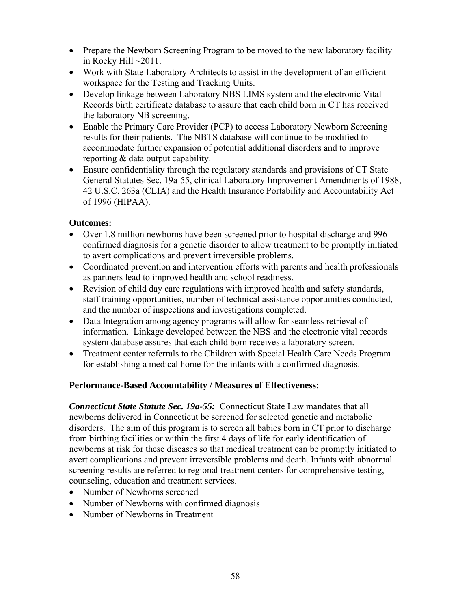- Prepare the Newborn Screening Program to be moved to the new laboratory facility in Rocky Hill  $\sim$ 2011.
- Work with State Laboratory Architects to assist in the development of an efficient workspace for the Testing and Tracking Units.
- Develop linkage between Laboratory NBS LIMS system and the electronic Vital Records birth certificate database to assure that each child born in CT has received the laboratory NB screening.
- Enable the Primary Care Provider (PCP) to access Laboratory Newborn Screening results for their patients. The NBTS database will continue to be modified to accommodate further expansion of potential additional disorders and to improve reporting & data output capability.
- Ensure confidentiality through the regulatory standards and provisions of CT State General Statutes Sec. 19a-55, clinical Laboratory Improvement Amendments of 1988, 42 U.S.C. 263a (CLIA) and the Health Insurance Portability and Accountability Act of 1996 (HIPAA).

## **Outcomes:**

- Over 1.8 million newborns have been screened prior to hospital discharge and 996 confirmed diagnosis for a genetic disorder to allow treatment to be promptly initiated to avert complications and prevent irreversible problems.
- Coordinated prevention and intervention efforts with parents and health professionals as partners lead to improved health and school readiness.
- Revision of child day care regulations with improved health and safety standards, staff training opportunities, number of technical assistance opportunities conducted, and the number of inspections and investigations completed.
- Data Integration among agency programs will allow for seamless retrieval of information. Linkage developed between the NBS and the electronic vital records system database assures that each child born receives a laboratory screen.
- Treatment center referrals to the Children with Special Health Care Needs Program for establishing a medical home for the infants with a confirmed diagnosis.

### **Performance-Based Accountability / Measures of Effectiveness:**

*Connecticut State Statute Sec. 19a-55:* Connecticut State Law mandates that all newborns delivered in Connecticut be screened for selected genetic and metabolic disorders. The aim of this program is to screen all babies born in CT prior to discharge from birthing facilities or within the first 4 days of life for early identification of newborns at risk for these diseases so that medical treatment can be promptly initiated to avert complications and prevent irreversible problems and death. Infants with abnormal screening results are referred to regional treatment centers for comprehensive testing, counseling, education and treatment services.

- Number of Newborns screened
- Number of Newborns with confirmed diagnosis
- Number of Newborns in Treatment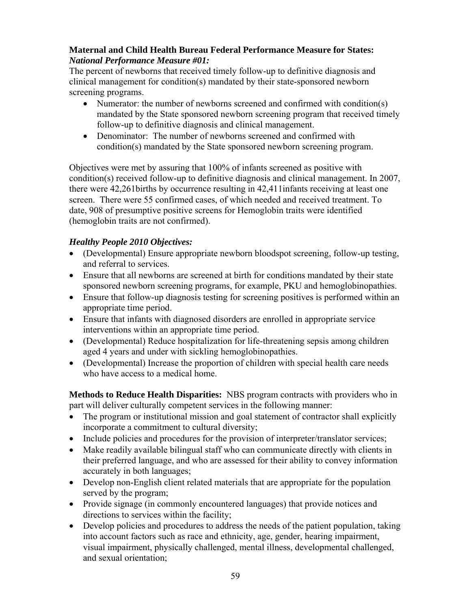### **Maternal and Child Health Bureau Federal Performance Measure for States:**  *National Performance Measure #01:*

The percent of newborns that received timely follow-up to definitive diagnosis and clinical management for condition(s) mandated by their state-sponsored newborn screening programs.

- Numerator: the number of newborns screened and confirmed with condition(s) mandated by the State sponsored newborn screening program that received timely follow-up to definitive diagnosis and clinical management.
- Denominator: The number of newborns screened and confirmed with condition(s) mandated by the State sponsored newborn screening program.

Objectives were met by assuring that 100% of infants screened as positive with condition(s) received follow-up to definitive diagnosis and clinical management. In 2007, there were 42,261births by occurrence resulting in 42,411infants receiving at least one screen. There were 55 confirmed cases, of which needed and received treatment. To date, 908 of presumptive positive screens for Hemoglobin traits were identified (hemoglobin traits are not confirmed).

# *Healthy People 2010 Objectives:*

- (Developmental) Ensure appropriate newborn bloodspot screening, follow-up testing, and referral to services.
- Ensure that all newborns are screened at birth for conditions mandated by their state sponsored newborn screening programs, for example, PKU and hemoglobinopathies.
- Ensure that follow-up diagnosis testing for screening positives is performed within an appropriate time period.
- Ensure that infants with diagnosed disorders are enrolled in appropriate service interventions within an appropriate time period.
- (Developmental) Reduce hospitalization for life-threatening sepsis among children aged 4 years and under with sickling hemoglobinopathies.
- (Developmental) Increase the proportion of children with special health care needs who have access to a medical home.

**Methods to Reduce Health Disparities:** NBS program contracts with providers who in part will deliver culturally competent services in the following manner:

- The program or institutional mission and goal statement of contractor shall explicitly incorporate a commitment to cultural diversity;
- Include policies and procedures for the provision of interpreter/translator services;
- Make readily available bilingual staff who can communicate directly with clients in their preferred language, and who are assessed for their ability to convey information accurately in both languages;
- Develop non-English client related materials that are appropriate for the population served by the program;
- Provide signage (in commonly encountered languages) that provide notices and directions to services within the facility;
- Develop policies and procedures to address the needs of the patient population, taking into account factors such as race and ethnicity, age, gender, hearing impairment, visual impairment, physically challenged, mental illness, developmental challenged, and sexual orientation;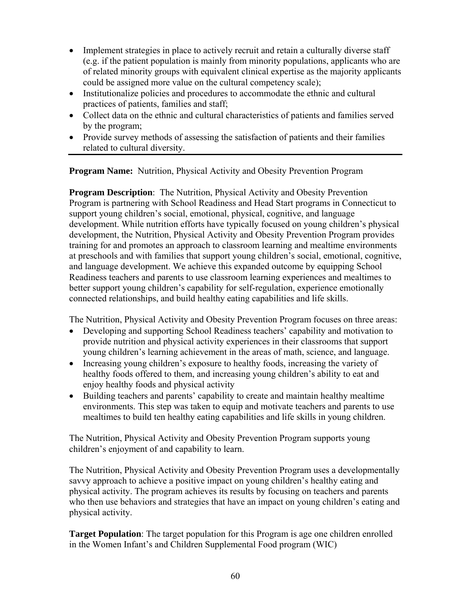- Implement strategies in place to actively recruit and retain a culturally diverse staff (e.g. if the patient population is mainly from minority populations, applicants who are of related minority groups with equivalent clinical expertise as the majority applicants could be assigned more value on the cultural competency scale);
- Institutionalize policies and procedures to accommodate the ethnic and cultural practices of patients, families and staff;
- Collect data on the ethnic and cultural characteristics of patients and families served by the program;
- Provide survey methods of assessing the satisfaction of patients and their families related to cultural diversity.

**Program Name:** Nutrition, Physical Activity and Obesity Prevention Program

**Program Description**: The Nutrition, Physical Activity and Obesity Prevention Program is partnering with School Readiness and Head Start programs in Connecticut to support young children's social, emotional, physical, cognitive, and language development. While nutrition efforts have typically focused on young children's physical development, the Nutrition, Physical Activity and Obesity Prevention Program provides training for and promotes an approach to classroom learning and mealtime environments at preschools and with families that support young children's social, emotional, cognitive, and language development. We achieve this expanded outcome by equipping School Readiness teachers and parents to use classroom learning experiences and mealtimes to better support young children's capability for self-regulation, experience emotionally connected relationships, and build healthy eating capabilities and life skills.

The Nutrition, Physical Activity and Obesity Prevention Program focuses on three areas:

- Developing and supporting School Readiness teachers' capability and motivation to provide nutrition and physical activity experiences in their classrooms that support young children's learning achievement in the areas of math, science, and language.
- Increasing young children's exposure to healthy foods, increasing the variety of healthy foods offered to them, and increasing young children's ability to eat and enjoy healthy foods and physical activity
- Building teachers and parents' capability to create and maintain healthy mealtime environments. This step was taken to equip and motivate teachers and parents to use mealtimes to build ten healthy eating capabilities and life skills in young children.

The Nutrition, Physical Activity and Obesity Prevention Program supports young children's enjoyment of and capability to learn.

The Nutrition, Physical Activity and Obesity Prevention Program uses a developmentally savvy approach to achieve a positive impact on young children's healthy eating and physical activity. The program achieves its results by focusing on teachers and parents who then use behaviors and strategies that have an impact on young children's eating and physical activity.

**Target Population**: The target population for this Program is age one children enrolled in the Women Infant's and Children Supplemental Food program (WIC)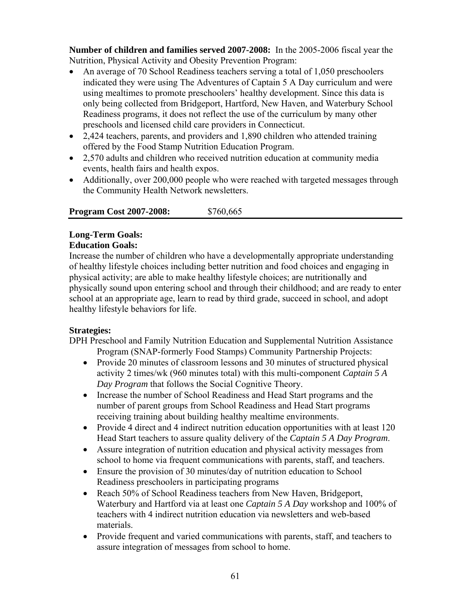**Number of children and families served 2007-2008:** In the 2005-2006 fiscal year the Nutrition, Physical Activity and Obesity Prevention Program:

- An average of 70 School Readiness teachers serving a total of 1,050 preschoolers indicated they were using The Adventures of Captain 5 A Day curriculum and were using mealtimes to promote preschoolers' healthy development. Since this data is only being collected from Bridgeport, Hartford, New Haven, and Waterbury School Readiness programs, it does not reflect the use of the curriculum by many other preschools and licensed child care providers in Connecticut.
- 2,424 teachers, parents, and providers and 1,890 children who attended training offered by the Food Stamp Nutrition Education Program.
- 2,570 adults and children who received nutrition education at community media events, health fairs and health expos.
- Additionally, over 200,000 people who were reached with targeted messages through the Community Health Network newsletters.

| <b>Program Cost 2007-2008:</b> | \$760,665 |
|--------------------------------|-----------|
|--------------------------------|-----------|

# **Long-Term Goals:**

## **Education Goals:**

Increase the number of children who have a developmentally appropriate understanding of healthy lifestyle choices including better nutrition and food choices and engaging in physical activity; are able to make healthy lifestyle choices; are nutritionally and physically sound upon entering school and through their childhood; and are ready to enter school at an appropriate age, learn to read by third grade, succeed in school, and adopt healthy lifestyle behaviors for life.

### **Strategies:**

DPH Preschool and Family Nutrition Education and Supplemental Nutrition Assistance Program (SNAP-formerly Food Stamps) Community Partnership Projects:

- Provide 20 minutes of classroom lessons and 30 minutes of structured physical activity 2 times/wk (960 minutes total) with this multi-component *Captain 5 A Day Program* that follows the Social Cognitive Theory.
- Increase the number of School Readiness and Head Start programs and the number of parent groups from School Readiness and Head Start programs receiving training about building healthy mealtime environments.
- Provide 4 direct and 4 indirect nutrition education opportunities with at least 120 Head Start teachers to assure quality delivery of the *Captain 5 A Day Program*.
- Assure integration of nutrition education and physical activity messages from school to home via frequent communications with parents, staff, and teachers.
- Ensure the provision of 30 minutes/day of nutrition education to School Readiness preschoolers in participating programs
- Reach 50% of School Readiness teachers from New Haven, Bridgeport, Waterbury and Hartford via at least one *Captain 5 A Day* workshop and 100% of teachers with 4 indirect nutrition education via newsletters and web-based materials.
- Provide frequent and varied communications with parents, staff, and teachers to assure integration of messages from school to home.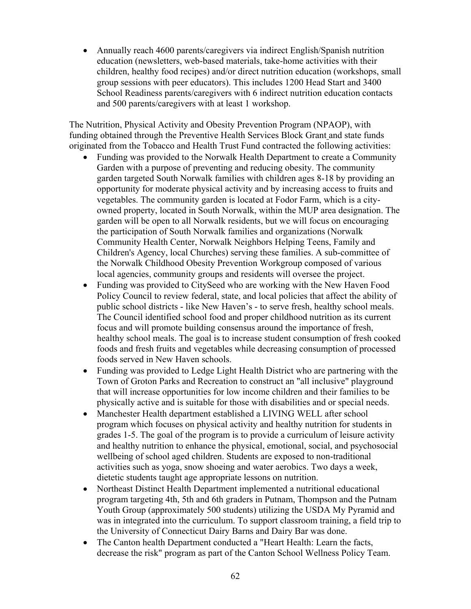• Annually reach 4600 parents/caregivers via indirect English/Spanish nutrition education (newsletters, web-based materials, take-home activities with their children, healthy food recipes) and/or direct nutrition education (workshops, small group sessions with peer educators). This includes 1200 Head Start and 3400 School Readiness parents/caregivers with 6 indirect nutrition education contacts and 500 parents/caregivers with at least 1 workshop.

The Nutrition, Physical Activity and Obesity Prevention Program (NPAOP), with funding obtained through the Preventive Health Services Block Grant and state funds originated from the Tobacco and Health Trust Fund contracted the following activities:

- Funding was provided to the Norwalk Health Department to create a Community Garden with a purpose of preventing and reducing obesity. The community garden targeted South Norwalk families with children ages 8-18 by providing an opportunity for moderate physical activity and by increasing access to fruits and vegetables. The community garden is located at Fodor Farm, which is a cityowned property, located in South Norwalk, within the MUP area designation. The garden will be open to all Norwalk residents, but we will focus on encouraging the participation of South Norwalk families and organizations (Norwalk Community Health Center, Norwalk Neighbors Helping Teens, Family and Children's Agency, local Churches) serving these families. A sub-committee of the Norwalk Childhood Obesity Prevention Workgroup composed of various local agencies, community groups and residents will oversee the project.
- Funding was provided to CitySeed who are working with the New Haven Food Policy Council to review federal, state, and local policies that affect the ability of public school districts - like New Haven's - to serve fresh, healthy school meals. The Council identified school food and proper childhood nutrition as its current focus and will promote building consensus around the importance of fresh, healthy school meals. The goal is to increase student consumption of fresh cooked foods and fresh fruits and vegetables while decreasing consumption of processed foods served in New Haven schools.
- Funding was provided to Ledge Light Health District who are partnering with the Town of Groton Parks and Recreation to construct an "all inclusive" playground that will increase opportunities for low income children and their families to be physically active and is suitable for those with disabilities and or special needs.
- Manchester Health department established a LIVING WELL after school program which focuses on physical activity and healthy nutrition for students in grades 1-5. The goal of the program is to provide a curriculum of leisure activity and healthy nutrition to enhance the physical, emotional, social, and psychosocial wellbeing of school aged children. Students are exposed to non-traditional activities such as yoga, snow shoeing and water aerobics. Two days a week, dietetic students taught age appropriate lessons on nutrition.
- Northeast Distinct Health Department implemented a nutritional educational program targeting 4th, 5th and 6th graders in Putnam, Thompson and the Putnam Youth Group (approximately 500 students) utilizing the USDA My Pyramid and was in integrated into the curriculum. To support classroom training, a field trip to the University of Connecticut Dairy Barns and Dairy Bar was done.
- The Canton health Department conducted a "Heart Health: Learn the facts, decrease the risk" program as part of the Canton School Wellness Policy Team.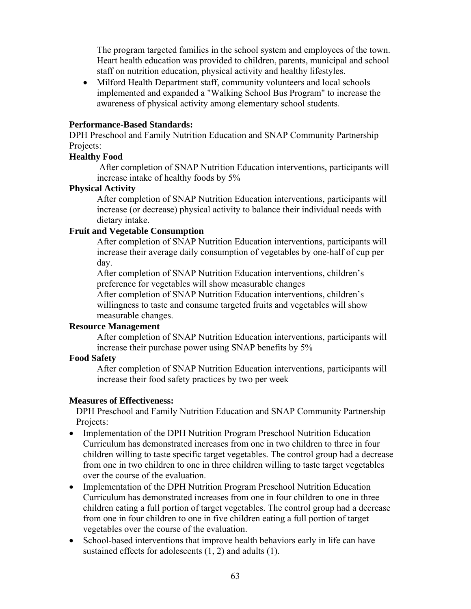The program targeted families in the school system and employees of the town. Heart health education was provided to children, parents, municipal and school staff on nutrition education, physical activity and healthy lifestyles.

• Milford Health Department staff, community volunteers and local schools implemented and expanded a "Walking School Bus Program" to increase the awareness of physical activity among elementary school students.

#### **Performance-Based Standards:**

DPH Preschool and Family Nutrition Education and SNAP Community Partnership Projects:

#### **Healthy Food**

 After completion of SNAP Nutrition Education interventions, participants will increase intake of healthy foods by 5%

### **Physical Activity**

After completion of SNAP Nutrition Education interventions, participants will increase (or decrease) physical activity to balance their individual needs with dietary intake.

#### **Fruit and Vegetable Consumption**

After completion of SNAP Nutrition Education interventions, participants will increase their average daily consumption of vegetables by one-half of cup per day.

After completion of SNAP Nutrition Education interventions, children's preference for vegetables will show measurable changes

After completion of SNAP Nutrition Education interventions, children's willingness to taste and consume targeted fruits and vegetables will show measurable changes.

### **Resource Management**

After completion of SNAP Nutrition Education interventions, participants will increase their purchase power using SNAP benefits by 5%

### **Food Safety**

After completion of SNAP Nutrition Education interventions, participants will increase their food safety practices by two per week

### **Measures of Effectiveness:**

DPH Preschool and Family Nutrition Education and SNAP Community Partnership Projects:

- Implementation of the DPH Nutrition Program Preschool Nutrition Education Curriculum has demonstrated increases from one in two children to three in four children willing to taste specific target vegetables. The control group had a decrease from one in two children to one in three children willing to taste target vegetables over the course of the evaluation.
- Implementation of the DPH Nutrition Program Preschool Nutrition Education Curriculum has demonstrated increases from one in four children to one in three children eating a full portion of target vegetables. The control group had a decrease from one in four children to one in five children eating a full portion of target vegetables over the course of the evaluation.
- School-based interventions that improve health behaviors early in life can have sustained effects for adolescents (1, 2) and adults (1).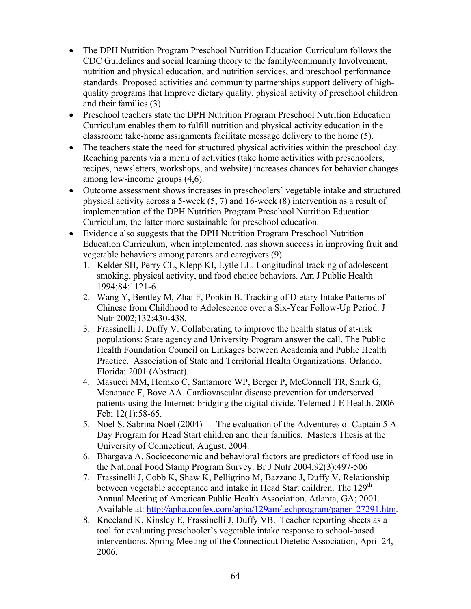- The DPH Nutrition Program Preschool Nutrition Education Curriculum follows the CDC Guidelines and social learning theory to the family/community Involvement, nutrition and physical education, and nutrition services, and preschool performance standards. Proposed activities and community partnerships support delivery of highquality programs that Improve dietary quality, physical activity of preschool children and their families (3).
- Preschool teachers state the DPH Nutrition Program Preschool Nutrition Education Curriculum enables them to fulfill nutrition and physical activity education in the classroom; take-home assignments facilitate message delivery to the home (5).
- The teachers state the need for structured physical activities within the preschool day. Reaching parents via a menu of activities (take home activities with preschoolers, recipes, newsletters, workshops, and website) increases chances for behavior changes among low-income groups (4,6).
- Outcome assessment shows increases in preschoolers' vegetable intake and structured physical activity across a 5-week (5, 7) and 16-week (8) intervention as a result of implementation of the DPH Nutrition Program Preschool Nutrition Education Curriculum, the latter more sustainable for preschool education.
- Evidence also suggests that the DPH Nutrition Program Preschool Nutrition Education Curriculum, when implemented, has shown success in improving fruit and vegetable behaviors among parents and caregivers (9).
	- 1. Kelder SH, Perry CL, Klepp KI, Lytle LL. Longitudinal tracking of adolescent smoking, physical activity, and food choice behaviors. Am J Public Health 1994;84:1121-6.
	- 2. Wang Y, Bentley M, Zhai F, Popkin B. Tracking of Dietary Intake Patterns of Chinese from Childhood to Adolescence over a Six-Year Follow-Up Period. J Nutr 2002;132:430-438.
	- 3. Frassinelli J, Duffy V. Collaborating to improve the health status of at-risk populations: State agency and University Program answer the call. The Public Health Foundation Council on Linkages between Academia and Public Health Practice. Association of State and Territorial Health Organizations. Orlando, Florida; 2001 (Abstract).
	- 4. Masucci MM, Homko C, Santamore WP, Berger P, McConnell TR, Shirk G, Menapace F, Bove AA. Cardiovascular disease prevention for underserved patients using the Internet: bridging the digital divide. Telemed J E Health. 2006 Feb; 12(1):58-65.
	- 5. Noel S. Sabrina Noel (2004) The evaluation of the Adventures of Captain 5 A Day Program for Head Start children and their families. Masters Thesis at the University of Connecticut, August, 2004.
	- 6. Bhargava A. Socioeconomic and behavioral factors are predictors of food use in the National Food Stamp Program Survey. Br J Nutr 2004;92(3):497-506
	- 7. Frassinelli J, Cobb K, Shaw K, Pelligrino M, Bazzano J, Duffy V. Relationship between vegetable acceptance and intake in Head Start children. The 129<sup>th</sup> Annual Meeting of American Public Health Association. Atlanta, GA; 2001. Available at: [http://apha.confex.com/apha/129am/techprogram/paper\\_27291.htm.](http://apha.confex.com/apha/129am/techprogram/paper_27291.htm)
	- 8. Kneeland K, Kinsley E, Frassinelli J, Duffy VB. Teacher reporting sheets as a tool for evaluating preschooler's vegetable intake response to school-based interventions. Spring Meeting of the Connecticut Dietetic Association, April 24, 2006.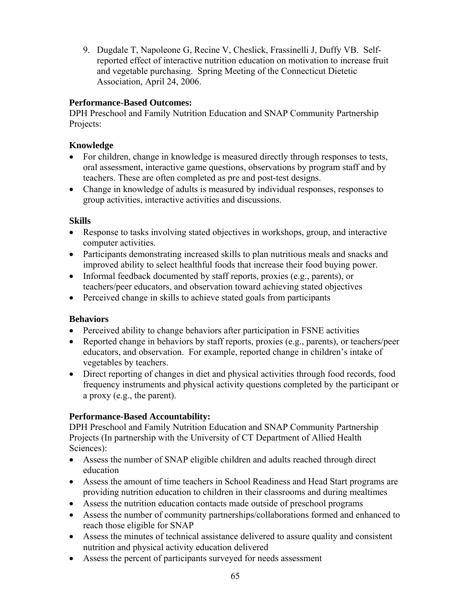9. Dugdale T, Napoleone G, Recine V, Cheslick, Frassinelli J, Duffy VB. Selfreported effect of interactive nutrition education on motivation to increase fruit and vegetable purchasing. Spring Meeting of the Connecticut Dietetic Association, April 24, 2006.

## **Performance-Based Outcomes:**

DPH Preschool and Family Nutrition Education and SNAP Community Partnership Projects:

## **Knowledge**

- For children, change in knowledge is measured directly through responses to tests, oral assessment, interactive game questions, observations by program staff and by teachers. These are often completed as pre and post-test designs.
- Change in knowledge of adults is measured by individual responses, responses to group activities, interactive activities and discussions.

## **Skills**

- Response to tasks involving stated objectives in workshops, group, and interactive computer activities.
- Participants demonstrating increased skills to plan nutritious meals and snacks and improved ability to select healthful foods that increase their food buying power.
- Informal feedback documented by staff reports, proxies (e.g., parents), or teachers/peer educators, and observation toward achieving stated objectives
- Perceived change in skills to achieve stated goals from participants

### **Behaviors**

- Perceived ability to change behaviors after participation in FSNE activities
- Reported change in behaviors by staff reports, proxies (e.g., parents), or teachers/peer educators, and observation. For example, reported change in children's intake of vegetables by teachers.
- Direct reporting of changes in diet and physical activities through food records, food frequency instruments and physical activity questions completed by the participant or a proxy (e.g., the parent).

# **Performance-Based Accountability:**

DPH Preschool and Family Nutrition Education and SNAP Community Partnership Projects (In partnership with the University of CT Department of Allied Health Sciences):

- Assess the number of SNAP eligible children and adults reached through direct education
- Assess the amount of time teachers in School Readiness and Head Start programs are providing nutrition education to children in their classrooms and during mealtimes
- Assess the nutrition education contacts made outside of preschool programs
- Assess the number of community partnerships/collaborations formed and enhanced to reach those eligible for SNAP
- Assess the minutes of technical assistance delivered to assure quality and consistent nutrition and physical activity education delivered
- Assess the percent of participants surveyed for needs assessment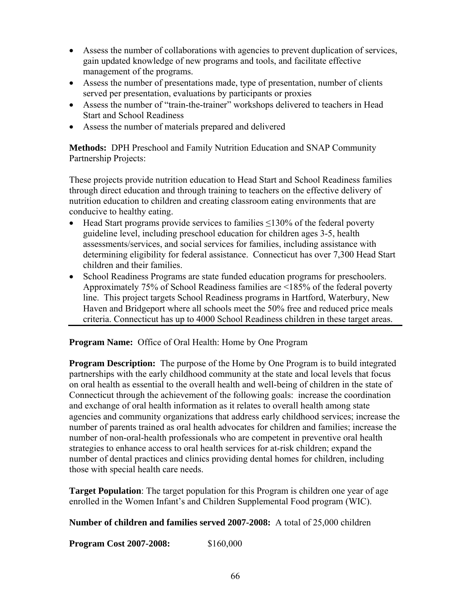- Assess the number of collaborations with agencies to prevent duplication of services, gain updated knowledge of new programs and tools, and facilitate effective management of the programs.
- Assess the number of presentations made, type of presentation, number of clients served per presentation, evaluations by participants or proxies
- Assess the number of "train-the-trainer" workshops delivered to teachers in Head Start and School Readiness
- Assess the number of materials prepared and delivered

**Methods:** DPH Preschool and Family Nutrition Education and SNAP Community Partnership Projects:

These projects provide nutrition education to Head Start and School Readiness families through direct education and through training to teachers on the effective delivery of nutrition education to children and creating classroom eating environments that are conducive to healthy eating.

- Head Start programs provide services to families  $\leq$ 130% of the federal poverty guideline level, including preschool education for children ages 3-5, health assessments/services, and social services for families, including assistance with determining eligibility for federal assistance. Connecticut has over 7,300 Head Start children and their families.
- School Readiness Programs are state funded education programs for preschoolers. Approximately 75% of School Readiness families are <185% of the federal poverty line. This project targets School Readiness programs in Hartford, Waterbury, New Haven and Bridgeport where all schools meet the 50% free and reduced price meals criteria. Connecticut has up to 4000 School Readiness children in these target areas.

**Program Name:** Office of Oral Health: Home by One Program

**Program Description:** The purpose of the Home by One Program is to build integrated partnerships with the early childhood community at the state and local levels that focus on oral health as essential to the overall health and well-being of children in the state of Connecticut through the achievement of the following goals: increase the coordination and exchange of oral health information as it relates to overall health among state agencies and community organizations that address early childhood services; increase the number of parents trained as oral health advocates for children and families; increase the number of non-oral-health professionals who are competent in preventive oral health strategies to enhance access to oral health services for at-risk children; expand the number of dental practices and clinics providing dental homes for children, including those with special health care needs.

**Target Population**: The target population for this Program is children one year of age enrolled in the Women Infant's and Children Supplemental Food program (WIC).

**Number of children and families served 2007-2008:** A total of 25,000 children

**Program Cost 2007-2008:** \$160,000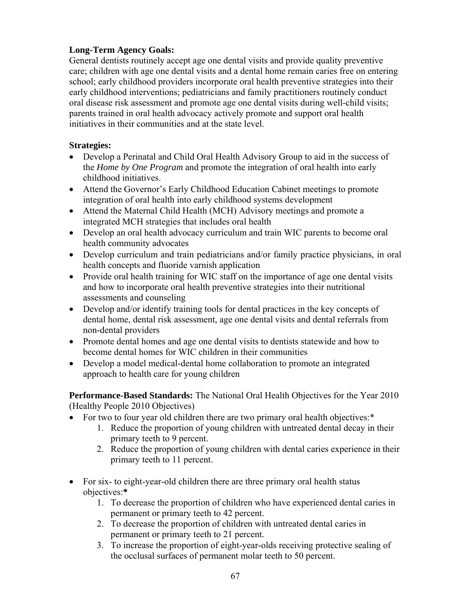## **Long-Term Agency Goals:**

General dentists routinely accept age one dental visits and provide quality preventive care; children with age one dental visits and a dental home remain caries free on entering school; early childhood providers incorporate oral health preventive strategies into their early childhood interventions; pediatricians and family practitioners routinely conduct oral disease risk assessment and promote age one dental visits during well-child visits; parents trained in oral health advocacy actively promote and support oral health initiatives in their communities and at the state level.

### **Strategies:**

- Develop a Perinatal and Child Oral Health Advisory Group to aid in the success of the *Home by One Program* and promote the integration of oral health into early childhood initiatives.
- Attend the Governor's Early Childhood Education Cabinet meetings to promote integration of oral health into early childhood systems development
- Attend the Maternal Child Health (MCH) Advisory meetings and promote a integrated MCH strategies that includes oral health
- Develop an oral health advocacy curriculum and train WIC parents to become oral health community advocates
- Develop curriculum and train pediatricians and/or family practice physicians, in oral health concepts and fluoride varnish application
- Provide oral health training for WIC staff on the importance of age one dental visits and how to incorporate oral health preventive strategies into their nutritional assessments and counseling
- Develop and/or identify training tools for dental practices in the key concepts of dental home, dental risk assessment, age one dental visits and dental referrals from non-dental providers
- Promote dental homes and age one dental visits to dentists statewide and how to become dental homes for WIC children in their communities
- Develop a model medical-dental home collaboration to promote an integrated approach to health care for young children

**Performance-Based Standards:** The National Oral Health Objectives for the Year 2010 (Healthy People 2010 Objectives)

- For two to four year old children there are two primary oral health objectives:\*
	- 1. Reduce the proportion of young children with untreated dental decay in their primary teeth to 9 percent.
	- 2. Reduce the proportion of young children with dental caries experience in their primary teeth to 11 percent.
- For six- to eight-year-old children there are three primary oral health status objectives:**\***
	- 1. To decrease the proportion of children who have experienced dental caries in permanent or primary teeth to 42 percent.
	- 2. To decrease the proportion of children with untreated dental caries in permanent or primary teeth to 21 percent.
	- 3. To increase the proportion of eight-year-olds receiving protective sealing of the occlusal surfaces of permanent molar teeth to 50 percent.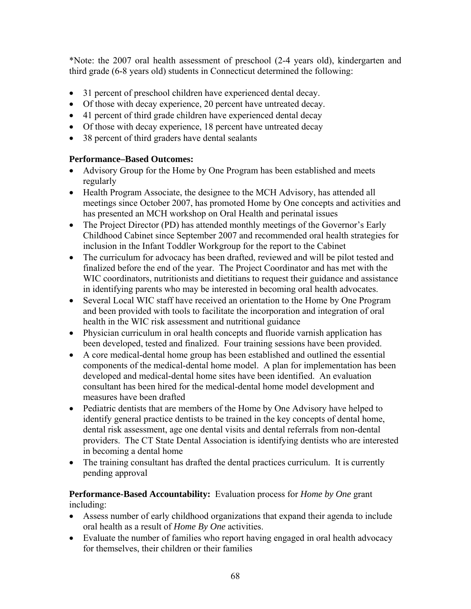\*Note: the 2007 oral health assessment of preschool (2-4 years old), kindergarten and third grade (6-8 years old) students in Connecticut determined the following:

- 31 percent of preschool children have experienced dental decay.
- Of those with decay experience, 20 percent have untreated decay.
- 41 percent of third grade children have experienced dental decay
- Of those with decay experience, 18 percent have untreated decay
- 38 percent of third graders have dental sealants

## **Performance–Based Outcomes:**

- Advisory Group for the Home by One Program has been established and meets regularly
- Health Program Associate, the designee to the MCH Advisory, has attended all meetings since October 2007, has promoted Home by One concepts and activities and has presented an MCH workshop on Oral Health and perinatal issues
- The Project Director (PD) has attended monthly meetings of the Governor's Early Childhood Cabinet since September 2007 and recommended oral health strategies for inclusion in the Infant Toddler Workgroup for the report to the Cabinet
- The curriculum for advocacy has been drafted, reviewed and will be pilot tested and finalized before the end of the year. The Project Coordinator and has met with the WIC coordinators, nutritionists and dietitians to request their guidance and assistance in identifying parents who may be interested in becoming oral health advocates.
- Several Local WIC staff have received an orientation to the Home by One Program and been provided with tools to facilitate the incorporation and integration of oral health in the WIC risk assessment and nutritional guidance
- Physician curriculum in oral health concepts and fluoride varnish application has been developed, tested and finalized. Four training sessions have been provided.
- A core medical-dental home group has been established and outlined the essential components of the medical-dental home model. A plan for implementation has been developed and medical-dental home sites have been identified. An evaluation consultant has been hired for the medical-dental home model development and measures have been drafted
- Pediatric dentists that are members of the Home by One Advisory have helped to identify general practice dentists to be trained in the key concepts of dental home, dental risk assessment, age one dental visits and dental referrals from non-dental providers. The CT State Dental Association is identifying dentists who are interested in becoming a dental home
- The training consultant has drafted the dental practices curriculum. It is currently pending approval

### **Performance-Based Accountability:** Evaluation process for *Home by One* grant including:

- Assess number of early childhood organizations that expand their agenda to include oral health as a result of *Home By One* activities.
- Evaluate the number of families who report having engaged in oral health advocacy for themselves, their children or their families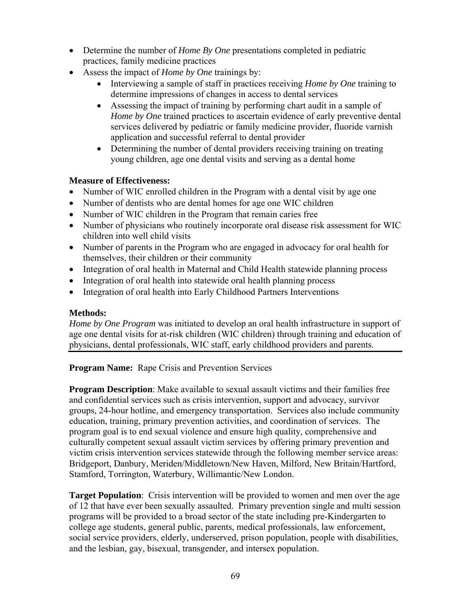- Determine the number of *Home By One* presentations completed in pediatric practices, family medicine practices
- Assess the impact of *Home by One* trainings by:
	- Interviewing a sample of staff in practices receiving *Home by One* training to determine impressions of changes in access to dental services
	- Assessing the impact of training by performing chart audit in a sample of *Home by One* trained practices to ascertain evidence of early preventive dental services delivered by pediatric or family medicine provider, fluoride varnish application and successful referral to dental provider
	- Determining the number of dental providers receiving training on treating young children, age one dental visits and serving as a dental home

## **Measure of Effectiveness:**

- Number of WIC enrolled children in the Program with a dental visit by age one
- Number of dentists who are dental homes for age one WIC children
- Number of WIC children in the Program that remain caries free
- Number of physicians who routinely incorporate oral disease risk assessment for WIC children into well child visits
- Number of parents in the Program who are engaged in advocacy for oral health for themselves, their children or their community
- Integration of oral health in Maternal and Child Health statewide planning process
- Integration of oral health into statewide oral health planning process
- Integration of oral health into Early Childhood Partners Interventions

### **Methods:**

*Home by One Program* was initiated to develop an oral health infrastructure in support of age one dental visits for at-risk children (WIC children) through training and education of physicians, dental professionals, WIC staff, early childhood providers and parents.

**Program Name:** Rape Crisis and Prevention Services

**Program Description**: Make available to sexual assault victims and their families free and confidential services such as crisis intervention, support and advocacy, survivor groups, 24-hour hotline, and emergency transportation. Services also include community education, training, primary prevention activities, and coordination of services. The program goal is to end sexual violence and ensure high quality, comprehensive and culturally competent sexual assault victim services by offering primary prevention and victim crisis intervention services statewide through the following member service areas: Bridgeport, Danbury, Meriden/Middletown/New Haven, Milford, New Britain/Hartford, Stamford, Torrington, Waterbury, Willimantic/New London.

**Target Population**: Crisis intervention will be provided to women and men over the age of 12 that have ever been sexually assaulted. Primary prevention single and multi session programs will be provided to a broad sector of the state including pre-Kindergarten to college age students, general public, parents, medical professionals, law enforcement, social service providers, elderly, underserved, prison population, people with disabilities, and the lesbian, gay, bisexual, transgender, and intersex population.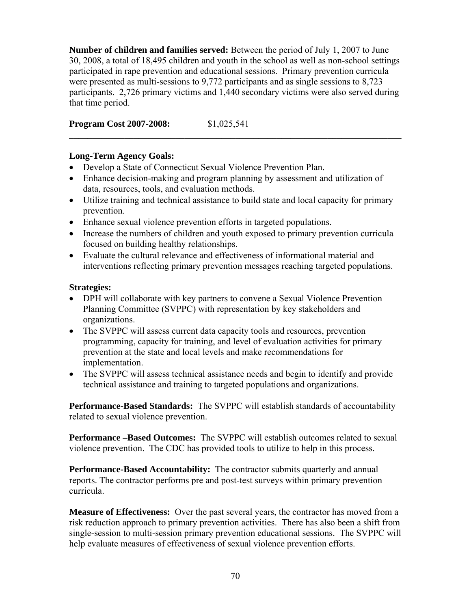**Number of children and families served:** Between the period of July 1, 2007 to June 30, 2008, a total of 18,495 children and youth in the school as well as non-school settings participated in rape prevention and educational sessions. Primary prevention curricula were presented as multi-sessions to 9,772 participants and as single sessions to 8,723 participants. 2,726 primary victims and 1,440 secondary victims were also served during that time period.

**\_\_\_\_\_\_\_\_\_\_\_\_\_\_\_\_\_\_\_\_\_\_\_\_\_\_\_\_\_\_\_\_\_\_\_\_\_\_\_\_\_\_\_\_\_\_\_\_\_\_\_\_\_\_\_\_\_\_\_\_\_\_\_\_\_\_\_\_\_\_\_\_** 

**Program Cost 2007-2008:** \$1,025,541

# **Long-Term Agency Goals:**

- Develop a State of Connecticut Sexual Violence Prevention Plan.
- Enhance decision-making and program planning by assessment and utilization of data, resources, tools, and evaluation methods.
- Utilize training and technical assistance to build state and local capacity for primary prevention.
- Enhance sexual violence prevention efforts in targeted populations.
- Increase the numbers of children and youth exposed to primary prevention curricula focused on building healthy relationships.
- Evaluate the cultural relevance and effectiveness of informational material and interventions reflecting primary prevention messages reaching targeted populations.

## **Strategies:**

- DPH will collaborate with key partners to convene a Sexual Violence Prevention Planning Committee (SVPPC) with representation by key stakeholders and organizations.
- The SVPPC will assess current data capacity tools and resources, prevention programming, capacity for training, and level of evaluation activities for primary prevention at the state and local levels and make recommendations for implementation.
- The SVPPC will assess technical assistance needs and begin to identify and provide technical assistance and training to targeted populations and organizations.

**Performance-Based Standards:** The SVPPC will establish standards of accountability related to sexual violence prevention.

**Performance –Based Outcomes:** The SVPPC will establish outcomes related to sexual violence prevention. The CDC has provided tools to utilize to help in this process.

**Performance-Based Accountability:** The contractor submits quarterly and annual reports. The contractor performs pre and post-test surveys within primary prevention curricula.

**Measure of Effectiveness:** Over the past several years, the contractor has moved from a risk reduction approach to primary prevention activities. There has also been a shift from single-session to multi-session primary prevention educational sessions. The SVPPC will help evaluate measures of effectiveness of sexual violence prevention efforts.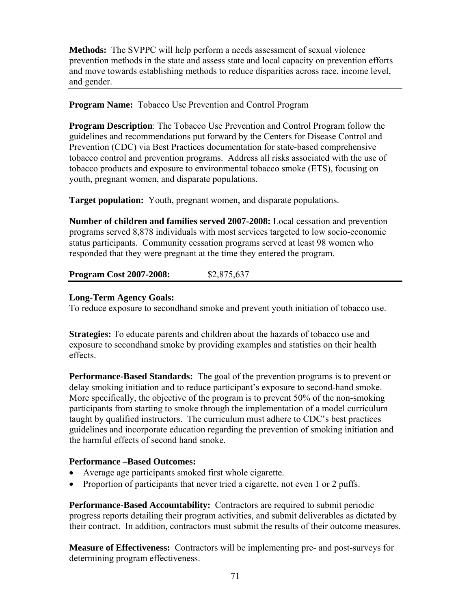**Methods:** The SVPPC will help perform a needs assessment of sexual violence prevention methods in the state and assess state and local capacity on prevention efforts and move towards establishing methods to reduce disparities across race, income level, and gender.

## **Program Name:** Tobacco Use Prevention and Control Program

**Program Description**: The Tobacco Use Prevention and Control Program follow the guidelines and recommendations put forward by the Centers for Disease Control and Prevention (CDC) via Best Practices documentation for state-based comprehensive tobacco control and prevention programs. Address all risks associated with the use of tobacco products and exposure to environmental tobacco smoke (ETS), focusing on youth, pregnant women, and disparate populations.

**Target population:** Youth, pregnant women, and disparate populations.

**Number of children and families served 2007-2008:** Local cessation and prevention programs served 8,878 individuals with most services targeted to low socio-economic status participants. Community cessation programs served at least 98 women who responded that they were pregnant at the time they entered the program.

**Program Cost 2007-2008:** \$2,875,637

## **Long-Term Agency Goals:**

To reduce exposure to secondhand smoke and prevent youth initiation of tobacco use.

**Strategies:** To educate parents and children about the hazards of tobacco use and exposure to secondhand smoke by providing examples and statistics on their health effects.

**Performance-Based Standards:** The goal of the prevention programs is to prevent or delay smoking initiation and to reduce participant's exposure to second-hand smoke. More specifically, the objective of the program is to prevent 50% of the non-smoking participants from starting to smoke through the implementation of a model curriculum taught by qualified instructors. The curriculum must adhere to CDC's best practices guidelines and incorporate education regarding the prevention of smoking initiation and the harmful effects of second hand smoke.

## **Performance –Based Outcomes:**

- Average age participants smoked first whole cigarette.
- Proportion of participants that never tried a cigarette, not even 1 or 2 puffs.

**Performance-Based Accountability:** Contractors are required to submit periodic progress reports detailing their program activities, and submit deliverables as dictated by their contract. In addition, contractors must submit the results of their outcome measures.

**Measure of Effectiveness:** Contractors will be implementing pre- and post-surveys for determining program effectiveness.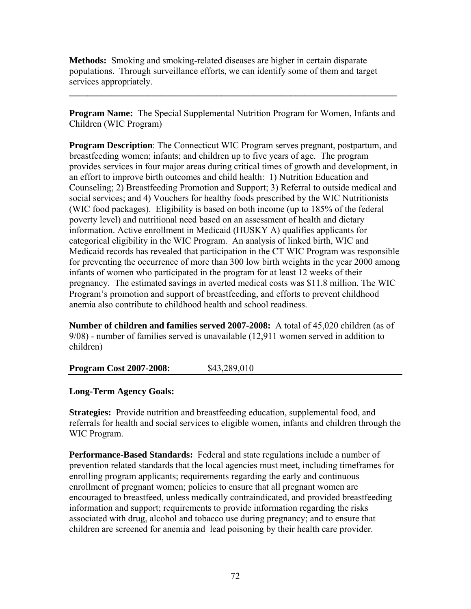**Methods:** Smoking and smoking-related diseases are higher in certain disparate populations. Through surveillance efforts, we can identify some of them and target services appropriately.

**Program Name:** The Special Supplemental Nutrition Program for Women, Infants and Children (WIC Program)

**\_\_\_\_\_\_\_\_\_\_\_\_\_\_\_\_\_\_\_\_\_\_\_\_\_\_\_\_\_\_\_\_\_\_\_\_\_\_\_\_\_\_\_\_\_\_\_\_\_\_\_\_\_\_\_\_\_\_\_\_\_\_\_\_\_\_\_\_\_\_\_** 

**Program Description**: The Connecticut WIC Program serves pregnant, postpartum, and breastfeeding women; infants; and children up to five years of age. The program provides services in four major areas during critical times of growth and development, in an effort to improve birth outcomes and child health: 1) Nutrition Education and Counseling; 2) Breastfeeding Promotion and Support; 3) Referral to outside medical and social services; and 4) Vouchers for healthy foods prescribed by the WIC Nutritionists (WIC food packages). Eligibility is based on both income (up to 185% of the federal poverty level) and nutritional need based on an assessment of health and dietary information. Active enrollment in Medicaid (HUSKY A) qualifies applicants for categorical eligibility in the WIC Program. An analysis of linked birth, WIC and Medicaid records has revealed that participation in the CT WIC Program was responsible for preventing the occurrence of more than 300 low birth weights in the year 2000 among infants of women who participated in the program for at least 12 weeks of their pregnancy. The estimated savings in averted medical costs was \$11.8 million. The WIC Program's promotion and support of breastfeeding, and efforts to prevent childhood anemia also contribute to childhood health and school readiness.

**Number of children and families served 2007-2008:** A total of 45,020 children (as of 9/08) - number of families served is unavailable (12,911 women served in addition to children)

## **Program Cost 2007-2008:** \$43,289,010

## **Long-Term Agency Goals:**

**Strategies:** Provide nutrition and breastfeeding education, supplemental food, and referrals for health and social services to eligible women, infants and children through the WIC Program.

**Performance-Based Standards:** Federal and state regulations include a number of prevention related standards that the local agencies must meet, including timeframes for enrolling program applicants; requirements regarding the early and continuous enrollment of pregnant women; policies to ensure that all pregnant women are encouraged to breastfeed, unless medically contraindicated, and provided breastfeeding information and support; requirements to provide information regarding the risks associated with drug, alcohol and tobacco use during pregnancy; and to ensure that children are screened for anemia and lead poisoning by their health care provider.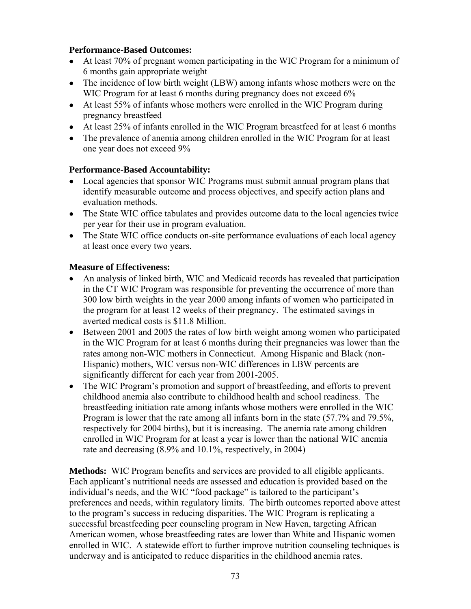## **Performance-Based Outcomes:**

- At least 70% of pregnant women participating in the WIC Program for a minimum of 6 months gain appropriate weight
- The incidence of low birth weight (LBW) among infants whose mothers were on the WIC Program for at least 6 months during pregnancy does not exceed 6%
- At least 55% of infants whose mothers were enrolled in the WIC Program during pregnancy breastfeed
- At least 25% of infants enrolled in the WIC Program breastfeed for at least 6 months
- The prevalence of anemia among children enrolled in the WIC Program for at least one year does not exceed 9%

# **Performance-Based Accountability:**

- Local agencies that sponsor WIC Programs must submit annual program plans that identify measurable outcome and process objectives, and specify action plans and evaluation methods.
- The State WIC office tabulates and provides outcome data to the local agencies twice per year for their use in program evaluation.
- The State WIC office conducts on-site performance evaluations of each local agency at least once every two years.

# **Measure of Effectiveness:**

- An analysis of linked birth, WIC and Medicaid records has revealed that participation in the CT WIC Program was responsible for preventing the occurrence of more than 300 low birth weights in the year 2000 among infants of women who participated in the program for at least 12 weeks of their pregnancy. The estimated savings in averted medical costs is \$11.8 Million.
- Between 2001 and 2005 the rates of low birth weight among women who participated in the WIC Program for at least 6 months during their pregnancies was lower than the rates among non-WIC mothers in Connecticut. Among Hispanic and Black (non-Hispanic) mothers, WIC versus non-WIC differences in LBW percents are significantly different for each year from 2001-2005.
- The WIC Program's promotion and support of breastfeeding, and efforts to prevent childhood anemia also contribute to childhood health and school readiness. The breastfeeding initiation rate among infants whose mothers were enrolled in the WIC Program is lower that the rate among all infants born in the state (57.7% and 79.5%, respectively for 2004 births), but it is increasing. The anemia rate among children enrolled in WIC Program for at least a year is lower than the national WIC anemia rate and decreasing (8.9% and 10.1%, respectively, in 2004)

**Methods:** WIC Program benefits and services are provided to all eligible applicants. Each applicant's nutritional needs are assessed and education is provided based on the individual's needs, and the WIC "food package" is tailored to the participant's preferences and needs, within regulatory limits. The birth outcomes reported above attest to the program's success in reducing disparities. The WIC Program is replicating a successful breastfeeding peer counseling program in New Haven, targeting African American women, whose breastfeeding rates are lower than White and Hispanic women enrolled in WIC. A statewide effort to further improve nutrition counseling techniques is underway and is anticipated to reduce disparities in the childhood anemia rates.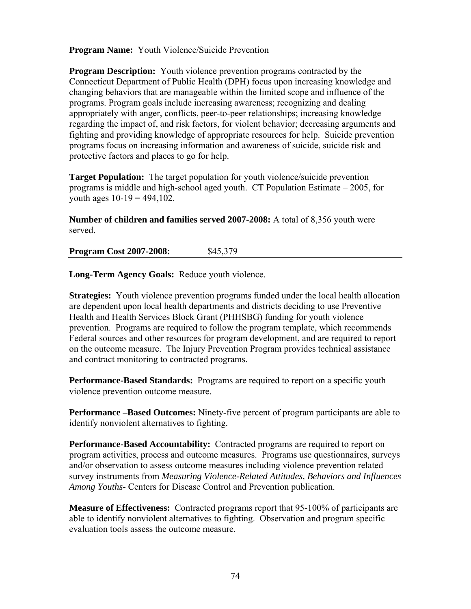**Program Name:** Youth Violence/Suicide Prevention

**Program Description:** Youth violence prevention programs contracted by the Connecticut Department of Public Health (DPH) focus upon increasing knowledge and changing behaviors that are manageable within the limited scope and influence of the programs. Program goals include increasing awareness; recognizing and dealing appropriately with anger, conflicts, peer-to-peer relationships; increasing knowledge regarding the impact of, and risk factors, for violent behavior; decreasing arguments and fighting and providing knowledge of appropriate resources for help. Suicide prevention programs focus on increasing information and awareness of suicide, suicide risk and protective factors and places to go for help.

**Target Population:** The target population for youth violence/suicide prevention programs is middle and high-school aged youth. CT Population Estimate – 2005, for youth ages  $10-19 = 494,102$ .

**Number of children and families served 2007-2008:** A total of 8,356 youth were served.

**Program Cost 2007-2008:** \$45,379

**Long-Term Agency Goals:** Reduce youth violence.

**Strategies:** Youth violence prevention programs funded under the local health allocation are dependent upon local health departments and districts deciding to use Preventive Health and Health Services Block Grant (PHHSBG) funding for youth violence prevention. Programs are required to follow the program template, which recommends Federal sources and other resources for program development, and are required to report on the outcome measure. The Injury Prevention Program provides technical assistance and contract monitoring to contracted programs.

**Performance-Based Standards:** Programs are required to report on a specific youth violence prevention outcome measure.

**Performance –Based Outcomes:** Ninety-five percent of program participants are able to identify nonviolent alternatives to fighting.

**Performance-Based Accountability:** Contracted programs are required to report on program activities, process and outcome measures. Programs use questionnaires, surveys and/or observation to assess outcome measures including violence prevention related survey instruments from *Measuring Violence-Related Attitudes, Behaviors and Influences Among Youths*- Centers for Disease Control and Prevention publication.

**Measure of Effectiveness:** Contracted programs report that 95-100% of participants are able to identify nonviolent alternatives to fighting. Observation and program specific evaluation tools assess the outcome measure.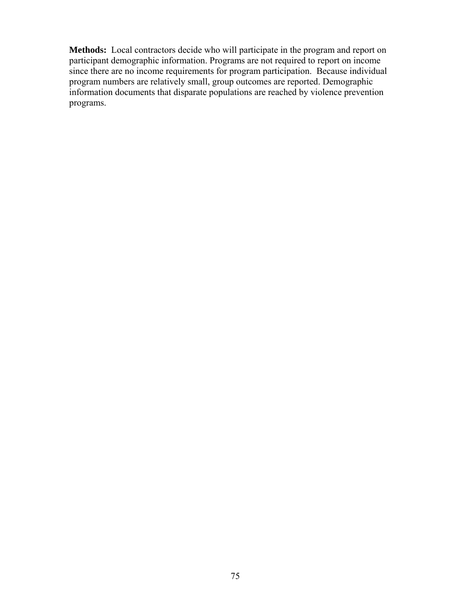**Methods:** Local contractors decide who will participate in the program and report on participant demographic information. Programs are not required to report on income since there are no income requirements for program participation. Because individual program numbers are relatively small, group outcomes are reported. Demographic information documents that disparate populations are reached by violence prevention programs.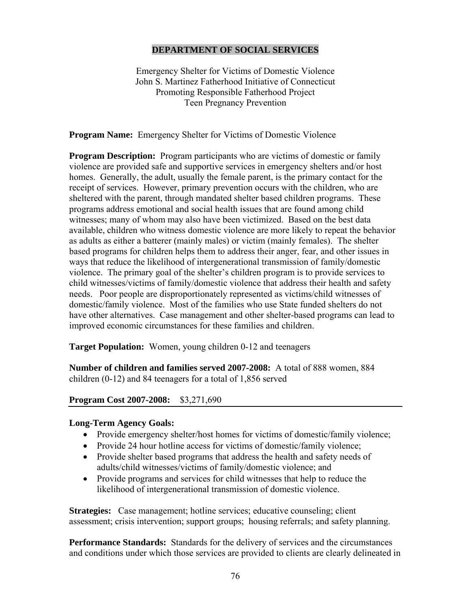#### **DEPARTMENT OF SOCIAL SERVICES**

Emergency Shelter for Victims of Domestic Violence John S. Martinez Fatherhood Initiative of Connecticut Promoting Responsible Fatherhood Project Teen Pregnancy Prevention

**Program Name:** Emergency Shelter for Victims of Domestic Violence

**Program Description:** Program participants who are victims of domestic or family violence are provided safe and supportive services in emergency shelters and/or host homes. Generally, the adult, usually the female parent, is the primary contact for the receipt of services. However, primary prevention occurs with the children, who are sheltered with the parent, through mandated shelter based children programs. These programs address emotional and social health issues that are found among child witnesses; many of whom may also have been victimized. Based on the best data available, children who witness domestic violence are more likely to repeat the behavior as adults as either a batterer (mainly males) or victim (mainly females). The shelter based programs for children helps them to address their anger, fear, and other issues in ways that reduce the likelihood of intergenerational transmission of family/domestic violence. The primary goal of the shelter's children program is to provide services to child witnesses/victims of family/domestic violence that address their health and safety needs. Poor people are disproportionately represented as victims/child witnesses of domestic/family violence. Most of the families who use State funded shelters do not have other alternatives. Case management and other shelter-based programs can lead to improved economic circumstances for these families and children.

**Target Population:** Women, young children 0-12 and teenagers

**Number of children and families served 2007-2008:** A total of 888 women, 884 children (0-12) and 84 teenagers for a total of 1,856 served

## **Program Cost 2007-2008:** \$3,271,690

#### **Long-Term Agency Goals:**

- Provide emergency shelter/host homes for victims of domestic/family violence;
- Provide 24 hour hotline access for victims of domestic/family violence;
- Provide shelter based programs that address the health and safety needs of adults/child witnesses/victims of family/domestic violence; and
- Provide programs and services for child witnesses that help to reduce the likelihood of intergenerational transmission of domestic violence.

**Strategies:** Case management; hotline services; educative counseling; client assessment; crisis intervention; support groups; housing referrals; and safety planning.

**Performance Standards:** Standards for the delivery of services and the circumstances and conditions under which those services are provided to clients are clearly delineated in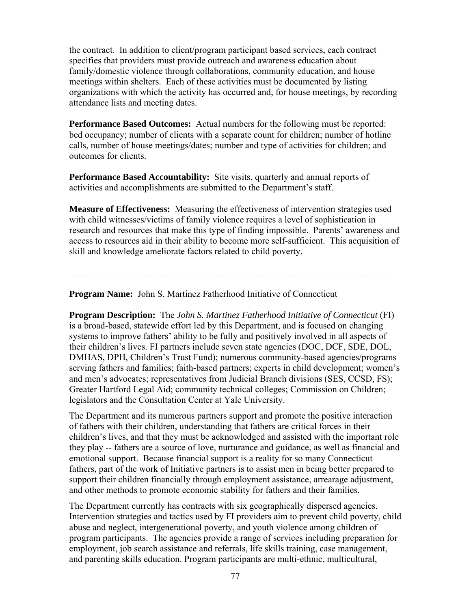the contract. In addition to client/program participant based services, each contract specifies that providers must provide outreach and awareness education about family/domestic violence through collaborations, community education, and house meetings within shelters. Each of these activities must be documented by listing organizations with which the activity has occurred and, for house meetings, by recording attendance lists and meeting dates.

**Performance Based Outcomes:** Actual numbers for the following must be reported: bed occupancy; number of clients with a separate count for children; number of hotline calls, number of house meetings/dates; number and type of activities for children; and outcomes for clients.

**Performance Based Accountability:** Site visits, quarterly and annual reports of activities and accomplishments are submitted to the Department's staff.

**Measure of Effectiveness:** Measuring the effectiveness of intervention strategies used with child witnesses/victims of family violence requires a level of sophistication in research and resources that make this type of finding impossible. Parents' awareness and access to resources aid in their ability to become more self-sufficient. This acquisition of skill and knowledge ameliorate factors related to child poverty.

 $\mathcal{L}_\mathcal{L} = \mathcal{L}_\mathcal{L} = \mathcal{L}_\mathcal{L} = \mathcal{L}_\mathcal{L} = \mathcal{L}_\mathcal{L} = \mathcal{L}_\mathcal{L} = \mathcal{L}_\mathcal{L} = \mathcal{L}_\mathcal{L} = \mathcal{L}_\mathcal{L} = \mathcal{L}_\mathcal{L} = \mathcal{L}_\mathcal{L} = \mathcal{L}_\mathcal{L} = \mathcal{L}_\mathcal{L} = \mathcal{L}_\mathcal{L} = \mathcal{L}_\mathcal{L} = \mathcal{L}_\mathcal{L} = \mathcal{L}_\mathcal{L}$ 

**Program Name:** John S. Martinez Fatherhood Initiative of Connecticut

**Program Description:** The *John S. Martinez Fatherhood Initiative of Connecticut* (FI) is a broad-based, statewide effort led by this Department, and is focused on changing systems to improve fathers' ability to be fully and positively involved in all aspects of their children's lives. FI partners include seven state agencies (DOC, DCF, SDE, DOL, DMHAS, DPH, Children's Trust Fund); numerous community-based agencies/programs serving fathers and families; faith-based partners; experts in child development; women's and men's advocates; representatives from Judicial Branch divisions (SES, CCSD, FS); Greater Hartford Legal Aid; community technical colleges; Commission on Children; legislators and the Consultation Center at Yale University.

The Department and its numerous partners support and promote the positive interaction of fathers with their children, understanding that fathers are critical forces in their children's lives, and that they must be acknowledged and assisted with the important role they play -- fathers are a source of love, nurturance and guidance, as well as financial and emotional support. Because financial support is a reality for so many Connecticut fathers, part of the work of Initiative partners is to assist men in being better prepared to support their children financially through employment assistance, arrearage adjustment, and other methods to promote economic stability for fathers and their families.

The Department currently has contracts with six geographically dispersed agencies. Intervention strategies and tactics used by FI providers aim to prevent child poverty, child abuse and neglect, intergenerational poverty, and youth violence among children of program participants. The agencies provide a range of services including preparation for employment, job search assistance and referrals, life skills training, case management, and parenting skills education. Program participants are multi-ethnic, multicultural,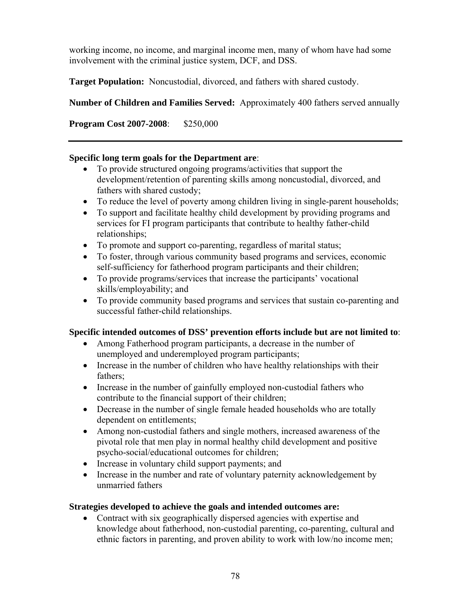working income, no income, and marginal income men, many of whom have had some involvement with the criminal justice system, DCF, and DSS.

**Target Population:** Noncustodial, divorced, and fathers with shared custody.

**Number of Children and Families Served:** Approximately 400 fathers served annually

**Program Cost 2007-2008**: \$250,000

#### **Specific long term goals for the Department are**:

- To provide structured ongoing programs/activities that support the development/retention of parenting skills among noncustodial, divorced, and fathers with shared custody;
- To reduce the level of poverty among children living in single-parent households;
- To support and facilitate healthy child development by providing programs and services for FI program participants that contribute to healthy father-child relationships;
- To promote and support co-parenting, regardless of marital status;
- To foster, through various community based programs and services, economic self-sufficiency for fatherhood program participants and their children;
- To provide programs/services that increase the participants' vocational skills/employability; and
- To provide community based programs and services that sustain co-parenting and successful father-child relationships.

## **Specific intended outcomes of DSS' prevention efforts include but are not limited to**:

- Among Fatherhood program participants, a decrease in the number of unemployed and underemployed program participants;
- Increase in the number of children who have healthy relationships with their fathers;
- Increase in the number of gainfully employed non-custodial fathers who contribute to the financial support of their children;
- Decrease in the number of single female headed households who are totally dependent on entitlements;
- Among non-custodial fathers and single mothers, increased awareness of the pivotal role that men play in normal healthy child development and positive psycho-social/educational outcomes for children;
- Increase in voluntary child support payments; and
- Increase in the number and rate of voluntary paternity acknowledgement by unmarried fathers

## **Strategies developed to achieve the goals and intended outcomes are:**

• Contract with six geographically dispersed agencies with expertise and knowledge about fatherhood, non-custodial parenting, co-parenting, cultural and ethnic factors in parenting, and proven ability to work with low/no income men;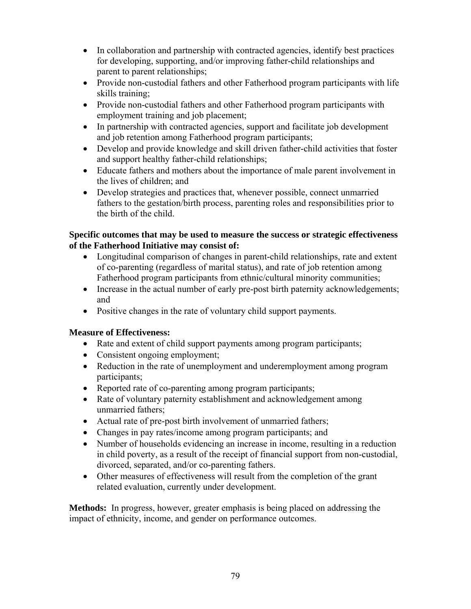- In collaboration and partnership with contracted agencies, identify best practices for developing, supporting, and/or improving father-child relationships and parent to parent relationships;
- Provide non-custodial fathers and other Fatherhood program participants with life skills training;
- Provide non-custodial fathers and other Fatherhood program participants with employment training and job placement;
- In partnership with contracted agencies, support and facilitate job development and job retention among Fatherhood program participants;
- Develop and provide knowledge and skill driven father-child activities that foster and support healthy father-child relationships;
- Educate fathers and mothers about the importance of male parent involvement in the lives of children; and
- Develop strategies and practices that, whenever possible, connect unmarried fathers to the gestation/birth process, parenting roles and responsibilities prior to the birth of the child.

## **Specific outcomes that may be used to measure the success or strategic effectiveness of the Fatherhood Initiative may consist of:**

- Longitudinal comparison of changes in parent-child relationships, rate and extent of co-parenting (regardless of marital status), and rate of job retention among Fatherhood program participants from ethnic/cultural minority communities;
- Increase in the actual number of early pre-post birth paternity acknowledgements; and
- Positive changes in the rate of voluntary child support payments.

## **Measure of Effectiveness:**

- Rate and extent of child support payments among program participants;
- Consistent ongoing employment;
- Reduction in the rate of unemployment and underemployment among program participants;
- Reported rate of co-parenting among program participants;
- Rate of voluntary paternity establishment and acknowledgement among unmarried fathers;
- Actual rate of pre-post birth involvement of unmarried fathers;
- Changes in pay rates/income among program participants; and
- Number of households evidencing an increase in income, resulting in a reduction in child poverty, as a result of the receipt of financial support from non-custodial, divorced, separated, and/or co-parenting fathers.
- Other measures of effectiveness will result from the completion of the grant related evaluation, currently under development.

**Methods:** In progress, however, greater emphasis is being placed on addressing the impact of ethnicity, income, and gender on performance outcomes.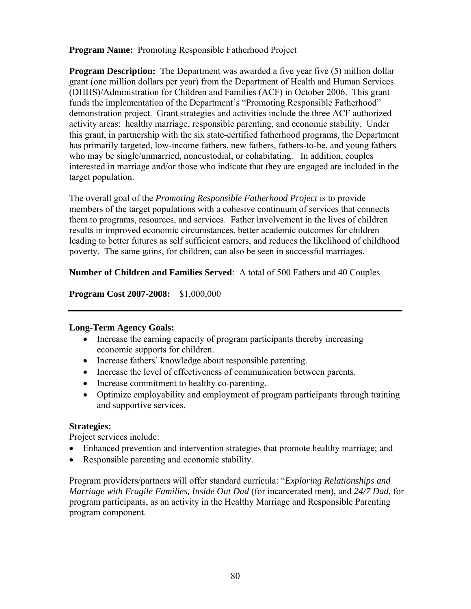**Program Name:** Promoting Responsible Fatherhood Project

**Program Description:** The Department was awarded a five year five (5) million dollar grant (one million dollars per year) from the Department of Health and Human Services (DHHS)/Administration for Children and Families (ACF) in October 2006. This grant funds the implementation of the Department's "Promoting Responsible Fatherhood" demonstration project. Grant strategies and activities include the three ACF authorized activity areas: healthy marriage, responsible parenting, and economic stability. Under this grant, in partnership with the six state-certified fatherhood programs, the Department has primarily targeted, low-income fathers, new fathers, fathers-to-be, and young fathers who may be single/unmarried, noncustodial, or cohabitating. In addition, couples interested in marriage and/or those who indicate that they are engaged are included in the target population.

The overall goal of the *Promoting Responsible Fatherhood Project* is to provide members of the target populations with a cohesive continuum of services that connects them to programs, resources, and services. Father involvement in the lives of children results in improved economic circumstances, better academic outcomes for children leading to better futures as self sufficient earners, and reduces the likelihood of childhood poverty. The same gains, for children, can also be seen in successful marriages.

#### **Number of Children and Families Served**: A total of 500 Fathers and 40 Couples

**Program Cost 2007-2008:** \$1,000,000

#### **Long-Term Agency Goals:**

- Increase the earning capacity of program participants thereby increasing economic supports for children.
- Increase fathers' knowledge about responsible parenting.
- Increase the level of effectiveness of communication between parents.
- Increase commitment to healthy co-parenting.
- Optimize employability and employment of program participants through training and supportive services.

## **Strategies:**

Project services include:

- Enhanced prevention and intervention strategies that promote healthy marriage; and
- Responsible parenting and economic stability.

Program providers/partners will offer standard curricula: "*Exploring Relationships and Marriage with Fragile Families, Inside Out Dad* (for incarcerated men), and *24/7 Dad,* for program participants, as an activity in the Healthy Marriage and Responsible Parenting program component.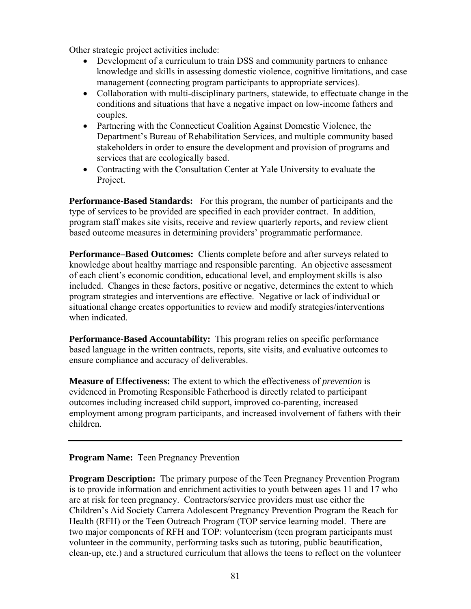Other strategic project activities include:

- Development of a curriculum to train DSS and community partners to enhance knowledge and skills in assessing domestic violence, cognitive limitations, and case management (connecting program participants to appropriate services).
- Collaboration with multi-disciplinary partners, statewide, to effectuate change in the conditions and situations that have a negative impact on low-income fathers and couples.
- Partnering with the Connecticut Coalition Against Domestic Violence, the Department's Bureau of Rehabilitation Services, and multiple community based stakeholders in order to ensure the development and provision of programs and services that are ecologically based.
- Contracting with the Consultation Center at Yale University to evaluate the Project.

**Performance-Based Standards:** For this program, the number of participants and the type of services to be provided are specified in each provider contract. In addition, program staff makes site visits, receive and review quarterly reports, and review client based outcome measures in determining providers' programmatic performance.

**Performance–Based Outcomes:** Clients complete before and after surveys related to knowledge about healthy marriage and responsible parenting. An objective assessment of each client's economic condition, educational level, and employment skills is also included. Changes in these factors, positive or negative, determines the extent to which program strategies and interventions are effective. Negative or lack of individual or situational change creates opportunities to review and modify strategies/interventions when indicated.

**Performance-Based Accountability:** This program relies on specific performance based language in the written contracts, reports, site visits, and evaluative outcomes to ensure compliance and accuracy of deliverables.

**Measure of Effectiveness:** The extent to which the effectiveness of *prevention* is evidenced in Promoting Responsible Fatherhood is directly related to participant outcomes including increased child support, improved co-parenting, increased employment among program participants, and increased involvement of fathers with their children.

## **Program Name:** Teen Pregnancy Prevention

**Program Description:** The primary purpose of the Teen Pregnancy Prevention Program is to provide information and enrichment activities to youth between ages 11 and 17 who are at risk for teen pregnancy. Contractors/service providers must use either the Children's Aid Society Carrera Adolescent Pregnancy Prevention Program the Reach for Health (RFH) or the Teen Outreach Program (TOP service learning model. There are two major components of RFH and TOP: volunteerism (teen program participants must volunteer in the community, performing tasks such as tutoring, public beautification, clean-up, etc.) and a structured curriculum that allows the teens to reflect on the volunteer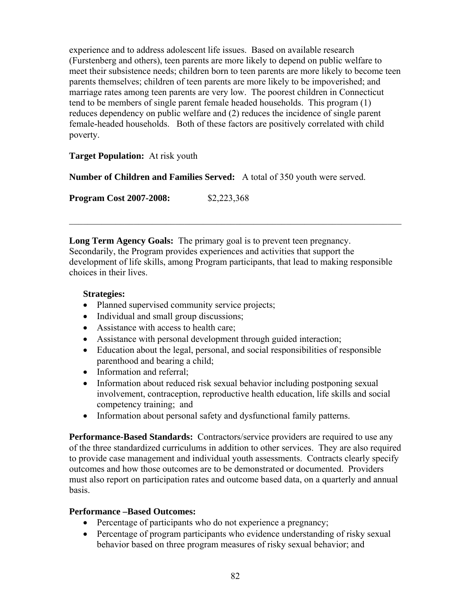experience and to address adolescent life issues. Based on available research (Furstenberg and others), teen parents are more likely to depend on public welfare to meet their subsistence needs; children born to teen parents are more likely to become teen parents themselves; children of teen parents are more likely to be impoverished; and marriage rates among teen parents are very low. The poorest children in Connecticut tend to be members of single parent female headed households. This program (1) reduces dependency on public welfare and (2) reduces the incidence of single parent female-headed households. Both of these factors are positively correlated with child poverty.

## **Target Population:** At risk youth

**Number of Children and Families Served:** A total of 350 youth were served.

**Program Cost 2007-2008:** \$2,223,368

**Long Term Agency Goals:** The primary goal is to prevent teen pregnancy. Secondarily, the Program provides experiences and activities that support the development of life skills, among Program participants, that lead to making responsible choices in their lives.

 $\mathcal{L}_\text{max}$  , and the contribution of the contribution of the contribution of the contribution of the contribution of the contribution of the contribution of the contribution of the contribution of the contribution of t

#### **Strategies:**

- Planned supervised community service projects;
- Individual and small group discussions;
- Assistance with access to health care;
- Assistance with personal development through guided interaction;
- Education about the legal, personal, and social responsibilities of responsible parenthood and bearing a child;
- Information and referral:
- Information about reduced risk sexual behavior including postponing sexual involvement, contraception, reproductive health education, life skills and social competency training; and
- Information about personal safety and dysfunctional family patterns.

**Performance-Based Standards:** Contractors/service providers are required to use any of the three standardized curriculums in addition to other services. They are also required to provide case management and individual youth assessments. Contracts clearly specify outcomes and how those outcomes are to be demonstrated or documented. Providers must also report on participation rates and outcome based data, on a quarterly and annual basis.

#### **Performance –Based Outcomes:**

- Percentage of participants who do not experience a pregnancy;
- Percentage of program participants who evidence understanding of risky sexual behavior based on three program measures of risky sexual behavior; and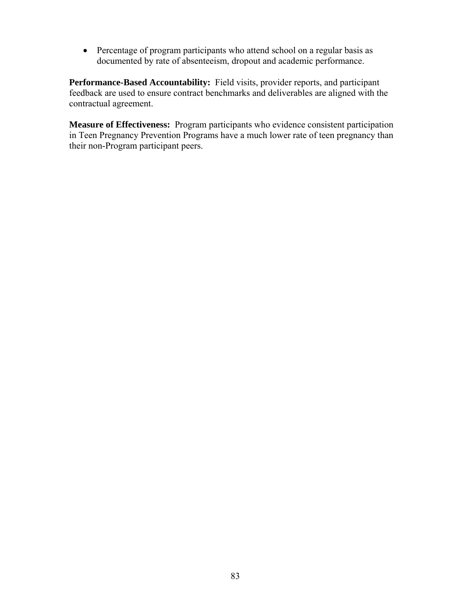• Percentage of program participants who attend school on a regular basis as documented by rate of absenteeism, dropout and academic performance.

**Performance-Based Accountability:** Field visits, provider reports, and participant feedback are used to ensure contract benchmarks and deliverables are aligned with the contractual agreement.

**Measure of Effectiveness:** Program participants who evidence consistent participation in Teen Pregnancy Prevention Programs have a much lower rate of teen pregnancy than their non-Program participant peers.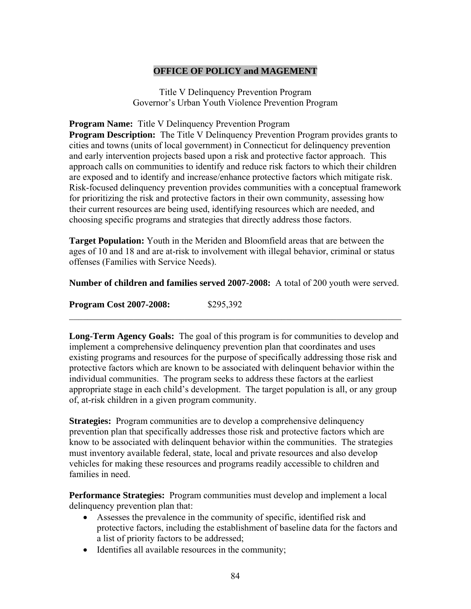#### **OFFICE OF POLICY and MAGEMENT**

Title V Delinquency Prevention Program Governor's Urban Youth Violence Prevention Program

**Program Name:** Title V Delinquency Prevention Program

**Program Description:** The Title V Delinquency Prevention Program provides grants to cities and towns (units of local government) in Connecticut for delinquency prevention and early intervention projects based upon a risk and protective factor approach. This approach calls on communities to identify and reduce risk factors to which their children are exposed and to identify and increase/enhance protective factors which mitigate risk. Risk-focused delinquency prevention provides communities with a conceptual framework for prioritizing the risk and protective factors in their own community, assessing how their current resources are being used, identifying resources which are needed, and choosing specific programs and strategies that directly address those factors.

**Target Population:** Youth in the Meriden and Bloomfield areas that are between the ages of 10 and 18 and are at-risk to involvement with illegal behavior, criminal or status offenses (Families with Service Needs).

**Number of children and families served 2007-2008:** A total of 200 youth were served.

 $\mathcal{L}_\text{max}$  , and the contribution of the contribution of the contribution of the contribution of the contribution of the contribution of the contribution of the contribution of the contribution of the contribution of t

**Program Cost 2007-2008:** \$295,392

**Long-Term Agency Goals:** The goal of this program is for communities to develop and implement a comprehensive delinquency prevention plan that coordinates and uses existing programs and resources for the purpose of specifically addressing those risk and protective factors which are known to be associated with delinquent behavior within the individual communities. The program seeks to address these factors at the earliest appropriate stage in each child's development. The target population is all, or any group of, at-risk children in a given program community.

**Strategies:** Program communities are to develop a comprehensive delinquency prevention plan that specifically addresses those risk and protective factors which are know to be associated with delinquent behavior within the communities. The strategies must inventory available federal, state, local and private resources and also develop vehicles for making these resources and programs readily accessible to children and families in need.

**Performance Strategies:** Program communities must develop and implement a local delinquency prevention plan that:

- Assesses the prevalence in the community of specific, identified risk and protective factors, including the establishment of baseline data for the factors and a list of priority factors to be addressed;
- Identifies all available resources in the community;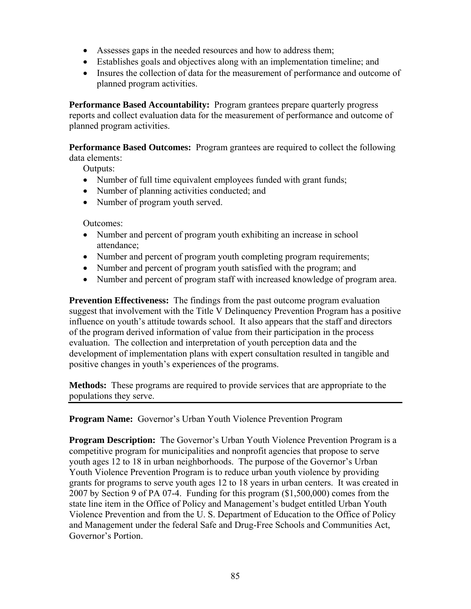- Assesses gaps in the needed resources and how to address them;
- Establishes goals and objectives along with an implementation timeline; and
- Insures the collection of data for the measurement of performance and outcome of planned program activities.

**Performance Based Accountability:** Program grantees prepare quarterly progress reports and collect evaluation data for the measurement of performance and outcome of planned program activities.

**Performance Based Outcomes:** Program grantees are required to collect the following data elements:

Outputs:

- Number of full time equivalent employees funded with grant funds;
- Number of planning activities conducted; and
- Number of program youth served.

Outcomes:

- Number and percent of program youth exhibiting an increase in school attendance;
- Number and percent of program youth completing program requirements;
- Number and percent of program youth satisfied with the program; and
- Number and percent of program staff with increased knowledge of program area.

**Prevention Effectiveness:** The findings from the past outcome program evaluation suggest that involvement with the Title V Delinquency Prevention Program has a positive influence on youth's attitude towards school. It also appears that the staff and directors of the program derived information of value from their participation in the process evaluation. The collection and interpretation of youth perception data and the development of implementation plans with expert consultation resulted in tangible and positive changes in youth's experiences of the programs.

**Methods:** These programs are required to provide services that are appropriate to the populations they serve.

**Program Name:** Governor's Urban Youth Violence Prevention Program

**Program Description:** The Governor's Urban Youth Violence Prevention Program is a competitive program for municipalities and nonprofit agencies that propose to serve youth ages 12 to 18 in urban neighborhoods. The purpose of the Governor's Urban Youth Violence Prevention Program is to reduce urban youth violence by providing grants for programs to serve youth ages 12 to 18 years in urban centers. It was created in 2007 by Section 9 of PA 07-4. Funding for this program (\$1,500,000) comes from the state line item in the Office of Policy and Management's budget entitled Urban Youth Violence Prevention and from the U. S. Department of Education to the Office of Policy and Management under the federal Safe and Drug-Free Schools and Communities Act, Governor's Portion.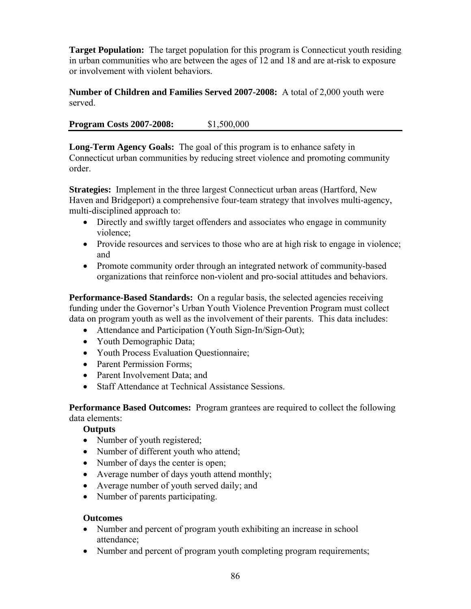**Target Population:** The target population for this program is Connecticut youth residing in urban communities who are between the ages of 12 and 18 and are at-risk to exposure or involvement with violent behaviors.

**Number of Children and Families Served 2007-2008:** A total of 2,000 youth were served.

**Program Costs 2007-2008:** \$1,500,000

**Long-Term Agency Goals:** The goal of this program is to enhance safety in Connecticut urban communities by reducing street violence and promoting community order.

**Strategies:** Implement in the three largest Connecticut urban areas (Hartford, New Haven and Bridgeport) a comprehensive four-team strategy that involves multi-agency, multi-disciplined approach to:

- Directly and swiftly target offenders and associates who engage in community violence;
- Provide resources and services to those who are at high risk to engage in violence; and
- Promote community order through an integrated network of community-based organizations that reinforce non-violent and pro-social attitudes and behaviors.

**Performance-Based Standards:** On a regular basis, the selected agencies receiving funding under the Governor's Urban Youth Violence Prevention Program must collect data on program youth as well as the involvement of their parents. This data includes:

- Attendance and Participation (Youth Sign-In/Sign-Out);
- Youth Demographic Data;
- Youth Process Evaluation Questionnaire;
- Parent Permission Forms;
- Parent Involvement Data; and
- Staff Attendance at Technical Assistance Sessions.

**Performance Based Outcomes:** Program grantees are required to collect the following data elements:

## **Outputs**

- Number of youth registered;
- Number of different youth who attend;
- Number of days the center is open;
- Average number of days youth attend monthly;
- Average number of youth served daily; and
- Number of parents participating.

## **Outcomes**

- Number and percent of program youth exhibiting an increase in school attendance;
- Number and percent of program youth completing program requirements;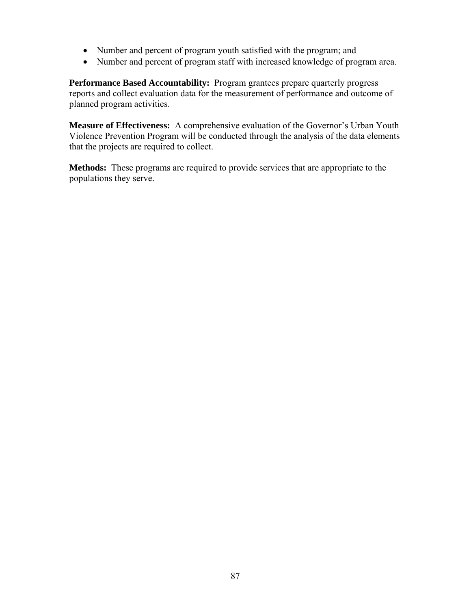- Number and percent of program youth satisfied with the program; and
- Number and percent of program staff with increased knowledge of program area.

**Performance Based Accountability:** Program grantees prepare quarterly progress reports and collect evaluation data for the measurement of performance and outcome of planned program activities.

**Measure of Effectiveness:** A comprehensive evaluation of the Governor's Urban Youth Violence Prevention Program will be conducted through the analysis of the data elements that the projects are required to collect.

**Methods:** These programs are required to provide services that are appropriate to the populations they serve.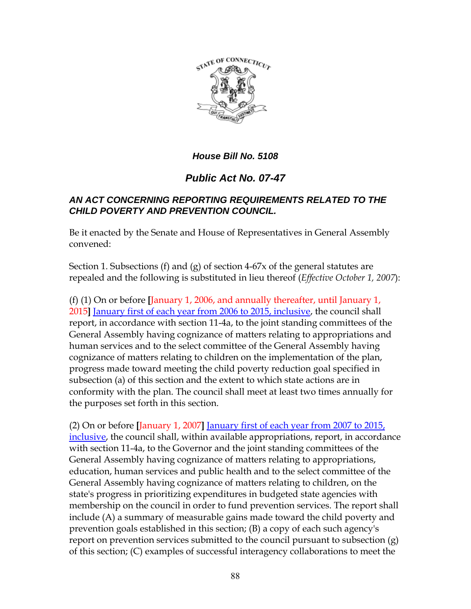

# *House Bill No. 5108*

# *Public Act No. 07-47*

## *AN ACT CONCERNING REPORTING REQUIREMENTS RELATED TO THE CHILD POVERTY AND PREVENTION COUNCIL.*

Be it enacted by the Senate and House of Representatives in General Assembly convened:

Section 1. Subsections (f) and (g) of section 4-67x of the general statutes are repealed and the following is substituted in lieu thereof (*Effective October 1, 2007*):

(f) (1) On or before **[**January 1, 2006, and annually thereafter, until January 1, 2015**]** January first of each year from 2006 to 2015, inclusive, the council shall report, in accordance with section 11-4a, to the joint standing committees of the General Assembly having cognizance of matters relating to appropriations and human services and to the select committee of the General Assembly having cognizance of matters relating to children on the implementation of the plan, progress made toward meeting the child poverty reduction goal specified in subsection (a) of this section and the extent to which state actions are in conformity with the plan. The council shall meet at least two times annually for the purposes set forth in this section.

(2) On or before **[**January 1, 2007**]** January first of each year from 2007 to 2015, inclusive, the council shall, within available appropriations, report, in accordance with section 11-4a, to the Governor and the joint standing committees of the General Assembly having cognizance of matters relating to appropriations, education, human services and public health and to the select committee of the General Assembly having cognizance of matters relating to children, on the state's progress in prioritizing expenditures in budgeted state agencies with membership on the council in order to fund prevention services. The report shall include (A) a summary of measurable gains made toward the child poverty and prevention goals established in this section; (B) a copy of each such agency's report on prevention services submitted to the council pursuant to subsection (g) of this section; (C) examples of successful interagency collaborations to meet the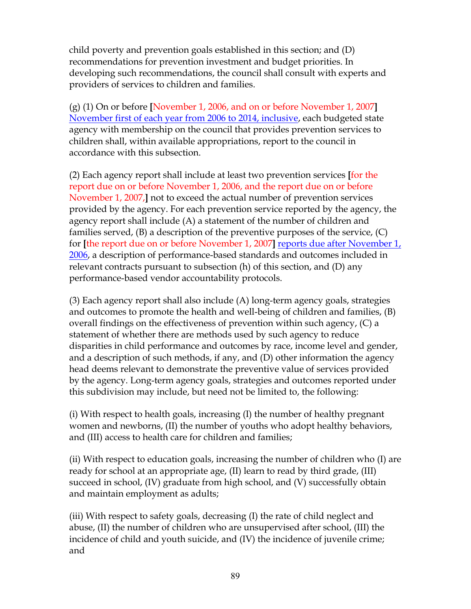child poverty and prevention goals established in this section; and (D) recommendations for prevention investment and budget priorities. In developing such recommendations, the council shall consult with experts and providers of services to children and families.

(g) (1) On or before **[**November 1, 2006, and on or before November 1, 2007**]** November first of each year from 2006 to 2014, inclusive, each budgeted state agency with membership on the council that provides prevention services to children shall, within available appropriations, report to the council in accordance with this subsection.

(2) Each agency report shall include at least two prevention services **[**for the report due on or before November 1, 2006, and the report due on or before November 1, 2007,**]** not to exceed the actual number of prevention services provided by the agency. For each prevention service reported by the agency, the agency report shall include (A) a statement of the number of children and families served, (B) a description of the preventive purposes of the service, (C) for **[**the report due on or before November 1, 2007**]** reports due after November 1, 2006, a description of performance-based standards and outcomes included in relevant contracts pursuant to subsection (h) of this section, and (D) any performance-based vendor accountability protocols.

(3) Each agency report shall also include (A) long-term agency goals, strategies and outcomes to promote the health and well-being of children and families, (B) overall findings on the effectiveness of prevention within such agency, (C) a statement of whether there are methods used by such agency to reduce disparities in child performance and outcomes by race, income level and gender, and a description of such methods, if any, and (D) other information the agency head deems relevant to demonstrate the preventive value of services provided by the agency. Long-term agency goals, strategies and outcomes reported under this subdivision may include, but need not be limited to, the following:

(i) With respect to health goals, increasing (I) the number of healthy pregnant women and newborns, (II) the number of youths who adopt healthy behaviors, and (III) access to health care for children and families;

(ii) With respect to education goals, increasing the number of children who (I) are ready for school at an appropriate age, (II) learn to read by third grade, (III) succeed in school, (IV) graduate from high school, and (V) successfully obtain and maintain employment as adults;

(iii) With respect to safety goals, decreasing (I) the rate of child neglect and abuse, (II) the number of children who are unsupervised after school, (III) the incidence of child and youth suicide, and (IV) the incidence of juvenile crime; and